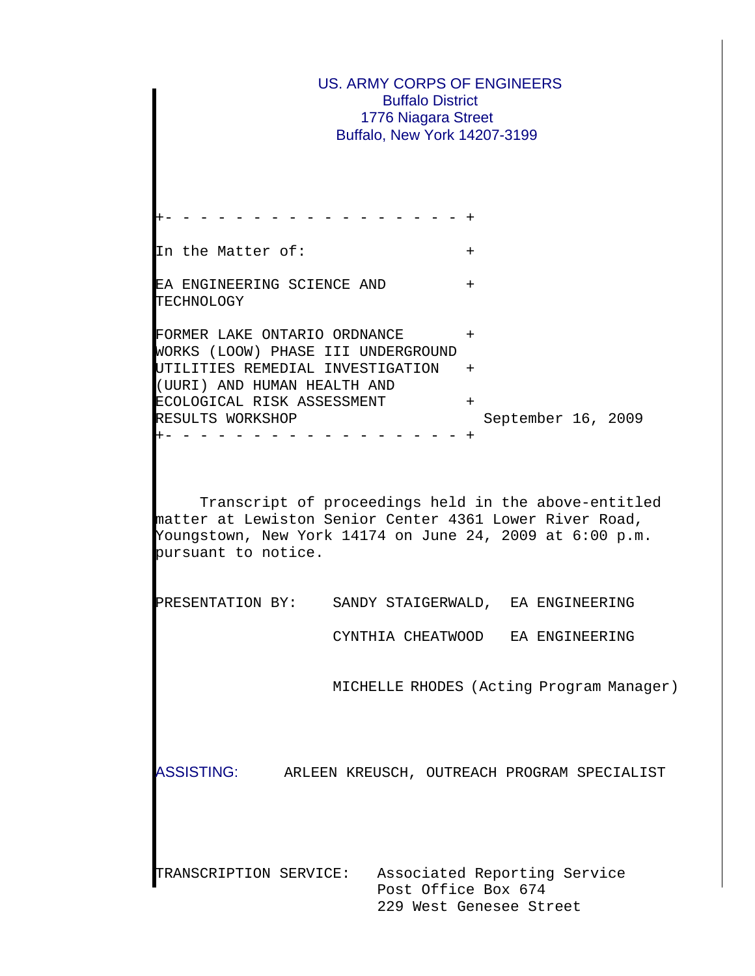US. ARMY CORPS OF ENGINEERS Buffalo District 1776 Niagara Street Buffalo, New York 14207-3199 +- - - - - - - - - - - - - - - - - + In the Matter of:  $+$ EA ENGINEERING SCIENCE AND + TECHNOLOGY FORMER LAKE ONTARIO ORDNANCE + WORKS (LOOW) PHASE III UNDERGROUND UTILITIES REMEDIAL INVESTIGATION + (UURI) AND HUMAN HEALTH AND ECOLOGICAL RISK ASSESSMENT + RESULTS WORKSHOP September 16, 2009 +- - - - - - - - - - - - - - - - - + Transcript of proceedings held in the above-entitled matter at Lewiston Senior Center 4361 Lower River Road, Youngstown, New York 14174 on June 24, 2009 at 6:00 p.m. pursuant to notice. PRESENTATION BY: SANDY STAIGERWALD, EA ENGINEERING CYNTHIA CHEATWOOD EA ENGINEERING MICHELLE RHODES (Acting Program Manager) ASSISTING: ARLEEN KREUSCH, OUTREACH PROGRAM SPECIALIST TRANSCRIPTION SERVICE: Associated Reporting Service Post Office Box 674 229 West Genesee Street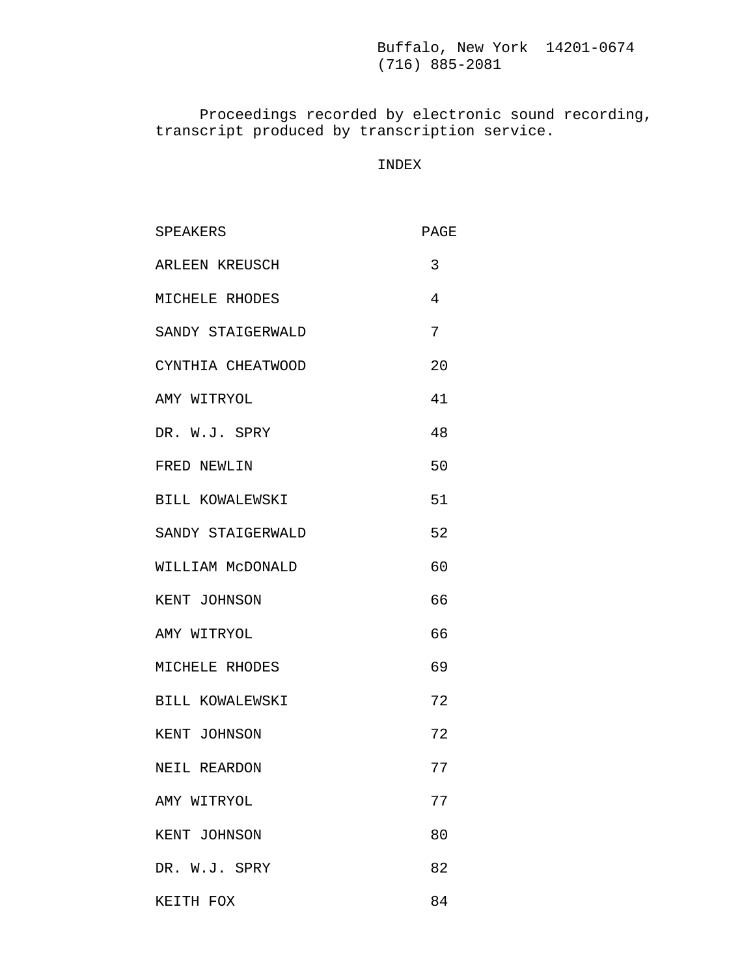Proceedings recorded by electronic sound recording, transcript produced by transcription service.

# INDEX

| SPEAKERS          | PAGE |
|-------------------|------|
| ARLEEN KREUSCH    | 3    |
| MICHELE RHODES    | 4    |
| SANDY STAIGERWALD | 7    |
| CYNTHIA CHEATWOOD | 20   |
| AMY WITRYOL       | 41   |
| DR. W.J. SPRY     | 48   |
| FRED NEWLIN       | 50   |
| BILL KOWALEWSKI   | 51   |
| SANDY STAIGERWALD | 52   |
| WILLIAM MCDONALD  | 60   |
| KENT JOHNSON      | 66   |
| AMY WITRYOL       | 66   |
| MICHELE RHODES    | 69   |
| BILL KOWALEWSKI   | 72   |
| KENT JOHNSON      | 72   |
| NEIL REARDON      | 77   |
| AMY WITRYOL       | 77   |
| KENT JOHNSON      | 80   |
|                   |      |

- DR. W.J. SPRY 82
- KEITH FOX 84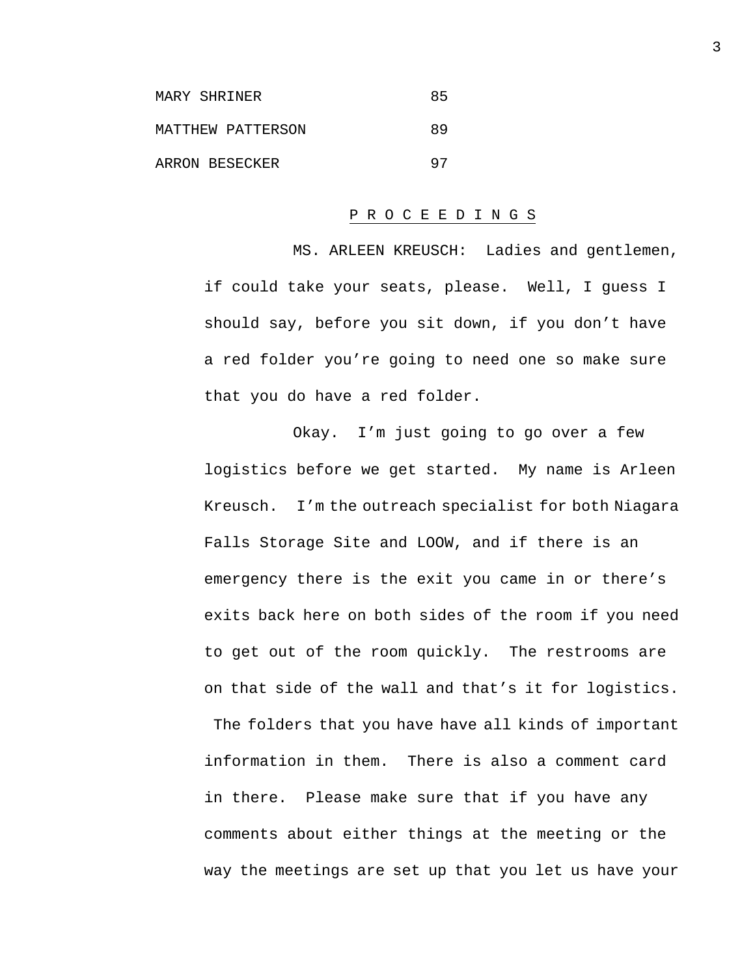| MARY SHRINER      | 85 |
|-------------------|----|
| MATTHEW PATTERSON | 89 |
| ARRON BESECKER    | 97 |

### P R O C E E D I N G S

MS. ARLEEN KREUSCH: Ladies and gentlemen, if could take your seats, please. Well, I guess I should say, before you sit down, if you don't have a red folder you're going to need one so make sure that you do have a red folder.

Okay. I'm just going to go over a few logistics before we get started. My name is Arleen Kreusch. I'm the outreach specialist for both Niagara Falls Storage Site and LOOW, and if there is an emergency there is the exit you came in or there's exits back here on both sides of the room if you need to get out of the room quickly. The restrooms are on that side of the wall and that's it for logistics. The folders that you have have all kinds of important information in them. There is also a comment card

in there. Please make sure that if you have any comments about either things at the meeting or the way the meetings are set up that you let us have your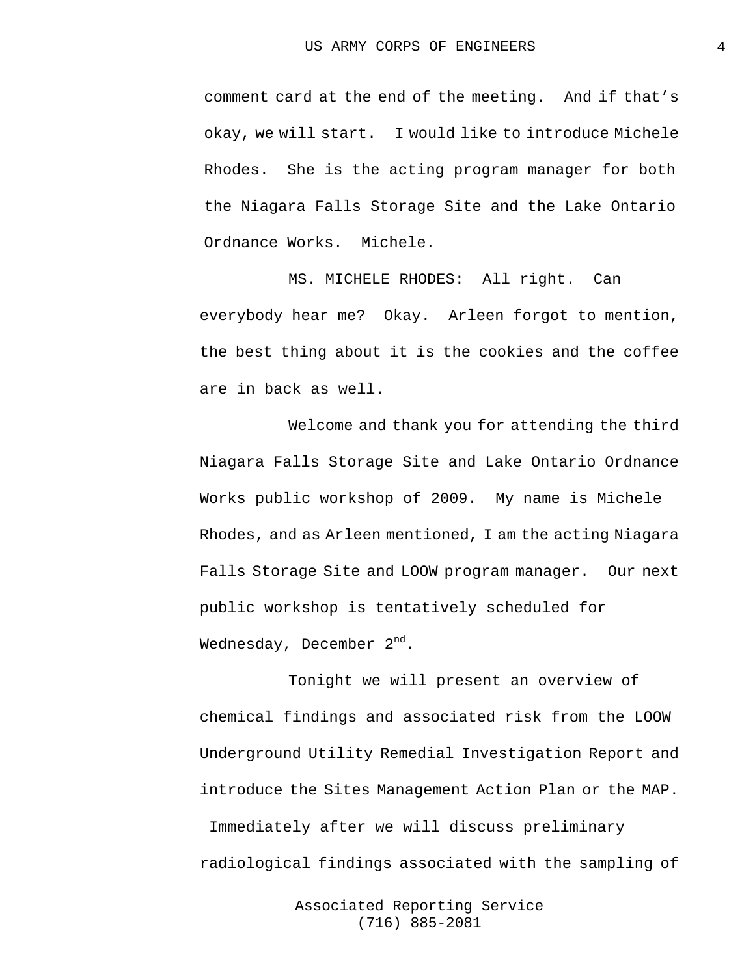comment card at the end of the meeting. And if that's okay, we will start. I would like to introduce Michele Rhodes. She is the acting program manager for both the Niagara Falls Storage Site and the Lake Ontario Ordnance Works. Michele.

MS. MICHELE RHODES: All right. Can everybody hear me? Okay. Arleen forgot to mention, the best thing about it is the cookies and the coffee are in back as well.

Welcome and thank you for attending the third Niagara Falls Storage Site and Lake Ontario Ordnance Works public workshop of 2009. My name is Michele Rhodes, and as Arleen mentioned, I am the acting Niagara Falls Storage Site and LOOW program manager. Our next public workshop is tentatively scheduled for Wednesday, December  $2^{nd}$ .

Tonight we will present an overview of chemical findings and associated risk from the LOOW Underground Utility Remedial Investigation Report and introduce the Sites Management Action Plan or the MAP. Immediately after we will discuss preliminary radiological findings associated with the sampling of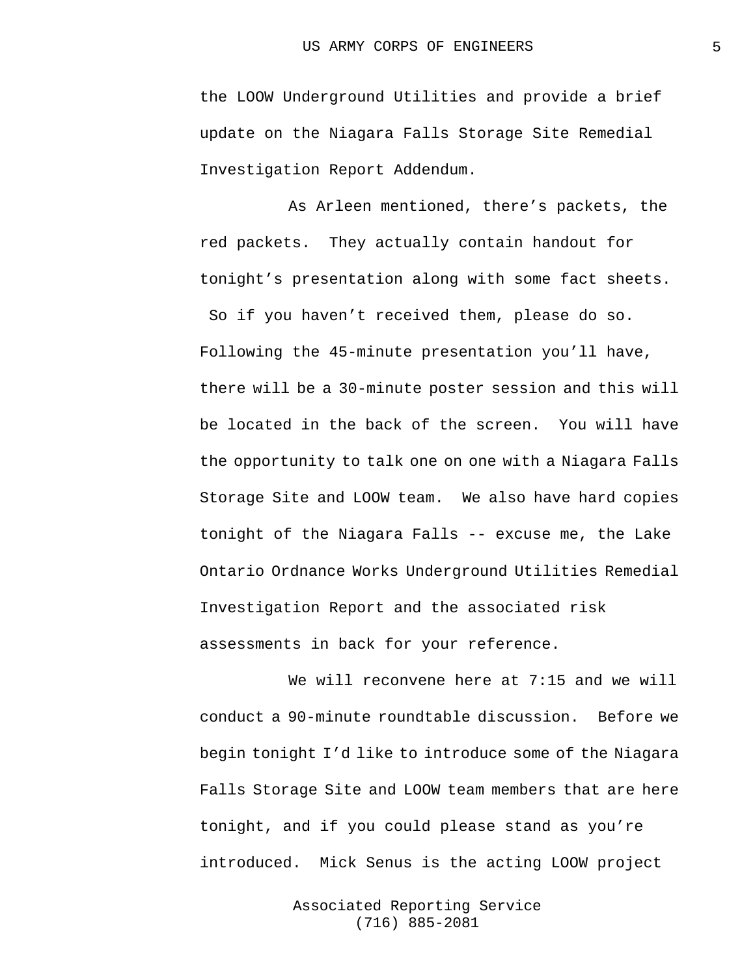the LOOW Underground Utilities and provide a brief update on the Niagara Falls Storage Site Remedial Investigation Report Addendum.

As Arleen mentioned, there's packets, the red packets. They actually contain handout for tonight's presentation along with some fact sheets.

So if you haven't received them, please do so. Following the 45-minute presentation you'll have, there will be a 30-minute poster session and this will be located in the back of the screen. You will have the opportunity to talk one on one with a Niagara Falls Storage Site and LOOW team. We also have hard copies tonight of the Niagara Falls -- excuse me, the Lake Ontario Ordnance Works Underground Utilities Remedial Investigation Report and the associated risk assessments in back for your reference.

We will reconvene here at 7:15 and we will conduct a 90-minute roundtable discussion. Before we begin tonight I'd like to introduce some of the Niagara Falls Storage Site and LOOW team members that are here tonight, and if you could please stand as you're introduced. Mick Senus is the acting LOOW project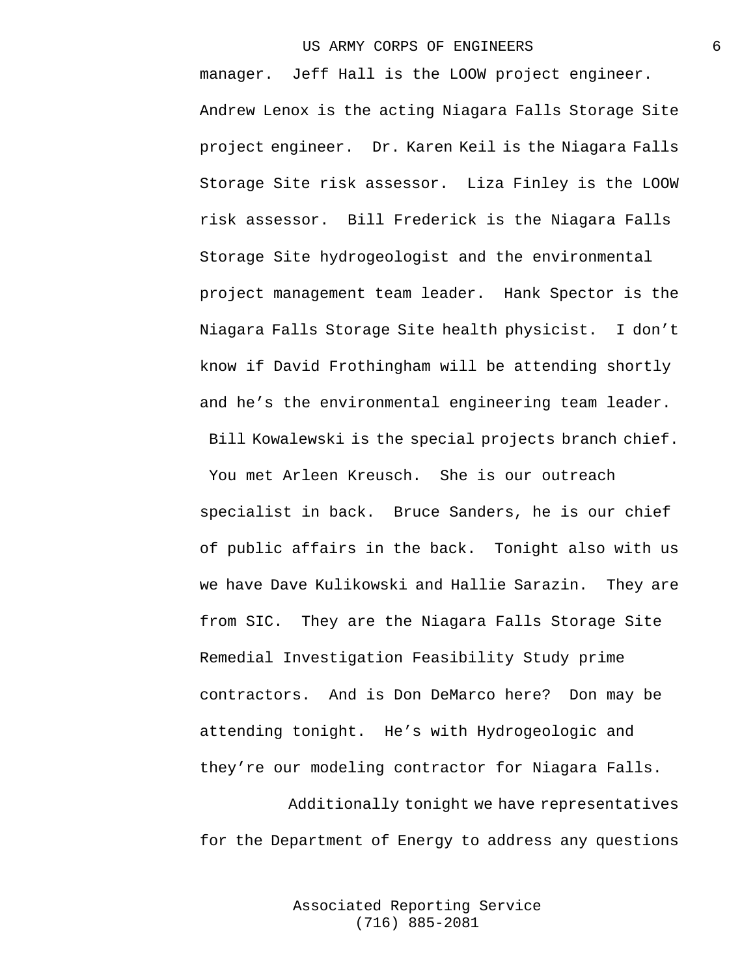manager. Jeff Hall is the LOOW project engineer. Andrew Lenox is the acting Niagara Falls Storage Site project engineer. Dr. Karen Keil is the Niagara Falls Storage Site risk assessor. Liza Finley is the LOOW risk assessor. Bill Frederick is the Niagara Falls Storage Site hydrogeologist and the environmental project management team leader. Hank Spector is the Niagara Falls Storage Site health physicist. I don't know if David Frothingham will be attending shortly and he's the environmental engineering team leader.

You met Arleen Kreusch. She is our outreach specialist in back. Bruce Sanders, he is our chief of public affairs in the back. Tonight also with us we have Dave Kulikowski and Hallie Sarazin. They are from SIC. They are the Niagara Falls Storage Site Remedial Investigation Feasibility Study prime contractors. And is Don DeMarco here? Don may be attending tonight. He's with Hydrogeologic and they're our modeling contractor for Niagara Falls.

Bill Kowalewski is the special projects branch chief.

Additionally tonight we have representatives for the Department of Energy to address any questions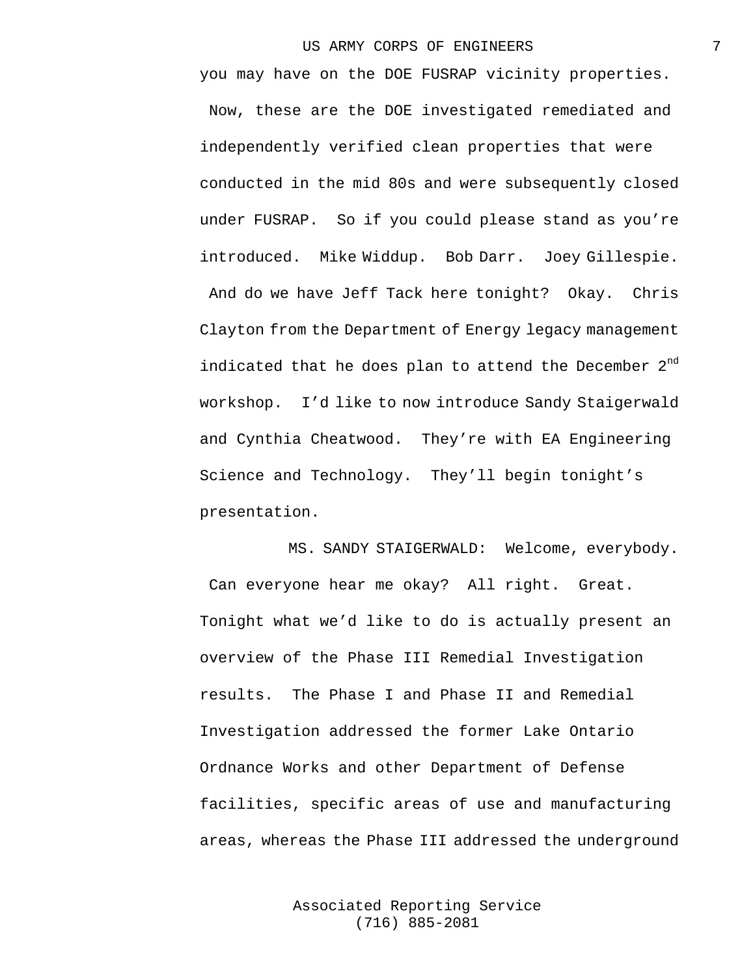you may have on the DOE FUSRAP vicinity properties. Now, these are the DOE investigated remediated and independently verified clean properties that were conducted in the mid 80s and were subsequently closed under FUSRAP. So if you could please stand as you're introduced. Mike Widdup. Bob Darr. Joey Gillespie. And do we have Jeff Tack here tonight? Okay. Chris Clayton from the Department of Energy legacy management indicated that he does plan to attend the December  $2^{nd}$ workshop. I'd like to now introduce Sandy Staigerwald and Cynthia Cheatwood. They're with EA Engineering Science and Technology. They'll begin tonight's presentation.

MS. SANDY STAIGERWALD: Welcome, everybody. Can everyone hear me okay? All right. Great. Tonight what we'd like to do is actually present an overview of the Phase III Remedial Investigation results. The Phase I and Phase II and Remedial Investigation addressed the former Lake Ontario Ordnance Works and other Department of Defense facilities, specific areas of use and manufacturing areas, whereas the Phase III addressed the underground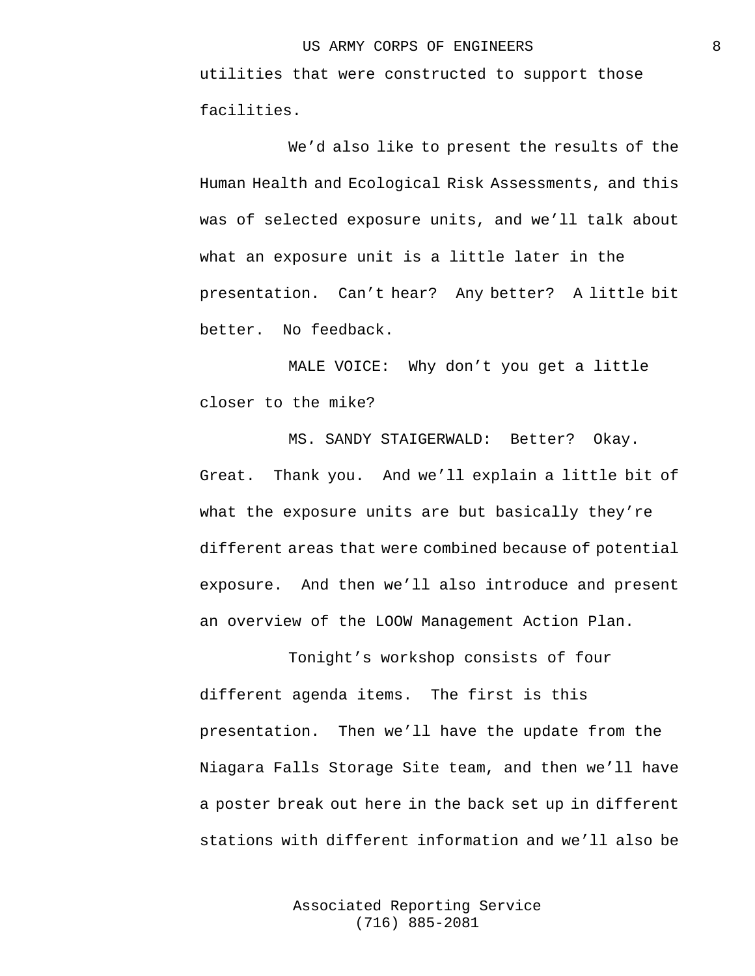utilities that were constructed to support those facilities.

We'd also like to present the results of the Human Health and Ecological Risk Assessments, and this was of selected exposure units, and we'll talk about what an exposure unit is a little later in the presentation. Can't hear? Any better? A little bit better. No feedback.

MALE VOICE: Why don't you get a little closer to the mike?

MS. SANDY STAIGERWALD: Better? Okay. Great. Thank you. And we'll explain a little bit of what the exposure units are but basically they're different areas that were combined because of potential exposure. And then we'll also introduce and present an overview of the LOOW Management Action Plan.

Tonight's workshop consists of four different agenda items. The first is this presentation. Then we'll have the update from the Niagara Falls Storage Site team, and then we'll have a poster break out here in the back set up in different stations with different information and we'll also be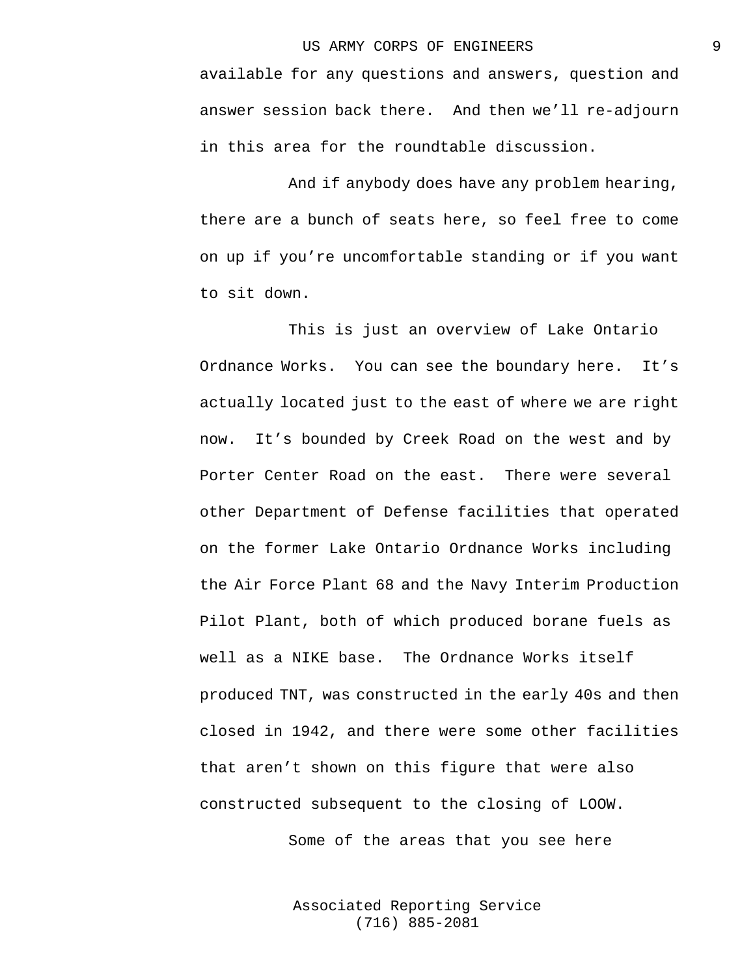available for any questions and answers, question and answer session back there. And then we'll re-adjourn in this area for the roundtable discussion.

And if anybody does have any problem hearing, there are a bunch of seats here, so feel free to come on up if you're uncomfortable standing or if you want to sit down.

This is just an overview of Lake Ontario Ordnance Works. You can see the boundary here. It's actually located just to the east of where we are right now. It's bounded by Creek Road on the west and by Porter Center Road on the east. There were several other Department of Defense facilities that operated on the former Lake Ontario Ordnance Works including the Air Force Plant 68 and the Navy Interim Production Pilot Plant, both of which produced borane fuels as well as a NIKE base. The Ordnance Works itself produced TNT, was constructed in the early 40s and then closed in 1942, and there were some other facilities that aren't shown on this figure that were also constructed subsequent to the closing of LOOW.

Some of the areas that you see here

Associated Reporting Service (716) 885-2081

9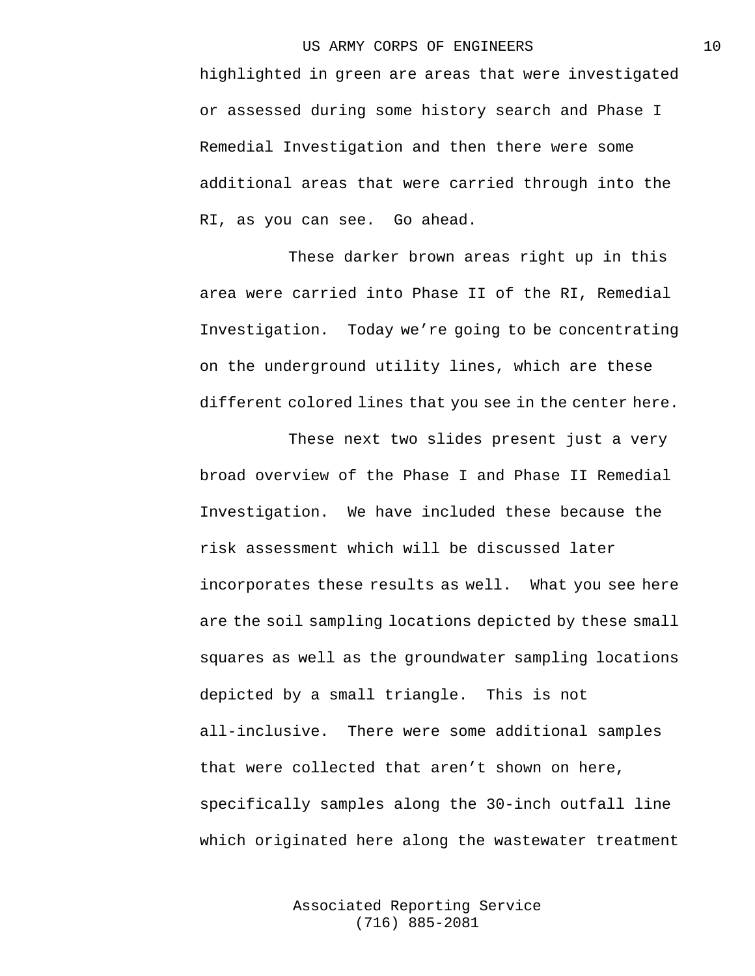highlighted in green are areas that were investigated or assessed during some history search and Phase I Remedial Investigation and then there were some additional areas that were carried through into the RI, as you can see. Go ahead.

These darker brown areas right up in this area were carried into Phase II of the RI, Remedial Investigation. Today we're going to be concentrating on the underground utility lines, which are these different colored lines that you see in the center here.

These next two slides present just a very broad overview of the Phase I and Phase II Remedial Investigation. We have included these because the risk assessment which will be discussed later incorporates these results as well. What you see here are the soil sampling locations depicted by these small squares as well as the groundwater sampling locations depicted by a small triangle. This is not all-inclusive. There were some additional samples that were collected that aren't shown on here, specifically samples along the 30-inch outfall line which originated here along the wastewater treatment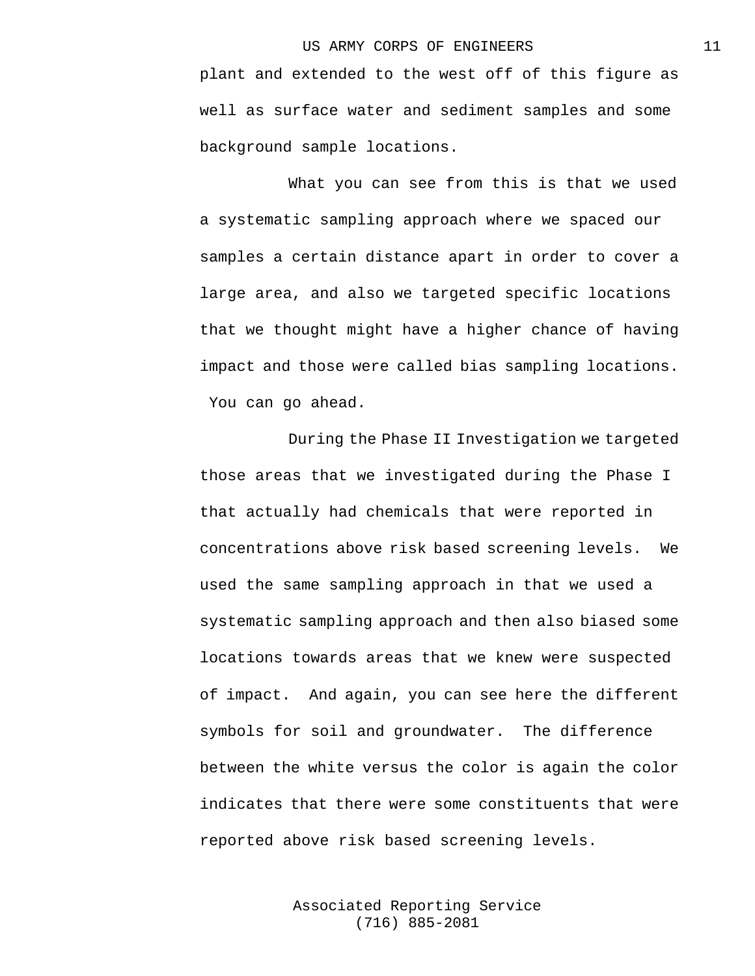plant and extended to the west off of this figure as well as surface water and sediment samples and some background sample locations.

What you can see from this is that we used a systematic sampling approach where we spaced our samples a certain distance apart in order to cover a large area, and also we targeted specific locations that we thought might have a higher chance of having impact and those were called bias sampling locations. You can go ahead.

During the Phase II Investigation we targeted those areas that we investigated during the Phase I that actually had chemicals that were reported in concentrations above risk based screening levels. We used the same sampling approach in that we used a systematic sampling approach and then also biased some locations towards areas that we knew were suspected of impact. And again, you can see here the different symbols for soil and groundwater. The difference between the white versus the color is again the color indicates that there were some constituents that were reported above risk based screening levels.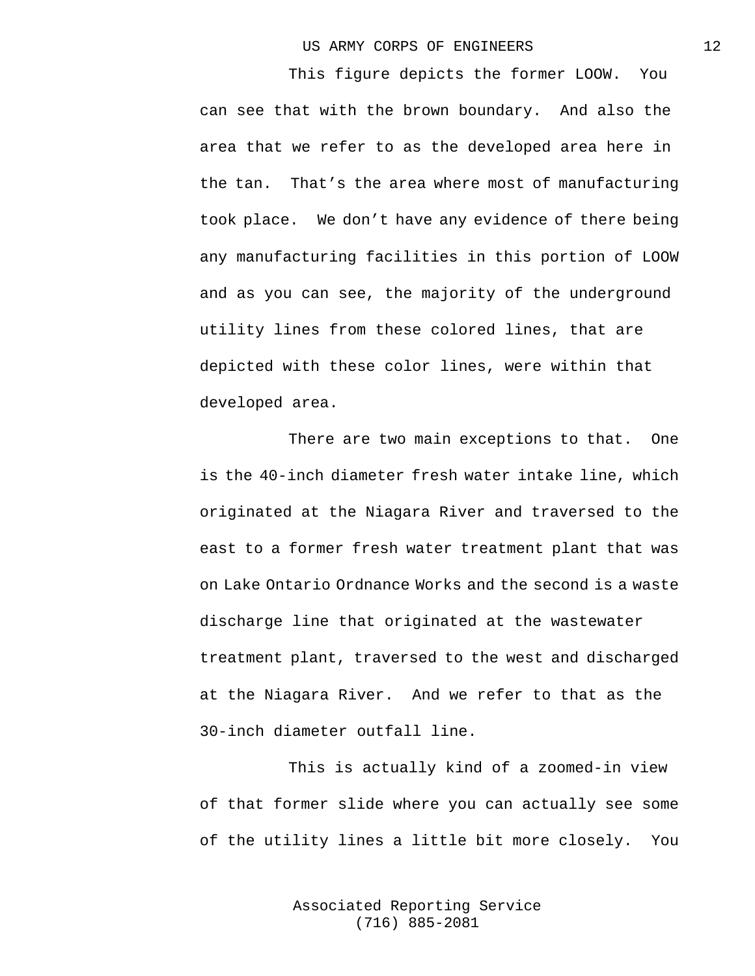This figure depicts the former LOOW. You can see that with the brown boundary. And also the area that we refer to as the developed area here in the tan. That's the area where most of manufacturing took place. We don't have any evidence of there being any manufacturing facilities in this portion of LOOW and as you can see, the majority of the underground utility lines from these colored lines, that are depicted with these color lines, were within that developed area.

There are two main exceptions to that. One is the 40-inch diameter fresh water intake line, which originated at the Niagara River and traversed to the east to a former fresh water treatment plant that was on Lake Ontario Ordnance Works and the second is a waste discharge line that originated at the wastewater treatment plant, traversed to the west and discharged at the Niagara River. And we refer to that as the 30-inch diameter outfall line.

This is actually kind of a zoomed-in view of that former slide where you can actually see some of the utility lines a little bit more closely. You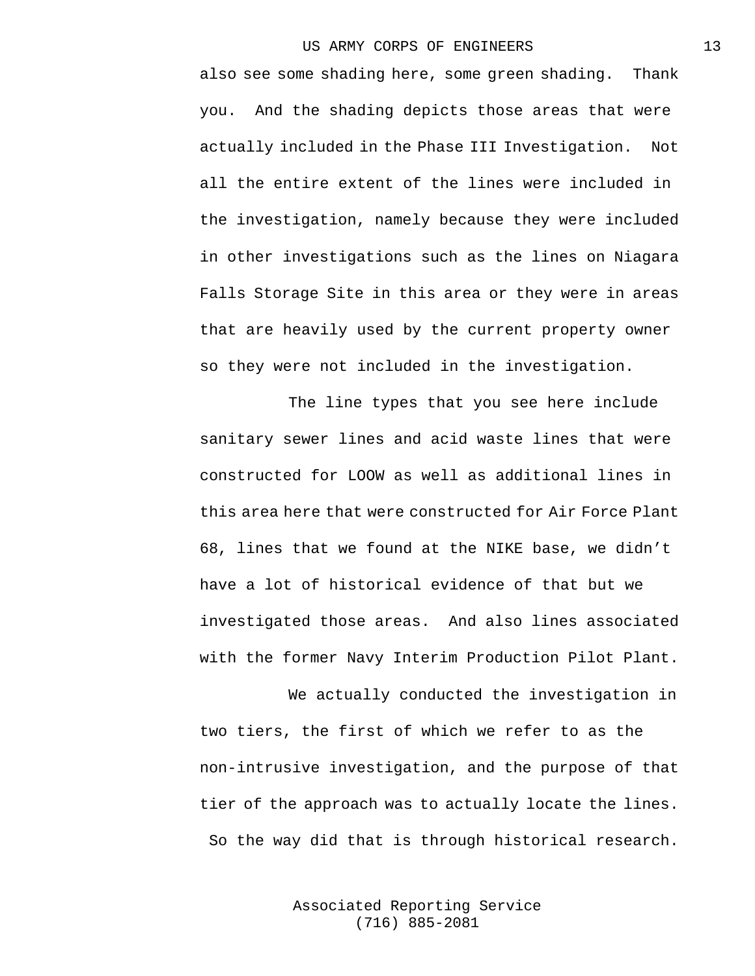also see some shading here, some green shading. Thank you. And the shading depicts those areas that were actually included in the Phase III Investigation. Not all the entire extent of the lines were included in the investigation, namely because they were included in other investigations such as the lines on Niagara Falls Storage Site in this area or they were in areas that are heavily used by the current property owner so they were not included in the investigation.

The line types that you see here include sanitary sewer lines and acid waste lines that were constructed for LOOW as well as additional lines in this area here that were constructed for Air Force Plant 68, lines that we found at the NIKE base, we didn't have a lot of historical evidence of that but we investigated those areas. And also lines associated with the former Navy Interim Production Pilot Plant.

We actually conducted the investigation in two tiers, the first of which we refer to as the non-intrusive investigation, and the purpose of that tier of the approach was to actually locate the lines. So the way did that is through historical research.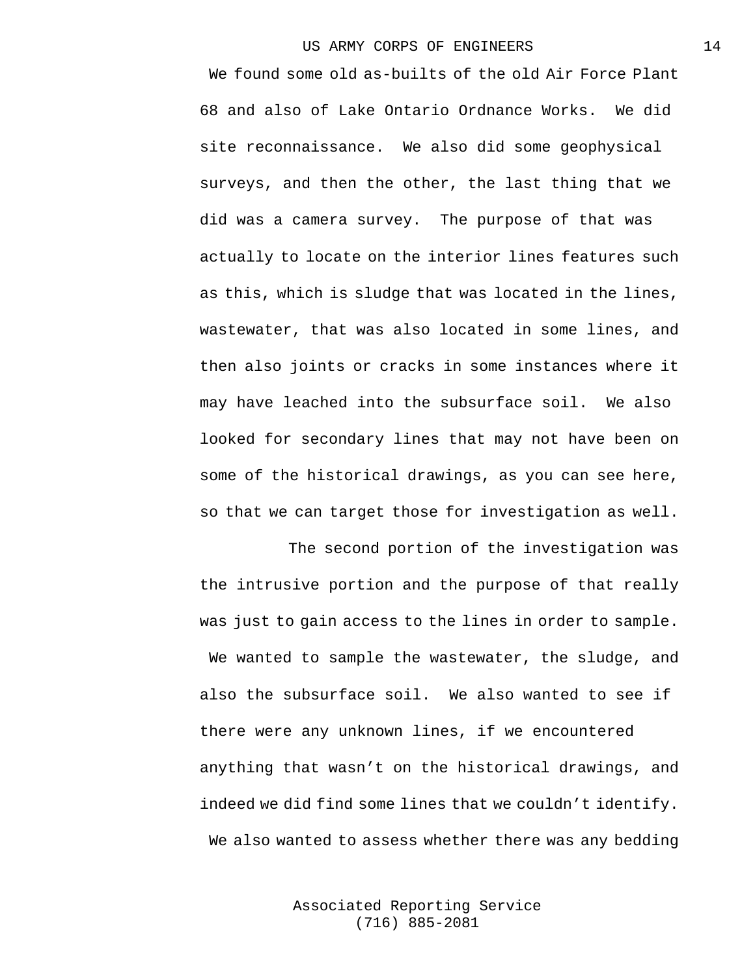We found some old as-builts of the old Air Force Plant 68 and also of Lake Ontario Ordnance Works. We did site reconnaissance. We also did some geophysical surveys, and then the other, the last thing that we did was a camera survey. The purpose of that was actually to locate on the interior lines features such as this, which is sludge that was located in the lines, wastewater, that was also located in some lines, and then also joints or cracks in some instances where it may have leached into the subsurface soil. We also looked for secondary lines that may not have been on some of the historical drawings, as you can see here, so that we can target those for investigation as well.

The second portion of the investigation was the intrusive portion and the purpose of that really was just to gain access to the lines in order to sample. We wanted to sample the wastewater, the sludge, and also the subsurface soil. We also wanted to see if there were any unknown lines, if we encountered anything that wasn't on the historical drawings, and indeed we did find some lines that we couldn't identify. We also wanted to assess whether there was any bedding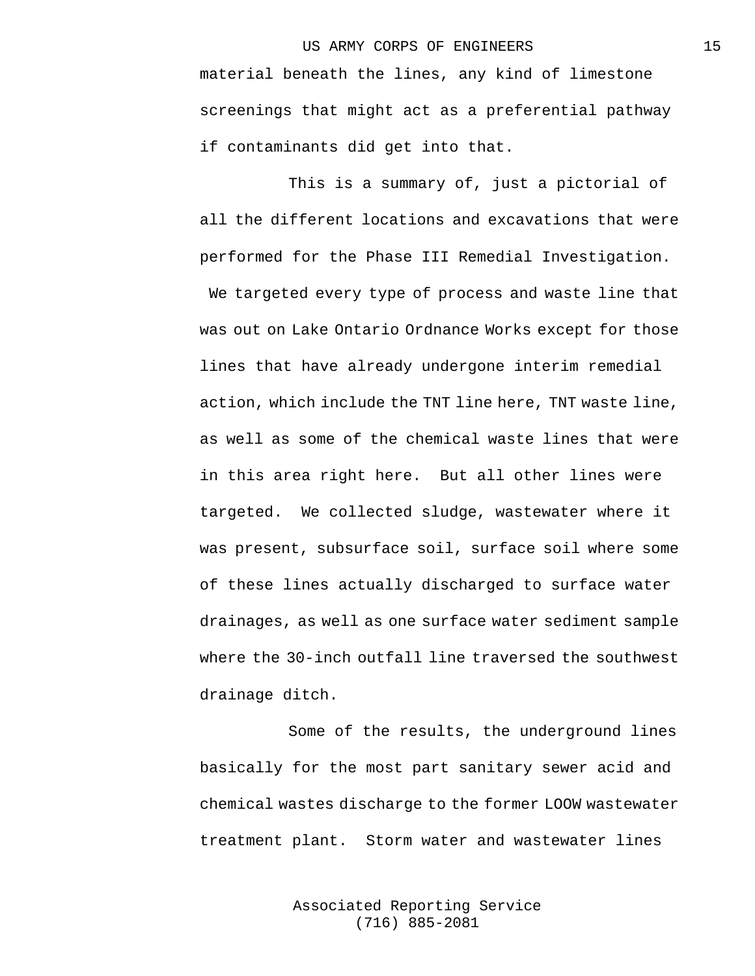material beneath the lines, any kind of limestone screenings that might act as a preferential pathway if contaminants did get into that.

This is a summary of, just a pictorial of all the different locations and excavations that were performed for the Phase III Remedial Investigation. We targeted every type of process and waste line that

was out on Lake Ontario Ordnance Works except for those lines that have already undergone interim remedial action, which include the TNT line here, TNT waste line, as well as some of the chemical waste lines that were in this area right here. But all other lines were targeted. We collected sludge, wastewater where it was present, subsurface soil, surface soil where some of these lines actually discharged to surface water drainages, as well as one surface water sediment sample where the 30-inch outfall line traversed the southwest drainage ditch.

Some of the results, the underground lines basically for the most part sanitary sewer acid and chemical wastes discharge to the former LOOW wastewater treatment plant. Storm water and wastewater lines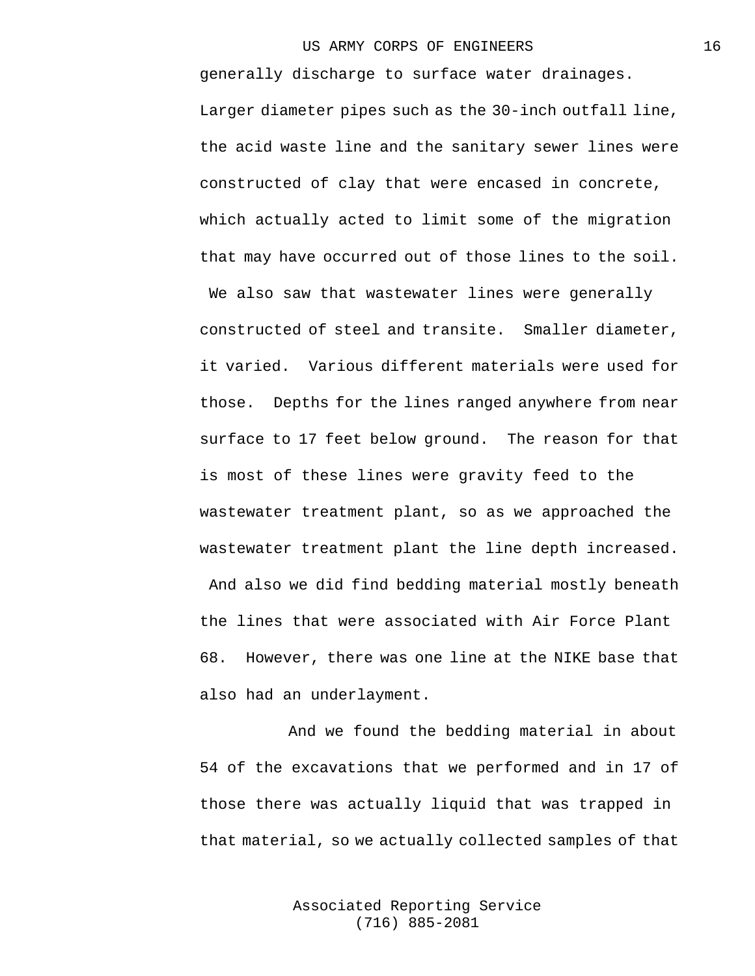generally discharge to surface water drainages. Larger diameter pipes such as the 30-inch outfall line, the acid waste line and the sanitary sewer lines were constructed of clay that were encased in concrete, which actually acted to limit some of the migration that may have occurred out of those lines to the soil.

We also saw that wastewater lines were generally constructed of steel and transite. Smaller diameter, it varied. Various different materials were used for those. Depths for the lines ranged anywhere from near surface to 17 feet below ground. The reason for that is most of these lines were gravity feed to the wastewater treatment plant, so as we approached the wastewater treatment plant the line depth increased. And also we did find bedding material mostly beneath the lines that were associated with Air Force Plant 68. However, there was one line at the NIKE base that also had an underlayment.

And we found the bedding material in about 54 of the excavations that we performed and in 17 of those there was actually liquid that was trapped in that material, so we actually collected samples of that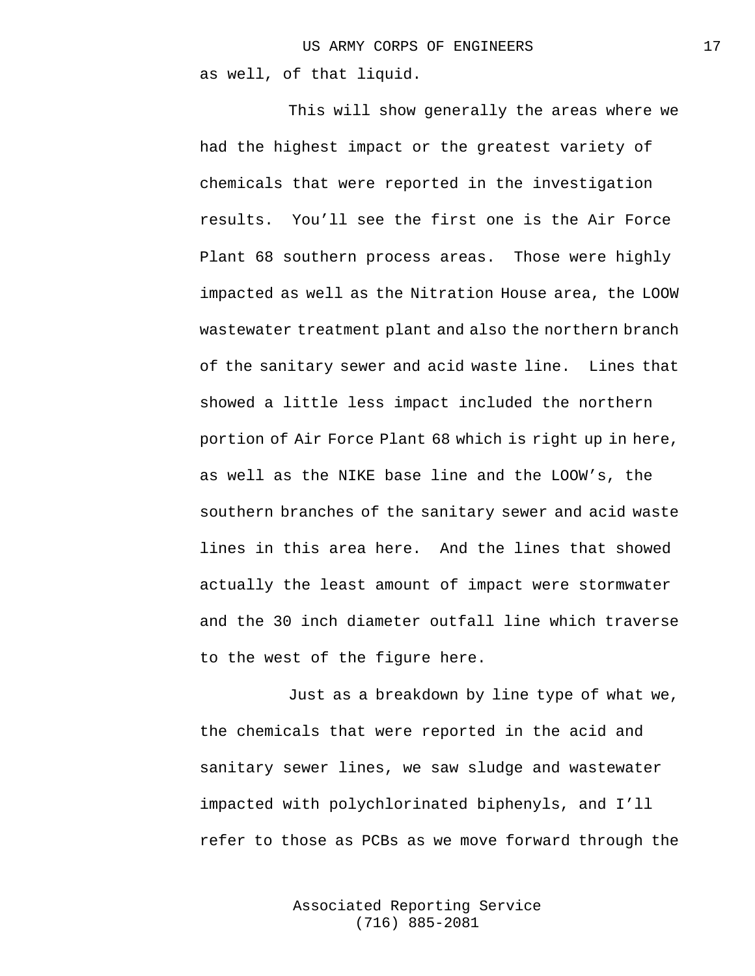This will show generally the areas where we had the highest impact or the greatest variety of chemicals that were reported in the investigation results. You'll see the first one is the Air Force Plant 68 southern process areas. Those were highly impacted as well as the Nitration House area, the LOOW wastewater treatment plant and also the northern branch of the sanitary sewer and acid waste line. Lines that showed a little less impact included the northern portion of Air Force Plant 68 which is right up in here, as well as the NIKE base line and the LOOW's, the southern branches of the sanitary sewer and acid waste lines in this area here. And the lines that showed actually the least amount of impact were stormwater and the 30 inch diameter outfall line which traverse to the west of the figure here.

Just as a breakdown by line type of what we, the chemicals that were reported in the acid and sanitary sewer lines, we saw sludge and wastewater impacted with polychlorinated biphenyls, and I'll refer to those as PCBs as we move forward through the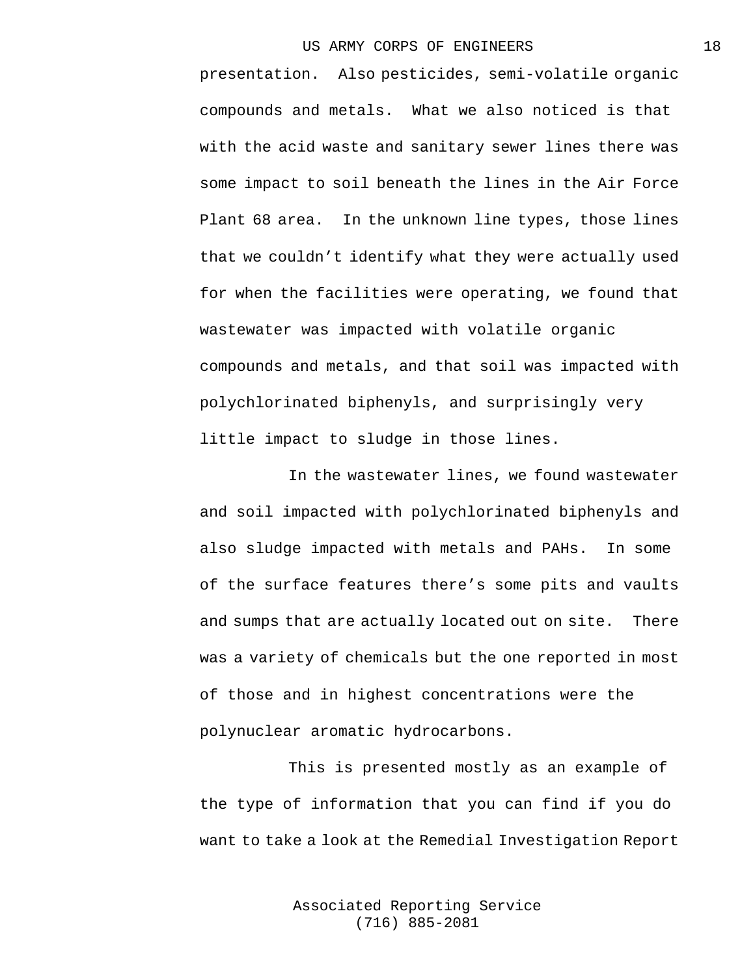presentation. Also pesticides, semi-volatile organic compounds and metals. What we also noticed is that with the acid waste and sanitary sewer lines there was some impact to soil beneath the lines in the Air Force Plant 68 area. In the unknown line types, those lines that we couldn't identify what they were actually used for when the facilities were operating, we found that wastewater was impacted with volatile organic compounds and metals, and that soil was impacted with polychlorinated biphenyls, and surprisingly very little impact to sludge in those lines.

In the wastewater lines, we found wastewater and soil impacted with polychlorinated biphenyls and also sludge impacted with metals and PAHs. In some of the surface features there's some pits and vaults and sumps that are actually located out on site. There was a variety of chemicals but the one reported in most of those and in highest concentrations were the polynuclear aromatic hydrocarbons.

This is presented mostly as an example of the type of information that you can find if you do want to take a look at the Remedial Investigation Report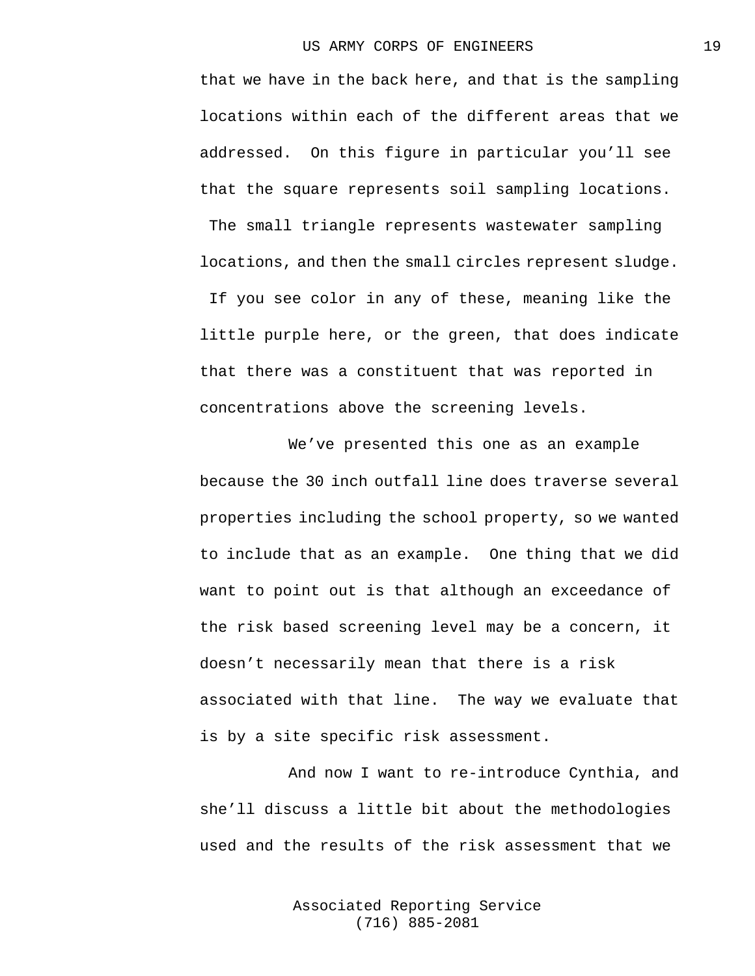that we have in the back here, and that is the sampling locations within each of the different areas that we addressed. On this figure in particular you'll see that the square represents soil sampling locations. The small triangle represents wastewater sampling locations, and then the small circles represent sludge. If you see color in any of these, meaning like the little purple here, or the green, that does indicate that there was a constituent that was reported in concentrations above the screening levels.

We've presented this one as an example because the 30 inch outfall line does traverse several properties including the school property, so we wanted to include that as an example. One thing that we did want to point out is that although an exceedance of the risk based screening level may be a concern, it doesn't necessarily mean that there is a risk associated with that line. The way we evaluate that is by a site specific risk assessment.

And now I want to re-introduce Cynthia, and she'll discuss a little bit about the methodologies used and the results of the risk assessment that we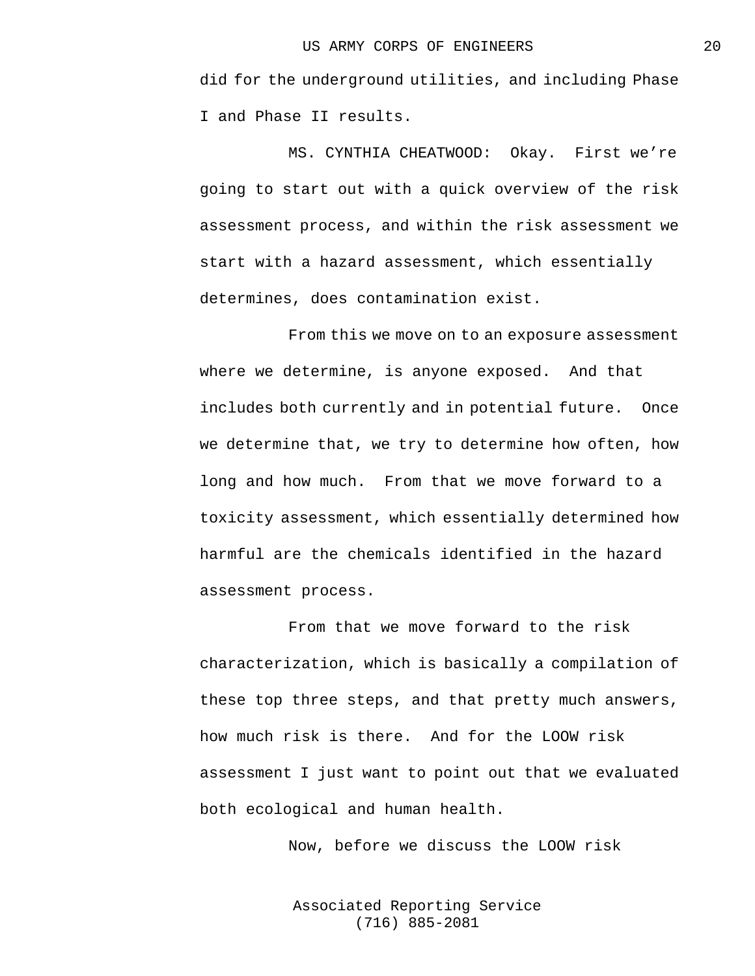did for the underground utilities, and including Phase I and Phase II results.

MS. CYNTHIA CHEATWOOD: Okay. First we're going to start out with a quick overview of the risk assessment process, and within the risk assessment we start with a hazard assessment, which essentially determines, does contamination exist.

From this we move on to an exposure assessment where we determine, is anyone exposed. And that includes both currently and in potential future. Once we determine that, we try to determine how often, how long and how much. From that we move forward to a toxicity assessment, which essentially determined how harmful are the chemicals identified in the hazard assessment process.

From that we move forward to the risk characterization, which is basically a compilation of these top three steps, and that pretty much answers, how much risk is there. And for the LOOW risk assessment I just want to point out that we evaluated both ecological and human health.

Now, before we discuss the LOOW risk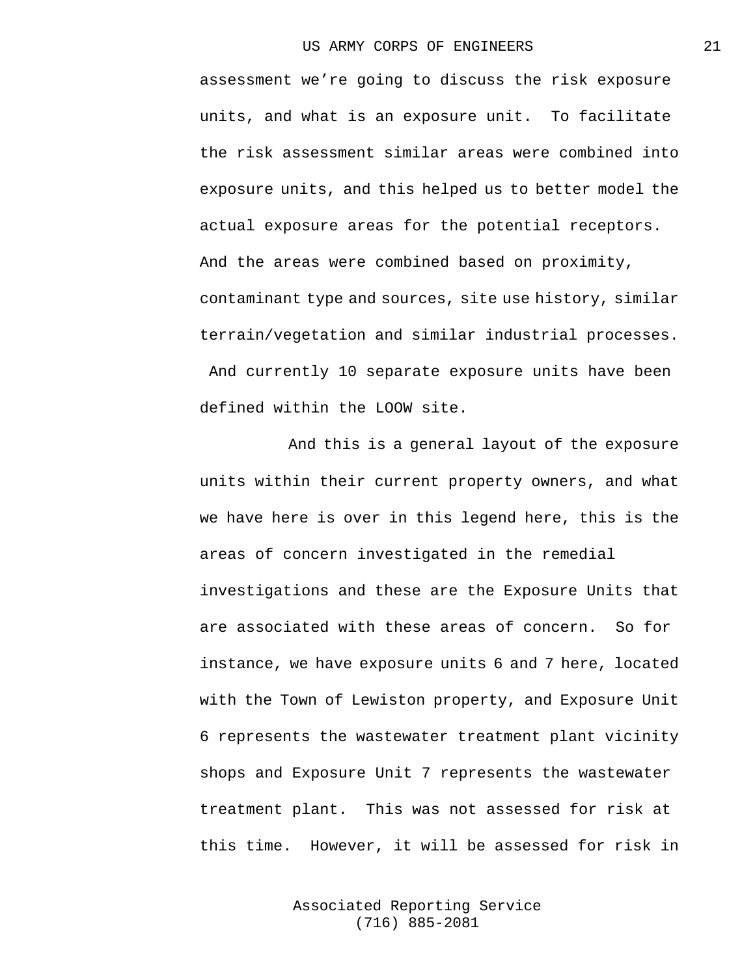assessment we're going to discuss the risk exposure units, and what is an exposure unit. To facilitate the risk assessment similar areas were combined into exposure units, and this helped us to better model the actual exposure areas for the potential receptors. And the areas were combined based on proximity, contaminant type and sources, site use history, similar terrain/vegetation and similar industrial processes. And currently 10 separate exposure units have been defined within the LOOW site.

And this is a general layout of the exposure units within their current property owners, and what we have here is over in this legend here, this is the areas of concern investigated in the remedial investigations and these are the Exposure Units that are associated with these areas of concern. So for instance, we have exposure units 6 and 7 here, located with the Town of Lewiston property, and Exposure Unit 6 represents the wastewater treatment plant vicinity shops and Exposure Unit 7 represents the wastewater treatment plant. This was not assessed for risk at this time. However, it will be assessed for risk in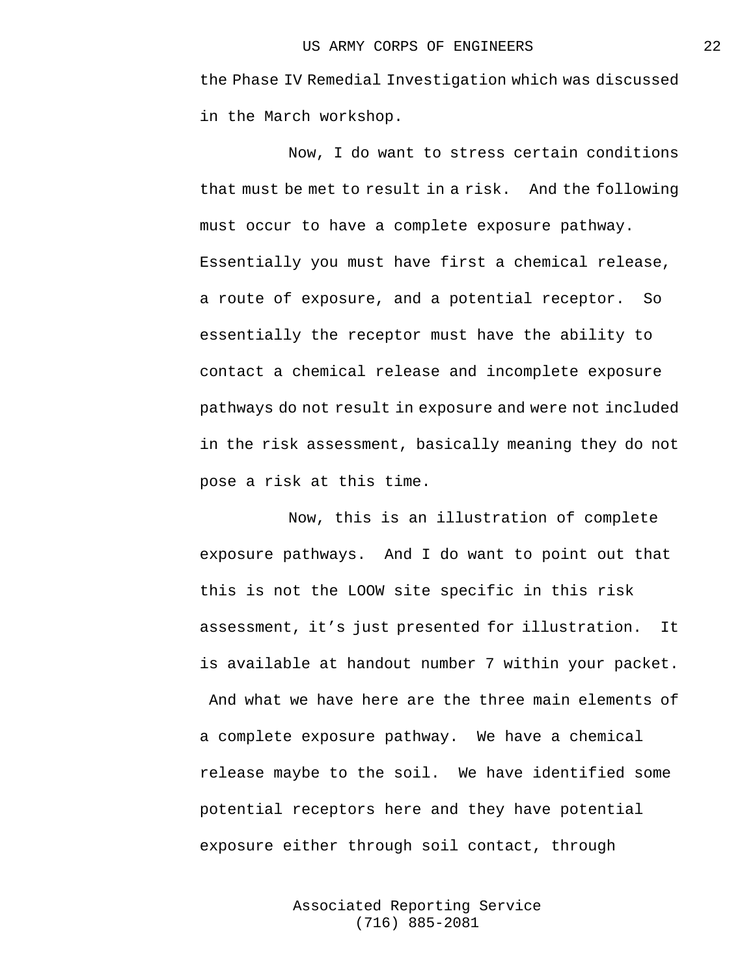the Phase IV Remedial Investigation which was discussed in the March workshop.

Now, I do want to stress certain conditions that must be met to result in a risk. And the following must occur to have a complete exposure pathway. Essentially you must have first a chemical release, a route of exposure, and a potential receptor. So essentially the receptor must have the ability to contact a chemical release and incomplete exposure pathways do not result in exposure and were not included in the risk assessment, basically meaning they do not pose a risk at this time.

Now, this is an illustration of complete exposure pathways. And I do want to point out that this is not the LOOW site specific in this risk assessment, it's just presented for illustration. It is available at handout number 7 within your packet. And what we have here are the three main elements of a complete exposure pathway. We have a chemical release maybe to the soil. We have identified some potential receptors here and they have potential exposure either through soil contact, through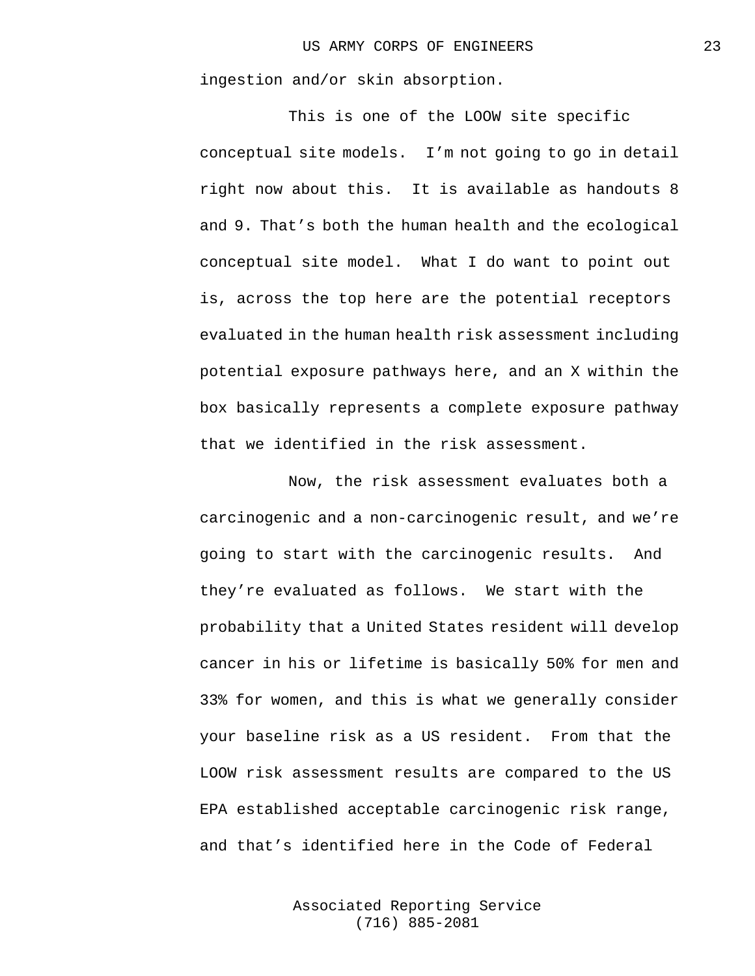ingestion and/or skin absorption.

This is one of the LOOW site specific conceptual site models. I'm not going to go in detail right now about this. It is available as handouts 8 and 9. That's both the human health and the ecological conceptual site model. What I do want to point out is, across the top here are the potential receptors evaluated in the human health risk assessment including potential exposure pathways here, and an X within the box basically represents a complete exposure pathway that we identified in the risk assessment.

Now, the risk assessment evaluates both a carcinogenic and a non-carcinogenic result, and we're going to start with the carcinogenic results. And they're evaluated as follows. We start with the probability that a United States resident will develop cancer in his or lifetime is basically 50% for men and 33% for women, and this is what we generally consider your baseline risk as a US resident. From that the LOOW risk assessment results are compared to the US EPA established acceptable carcinogenic risk range, and that's identified here in the Code of Federal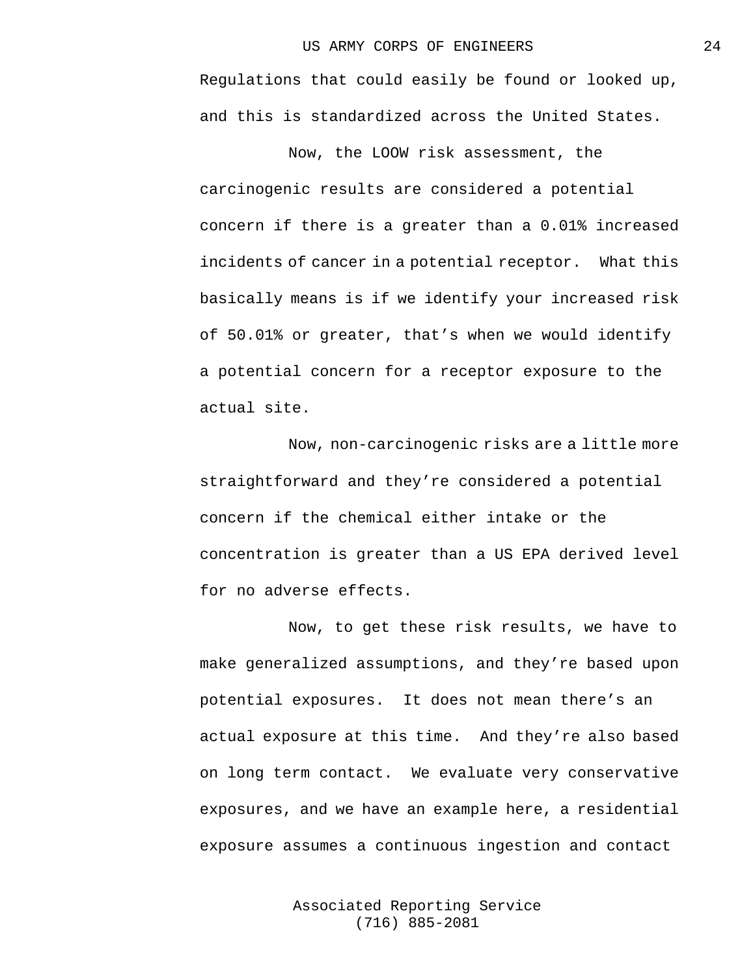Regulations that could easily be found or looked up, and this is standardized across the United States.

Now, the LOOW risk assessment, the carcinogenic results are considered a potential concern if there is a greater than a 0.01% increased incidents of cancer in a potential receptor. What this basically means is if we identify your increased risk of 50.01% or greater, that's when we would identify a potential concern for a receptor exposure to the actual site.

Now, non-carcinogenic risks are a little more straightforward and they're considered a potential concern if the chemical either intake or the concentration is greater than a US EPA derived level for no adverse effects.

Now, to get these risk results, we have to make generalized assumptions, and they're based upon potential exposures. It does not mean there's an actual exposure at this time. And they're also based on long term contact. We evaluate very conservative exposures, and we have an example here, a residential exposure assumes a continuous ingestion and contact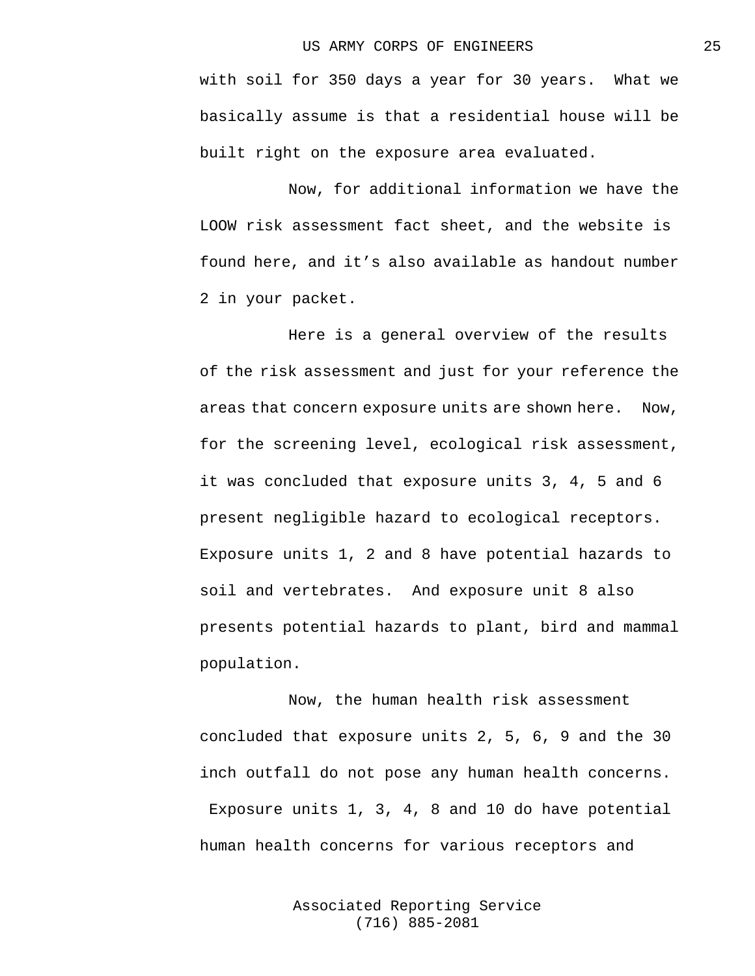with soil for 350 days a year for 30 years. What we basically assume is that a residential house will be built right on the exposure area evaluated.

Now, for additional information we have the LOOW risk assessment fact sheet, and the website is found here, and it's also available as handout number 2 in your packet.

Here is a general overview of the results of the risk assessment and just for your reference the areas that concern exposure units are shown here. Now, for the screening level, ecological risk assessment, it was concluded that exposure units 3, 4, 5 and 6 present negligible hazard to ecological receptors. Exposure units 1, 2 and 8 have potential hazards to soil and vertebrates. And exposure unit 8 also presents potential hazards to plant, bird and mammal population.

Now, the human health risk assessment concluded that exposure units 2, 5, 6, 9 and the 30 inch outfall do not pose any human health concerns. Exposure units 1, 3, 4, 8 and 10 do have potential human health concerns for various receptors and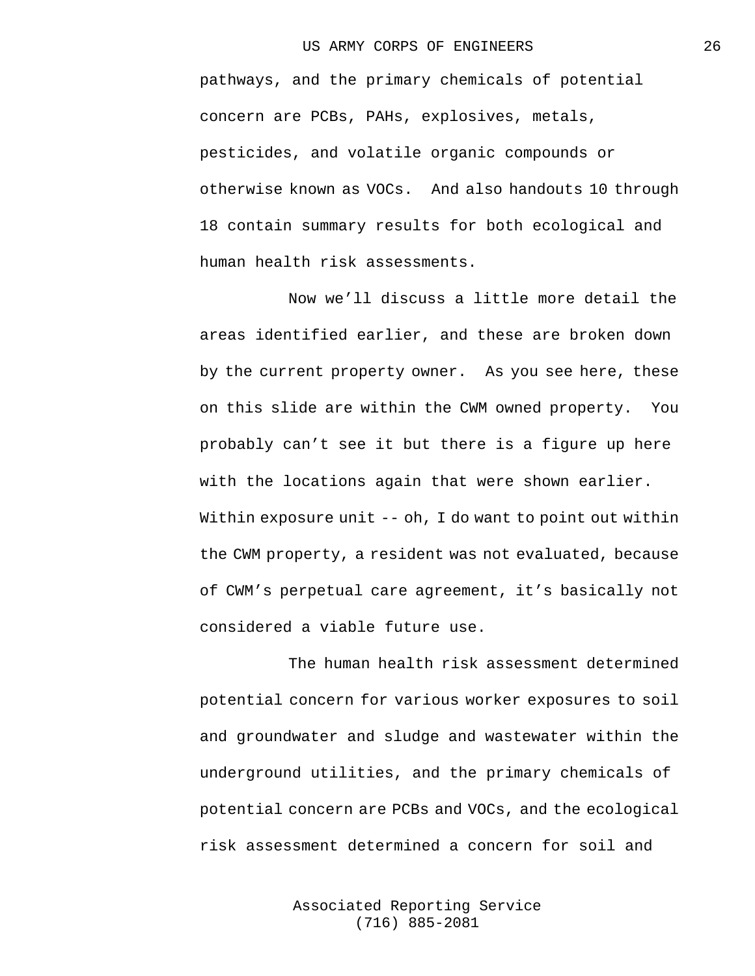pathways, and the primary chemicals of potential concern are PCBs, PAHs, explosives, metals, pesticides, and volatile organic compounds or otherwise known as VOCs. And also handouts 10 through 18 contain summary results for both ecological and human health risk assessments.

Now we'll discuss a little more detail the areas identified earlier, and these are broken down by the current property owner. As you see here, these on this slide are within the CWM owned property. You probably can't see it but there is a figure up here with the locations again that were shown earlier. Within exposure unit -- oh, I do want to point out within the CWM property, a resident was not evaluated, because of CWM's perpetual care agreement, it's basically not considered a viable future use.

The human health risk assessment determined potential concern for various worker exposures to soil and groundwater and sludge and wastewater within the underground utilities, and the primary chemicals of potential concern are PCBs and VOCs, and the ecological risk assessment determined a concern for soil and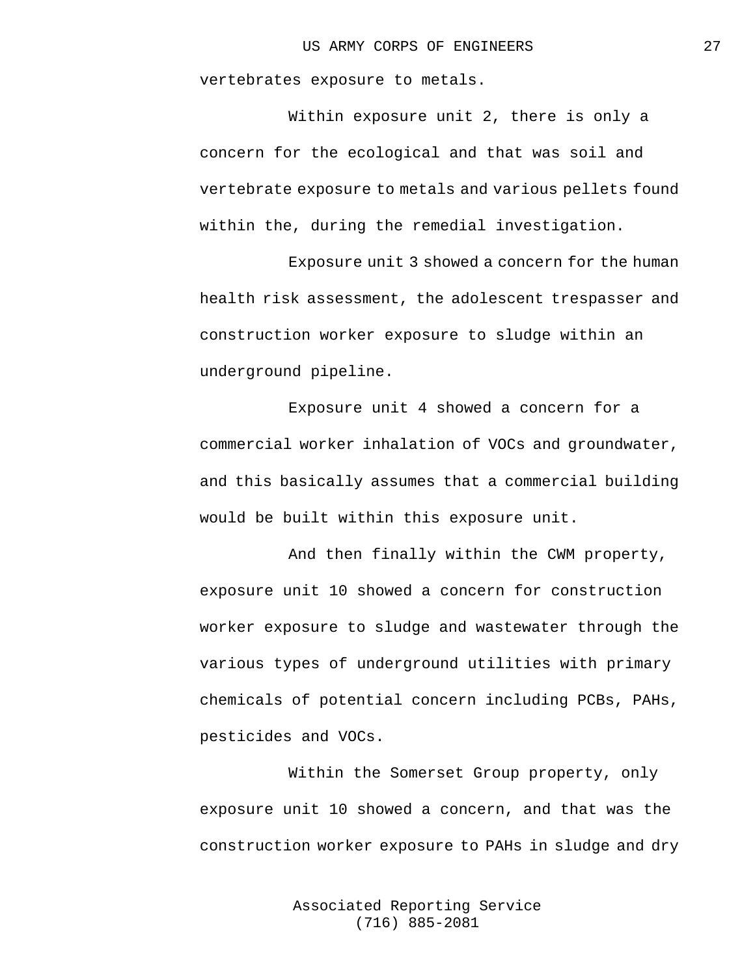vertebrates exposure to metals.

Within exposure unit 2, there is only a concern for the ecological and that was soil and vertebrate exposure to metals and various pellets found within the, during the remedial investigation.

Exposure unit 3 showed a concern for the human health risk assessment, the adolescent trespasser and construction worker exposure to sludge within an underground pipeline.

Exposure unit 4 showed a concern for a commercial worker inhalation of VOCs and groundwater, and this basically assumes that a commercial building would be built within this exposure unit.

And then finally within the CWM property, exposure unit 10 showed a concern for construction worker exposure to sludge and wastewater through the various types of underground utilities with primary chemicals of potential concern including PCBs, PAHs, pesticides and VOCs.

Within the Somerset Group property, only exposure unit 10 showed a concern, and that was the construction worker exposure to PAHs in sludge and dry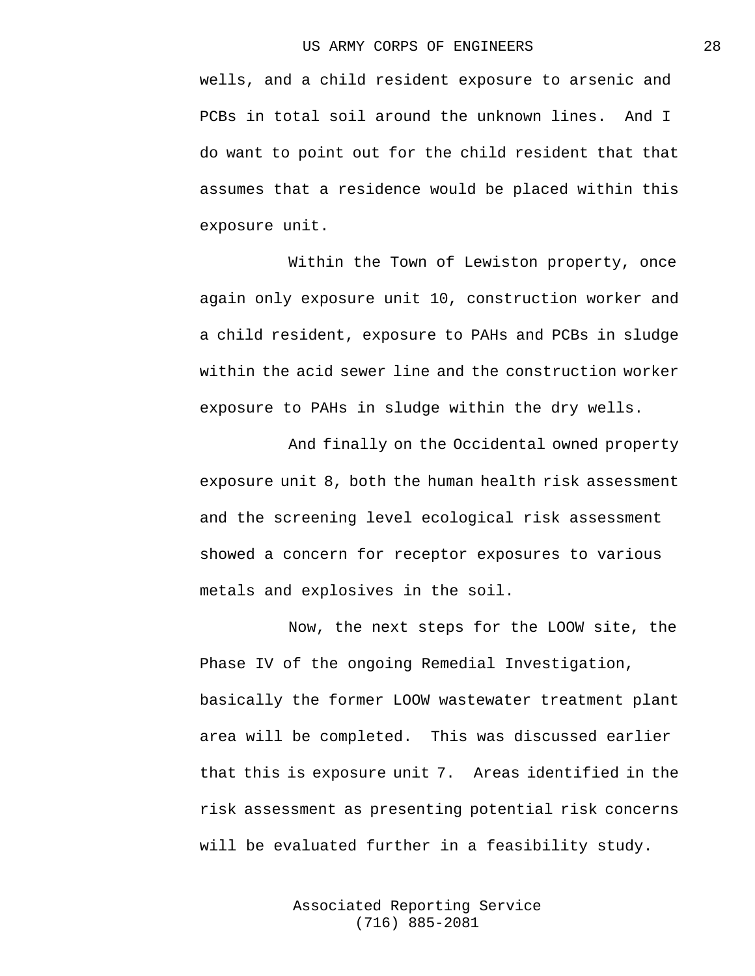wells, and a child resident exposure to arsenic and PCBs in total soil around the unknown lines. And I do want to point out for the child resident that that assumes that a residence would be placed within this exposure unit.

Within the Town of Lewiston property, once again only exposure unit 10, construction worker and a child resident, exposure to PAHs and PCBs in sludge within the acid sewer line and the construction worker exposure to PAHs in sludge within the dry wells.

And finally on the Occidental owned property exposure unit 8, both the human health risk assessment and the screening level ecological risk assessment showed a concern for receptor exposures to various metals and explosives in the soil.

Now, the next steps for the LOOW site, the Phase IV of the ongoing Remedial Investigation, basically the former LOOW wastewater treatment plant area will be completed. This was discussed earlier that this is exposure unit 7. Areas identified in the risk assessment as presenting potential risk concerns will be evaluated further in a feasibility study.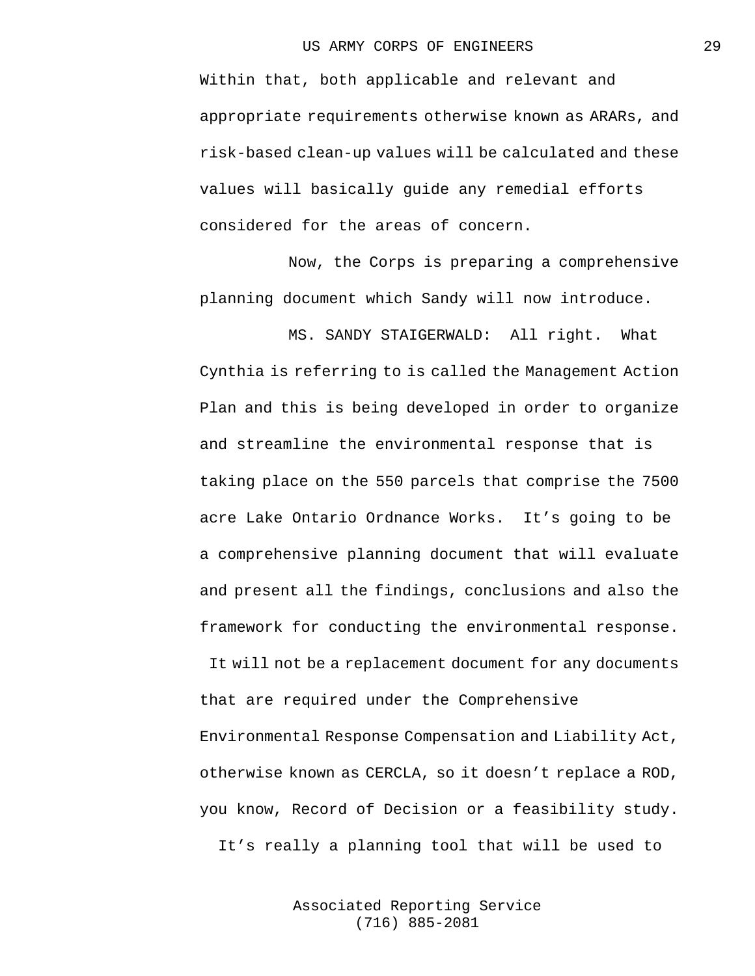Within that, both applicable and relevant and appropriate requirements otherwise known as ARARs, and risk-based clean-up values will be calculated and these values will basically guide any remedial efforts considered for the areas of concern.

Now, the Corps is preparing a comprehensive planning document which Sandy will now introduce.

MS. SANDY STAIGERWALD: All right. What Cynthia is referring to is called the Management Action Plan and this is being developed in order to organize and streamline the environmental response that is taking place on the 550 parcels that comprise the 7500 acre Lake Ontario Ordnance Works. It's going to be a comprehensive planning document that will evaluate and present all the findings, conclusions and also the framework for conducting the environmental response.

It will not be a replacement document for any documents that are required under the Comprehensive Environmental Response Compensation and Liability Act, otherwise known as CERCLA, so it doesn't replace a ROD, you know, Record of Decision or a feasibility study. It's really a planning tool that will be used to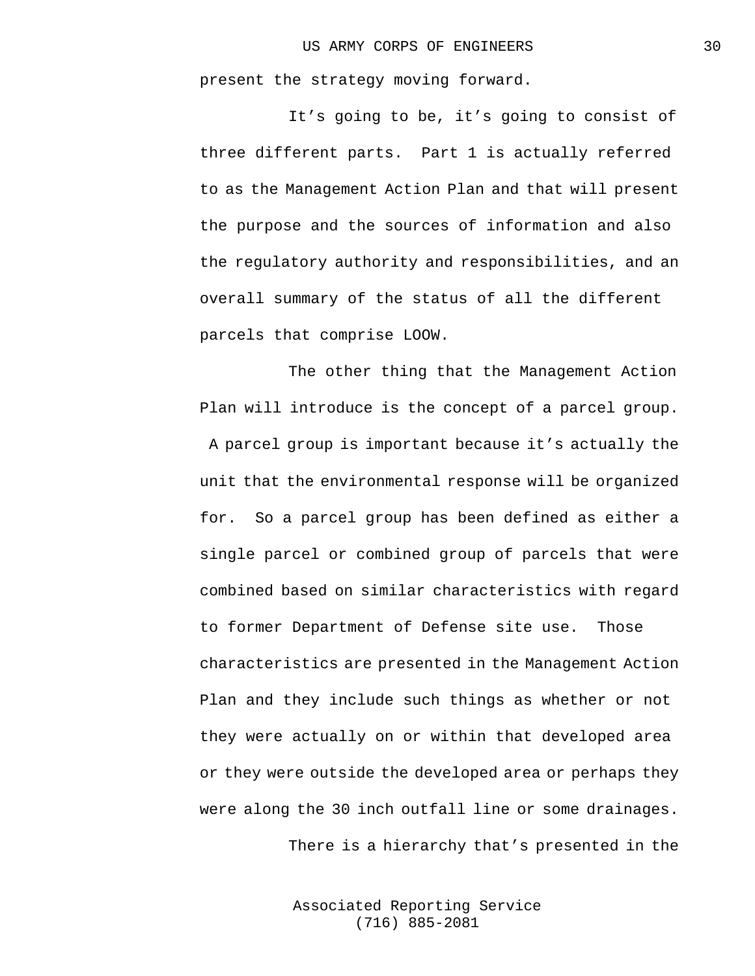present the strategy moving forward.

It's going to be, it's going to consist of three different parts. Part 1 is actually referred to as the Management Action Plan and that will present the purpose and the sources of information and also the regulatory authority and responsibilities, and an overall summary of the status of all the different parcels that comprise LOOW.

The other thing that the Management Action Plan will introduce is the concept of a parcel group. A parcel group is important because it's actually the unit that the environmental response will be organized for. So a parcel group has been defined as either a single parcel or combined group of parcels that were combined based on similar characteristics with regard to former Department of Defense site use. Those characteristics are presented in the Management Action Plan and they include such things as whether or not they were actually on or within that developed area or they were outside the developed area or perhaps they were along the 30 inch outfall line or some drainages.

There is a hierarchy that's presented in the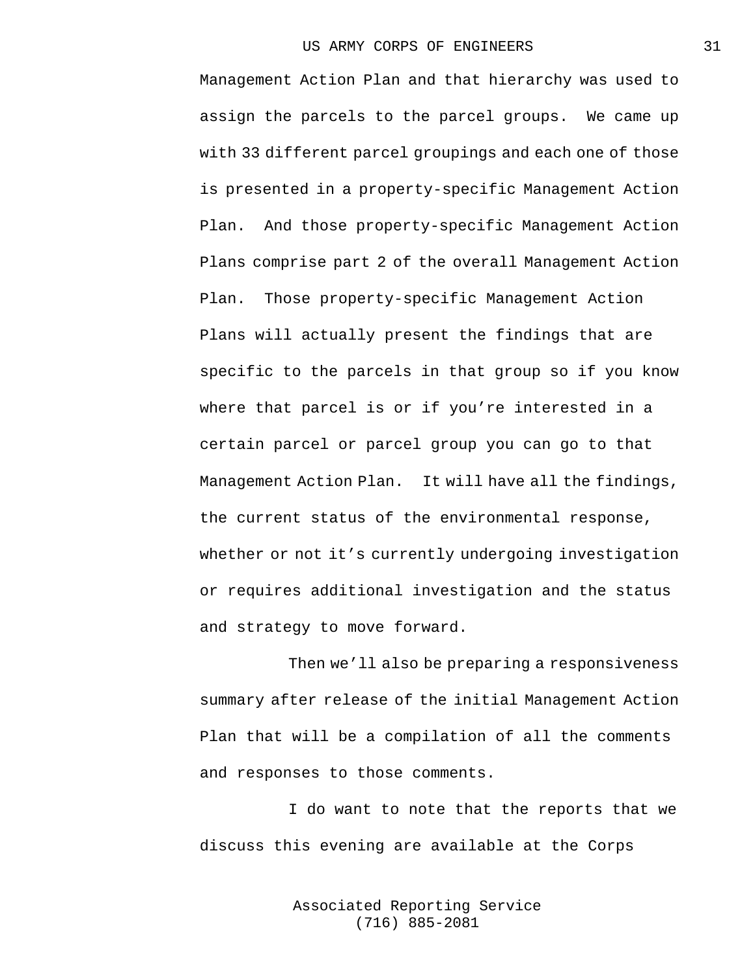Management Action Plan and that hierarchy was used to assign the parcels to the parcel groups. We came up with 33 different parcel groupings and each one of those is presented in a property-specific Management Action Plan. And those property-specific Management Action Plans comprise part 2 of the overall Management Action Plan. Those property-specific Management Action Plans will actually present the findings that are specific to the parcels in that group so if you know where that parcel is or if you're interested in a certain parcel or parcel group you can go to that Management Action Plan. It will have all the findings, the current status of the environmental response, whether or not it's currently undergoing investigation or requires additional investigation and the status and strategy to move forward.

Then we'll also be preparing a responsiveness summary after release of the initial Management Action Plan that will be a compilation of all the comments and responses to those comments.

I do want to note that the reports that we discuss this evening are available at the Corps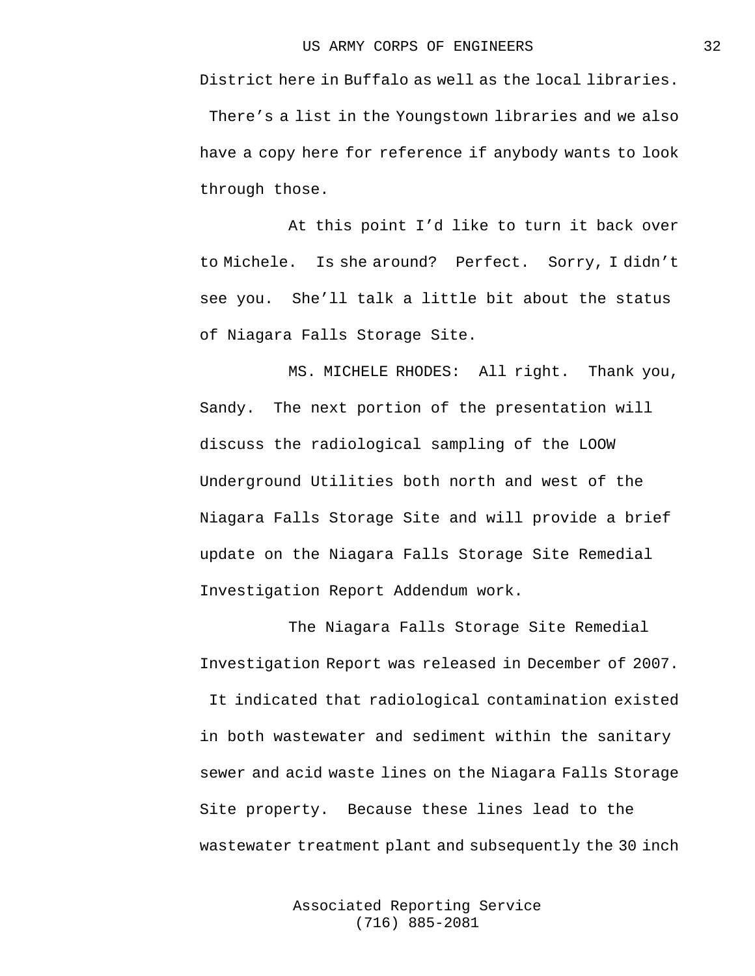District here in Buffalo as well as the local libraries. There's a list in the Youngstown libraries and we also have a copy here for reference if anybody wants to look through those.

At this point I'd like to turn it back over to Michele. Is she around? Perfect. Sorry, I didn't see you. She'll talk a little bit about the status of Niagara Falls Storage Site.

MS. MICHELE RHODES: All right. Thank you, Sandy. The next portion of the presentation will discuss the radiological sampling of the LOOW Underground Utilities both north and west of the Niagara Falls Storage Site and will provide a brief update on the Niagara Falls Storage Site Remedial Investigation Report Addendum work.

The Niagara Falls Storage Site Remedial Investigation Report was released in December of 2007. It indicated that radiological contamination existed in both wastewater and sediment within the sanitary sewer and acid waste lines on the Niagara Falls Storage Site property. Because these lines lead to the wastewater treatment plant and subsequently the 30 inch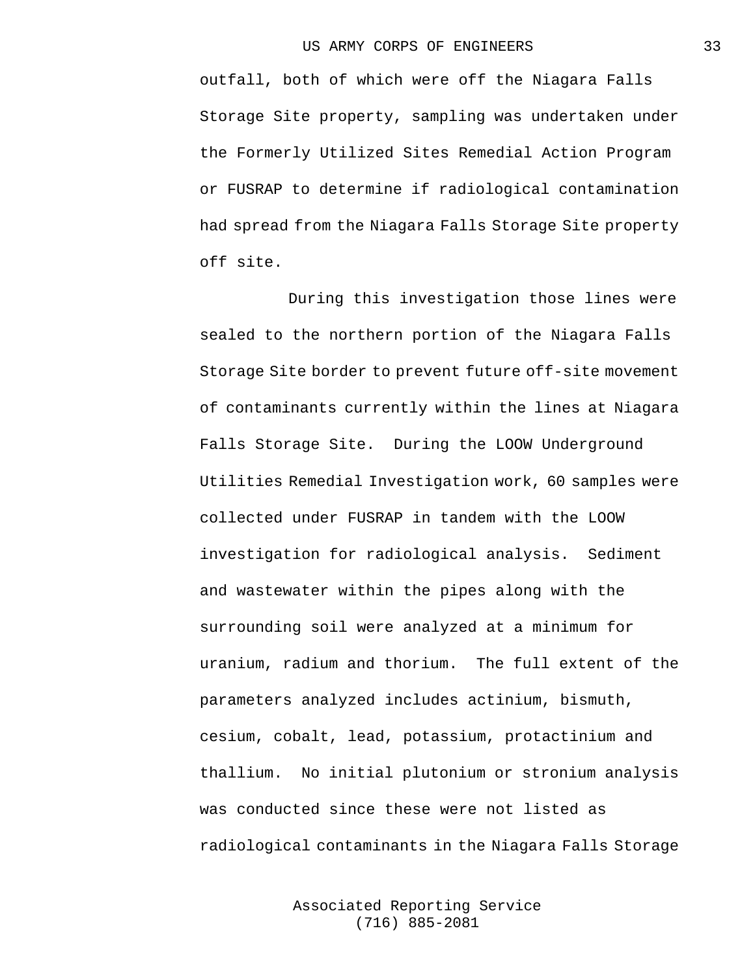outfall, both of which were off the Niagara Falls Storage Site property, sampling was undertaken under the Formerly Utilized Sites Remedial Action Program or FUSRAP to determine if radiological contamination had spread from the Niagara Falls Storage Site property off site.

During this investigation those lines were sealed to the northern portion of the Niagara Falls Storage Site border to prevent future off-site movement of contaminants currently within the lines at Niagara Falls Storage Site. During the LOOW Underground Utilities Remedial Investigation work, 60 samples were collected under FUSRAP in tandem with the LOOW investigation for radiological analysis. Sediment and wastewater within the pipes along with the surrounding soil were analyzed at a minimum for uranium, radium and thorium. The full extent of the parameters analyzed includes actinium, bismuth, cesium, cobalt, lead, potassium, protactinium and thallium. No initial plutonium or stronium analysis was conducted since these were not listed as radiological contaminants in the Niagara Falls Storage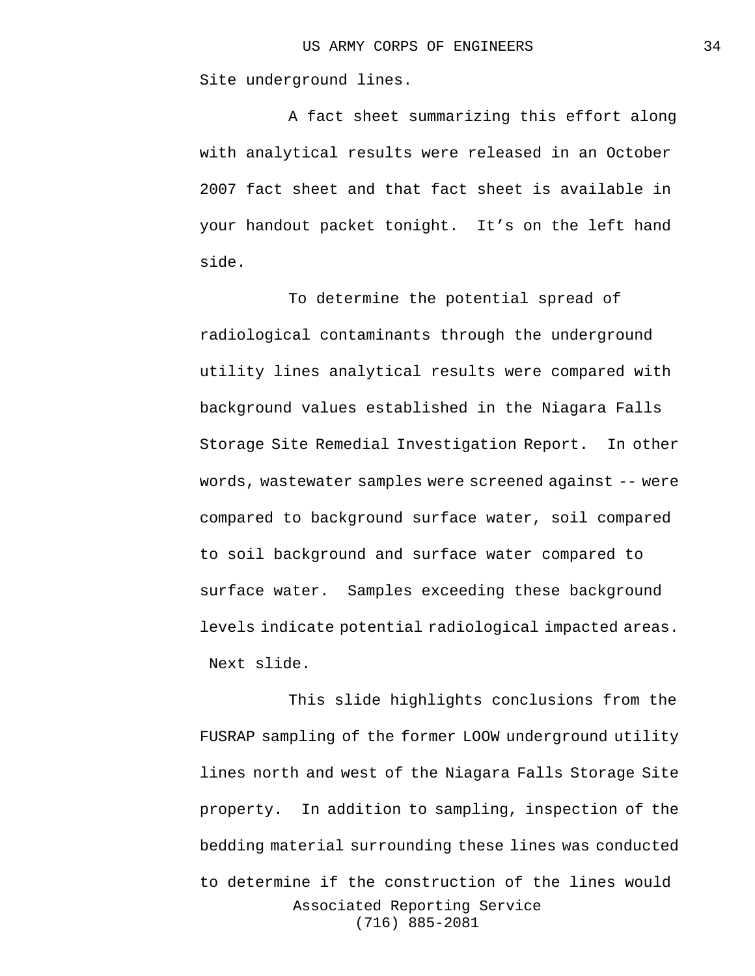Site underground lines.

A fact sheet summarizing this effort along with analytical results were released in an October 2007 fact sheet and that fact sheet is available in your handout packet tonight. It's on the left hand side.

To determine the potential spread of radiological contaminants through the underground utility lines analytical results were compared with background values established in the Niagara Falls Storage Site Remedial Investigation Report. In other words, wastewater samples were screened against -- were compared to background surface water, soil compared to soil background and surface water compared to surface water. Samples exceeding these background levels indicate potential radiological impacted areas. Next slide.

Associated Reporting Service (716) 885-2081 This slide highlights conclusions from the FUSRAP sampling of the former LOOW underground utility lines north and west of the Niagara Falls Storage Site property. In addition to sampling, inspection of the bedding material surrounding these lines was conducted to determine if the construction of the lines would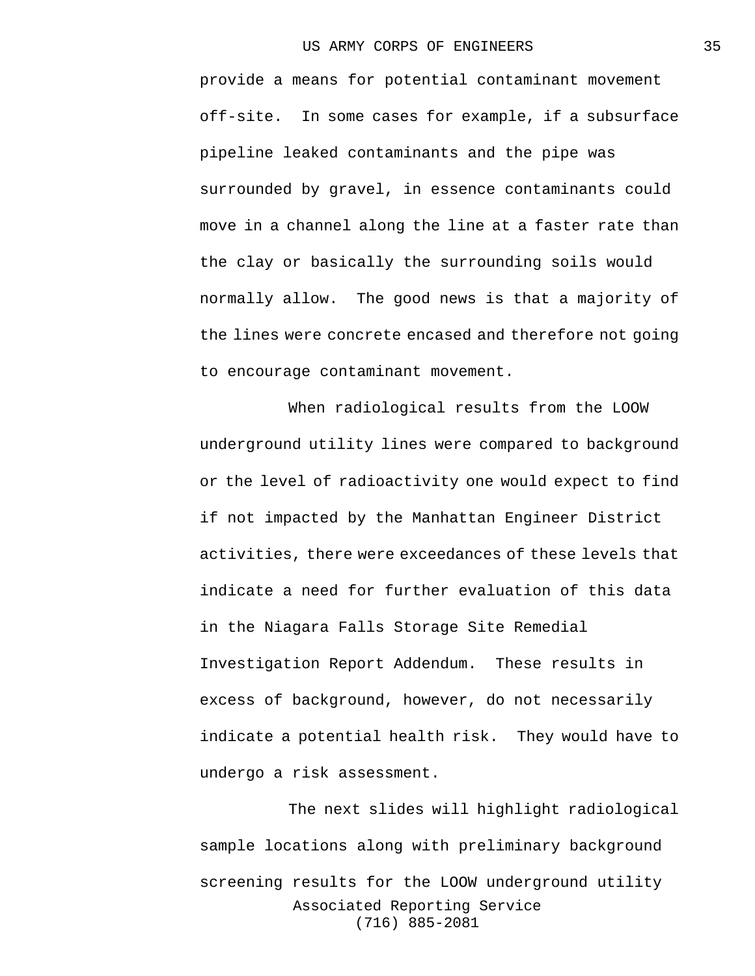provide a means for potential contaminant movement off-site. In some cases for example, if a subsurface pipeline leaked contaminants and the pipe was surrounded by gravel, in essence contaminants could move in a channel along the line at a faster rate than the clay or basically the surrounding soils would normally allow. The good news is that a majority of the lines were concrete encased and therefore not going to encourage contaminant movement.

When radiological results from the LOOW underground utility lines were compared to background or the level of radioactivity one would expect to find if not impacted by the Manhattan Engineer District activities, there were exceedances of these levels that indicate a need for further evaluation of this data in the Niagara Falls Storage Site Remedial Investigation Report Addendum. These results in excess of background, however, do not necessarily indicate a potential health risk. They would have to undergo a risk assessment.

Associated Reporting Service (716) 885-2081 The next slides will highlight radiological sample locations along with preliminary background screening results for the LOOW underground utility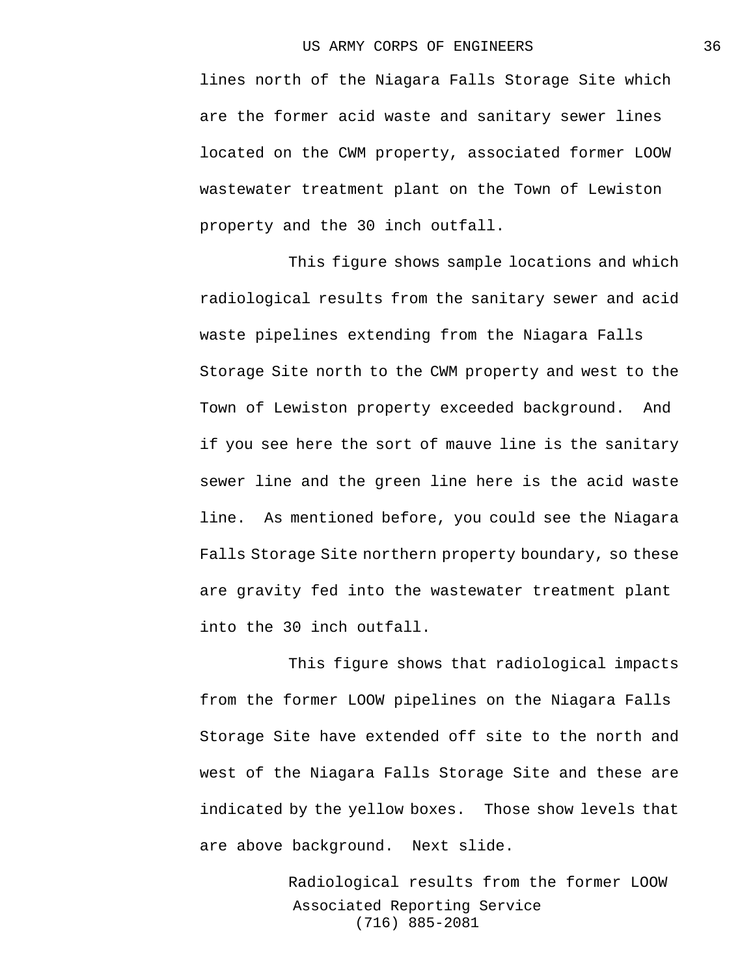lines north of the Niagara Falls Storage Site which are the former acid waste and sanitary sewer lines located on the CWM property, associated former LOOW wastewater treatment plant on the Town of Lewiston property and the 30 inch outfall.

This figure shows sample locations and which radiological results from the sanitary sewer and acid waste pipelines extending from the Niagara Falls Storage Site north to the CWM property and west to the Town of Lewiston property exceeded background. And if you see here the sort of mauve line is the sanitary sewer line and the green line here is the acid waste line. As mentioned before, you could see the Niagara Falls Storage Site northern property boundary, so these are gravity fed into the wastewater treatment plant into the 30 inch outfall.

This figure shows that radiological impacts from the former LOOW pipelines on the Niagara Falls Storage Site have extended off site to the north and west of the Niagara Falls Storage Site and these are indicated by the yellow boxes. Those show levels that are above background. Next slide.

> Associated Reporting Service (716) 885-2081 Radiological results from the former LOOW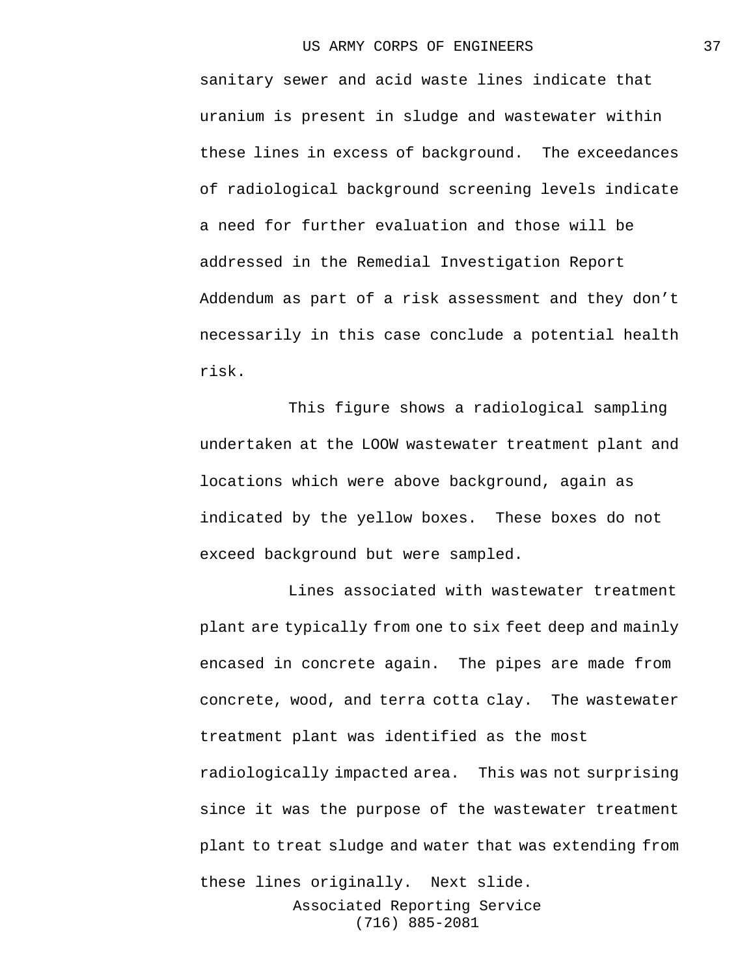sanitary sewer and acid waste lines indicate that uranium is present in sludge and wastewater within these lines in excess of background. The exceedances of radiological background screening levels indicate a need for further evaluation and those will be addressed in the Remedial Investigation Report Addendum as part of a risk assessment and they don't necessarily in this case conclude a potential health risk.

This figure shows a radiological sampling undertaken at the LOOW wastewater treatment plant and locations which were above background, again as indicated by the yellow boxes. These boxes do not exceed background but were sampled.

Lines associated with wastewater treatment plant are typically from one to six feet deep and mainly encased in concrete again. The pipes are made from concrete, wood, and terra cotta clay. The wastewater treatment plant was identified as the most radiologically impacted area. This was not surprising since it was the purpose of the wastewater treatment plant to treat sludge and water that was extending from these lines originally. Next slide.

> Associated Reporting Service (716) 885-2081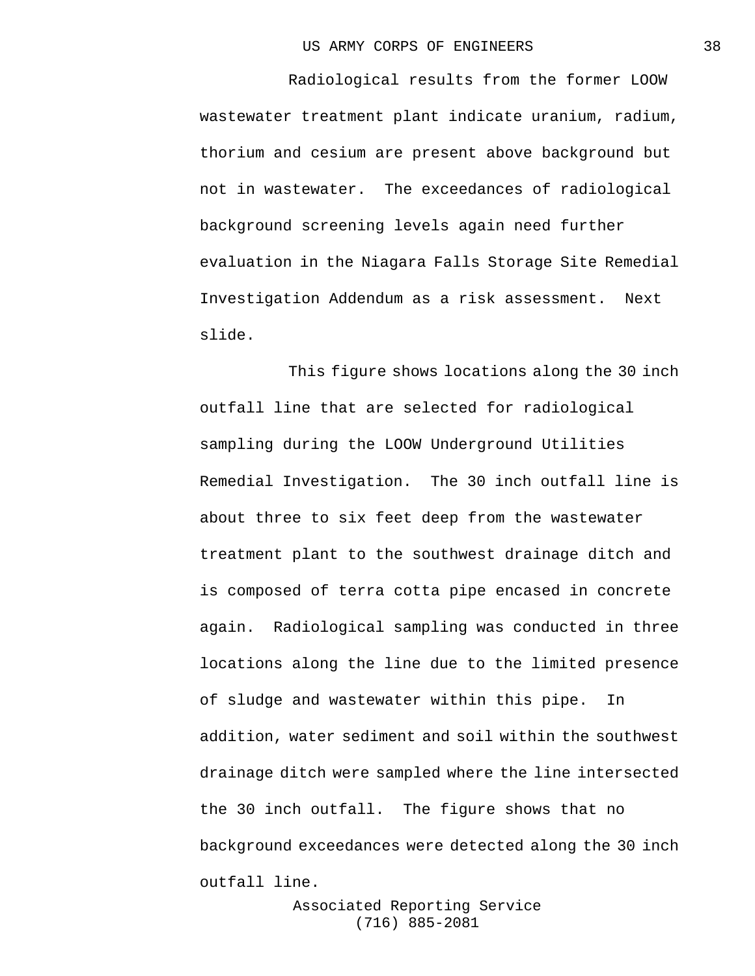Radiological results from the former LOOW wastewater treatment plant indicate uranium, radium, thorium and cesium are present above background but not in wastewater. The exceedances of radiological background screening levels again need further evaluation in the Niagara Falls Storage Site Remedial Investigation Addendum as a risk assessment. Next slide.

This figure shows locations along the 30 inch outfall line that are selected for radiological sampling during the LOOW Underground Utilities Remedial Investigation. The 30 inch outfall line is about three to six feet deep from the wastewater treatment plant to the southwest drainage ditch and is composed of terra cotta pipe encased in concrete again. Radiological sampling was conducted in three locations along the line due to the limited presence of sludge and wastewater within this pipe. In addition, water sediment and soil within the southwest drainage ditch were sampled where the line intersected the 30 inch outfall. The figure shows that no background exceedances were detected along the 30 inch outfall line.

> Associated Reporting Service (716) 885-2081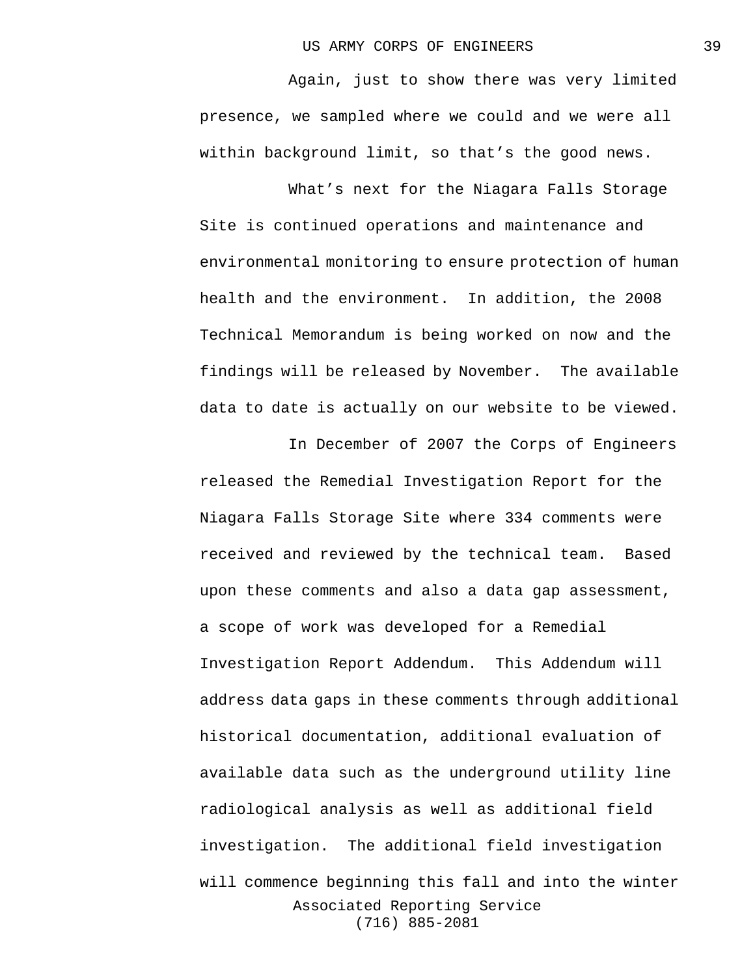Again, just to show there was very limited presence, we sampled where we could and we were all within background limit, so that's the good news.

What's next for the Niagara Falls Storage Site is continued operations and maintenance and environmental monitoring to ensure protection of human health and the environment. In addition, the 2008 Technical Memorandum is being worked on now and the findings will be released by November. The available data to date is actually on our website to be viewed.

Associated Reporting Service (716) 885-2081 In December of 2007 the Corps of Engineers released the Remedial Investigation Report for the Niagara Falls Storage Site where 334 comments were received and reviewed by the technical team. Based upon these comments and also a data gap assessment, a scope of work was developed for a Remedial Investigation Report Addendum. This Addendum will address data gaps in these comments through additional historical documentation, additional evaluation of available data such as the underground utility line radiological analysis as well as additional field investigation. The additional field investigation will commence beginning this fall and into the winter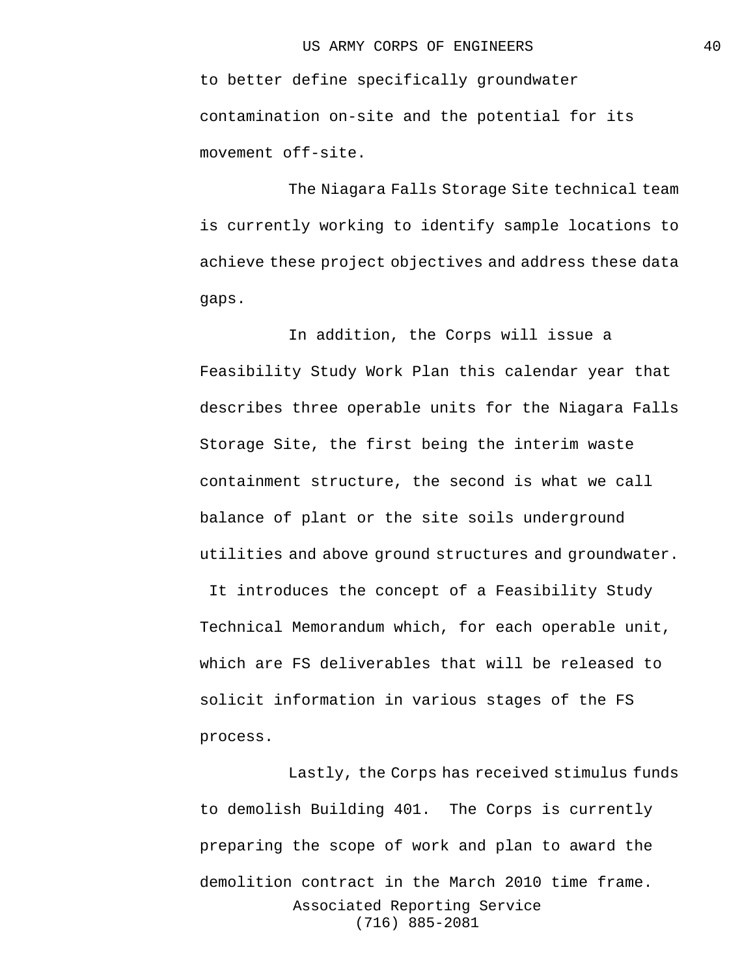to better define specifically groundwater contamination on-site and the potential for its movement off-site.

The Niagara Falls Storage Site technical team is currently working to identify sample locations to achieve these project objectives and address these data gaps.

In addition, the Corps will issue a Feasibility Study Work Plan this calendar year that describes three operable units for the Niagara Falls Storage Site, the first being the interim waste containment structure, the second is what we call balance of plant or the site soils underground utilities and above ground structures and groundwater. It introduces the concept of a Feasibility Study Technical Memorandum which, for each operable unit, which are FS deliverables that will be released to

solicit information in various stages of the FS process.

Associated Reporting Service (716) 885-2081 Lastly, the Corps has received stimulus funds to demolish Building 401. The Corps is currently preparing the scope of work and plan to award the demolition contract in the March 2010 time frame.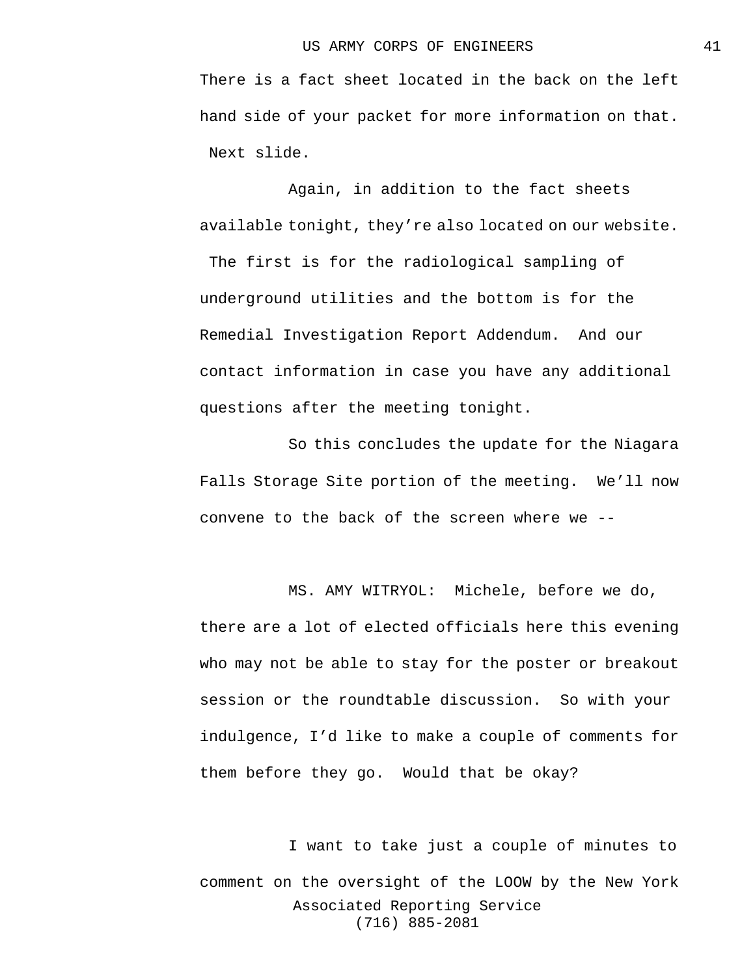There is a fact sheet located in the back on the left hand side of your packet for more information on that. Next slide.

Again, in addition to the fact sheets available tonight, they're also located on our website. The first is for the radiological sampling of underground utilities and the bottom is for the Remedial Investigation Report Addendum. And our contact information in case you have any additional questions after the meeting tonight.

So this concludes the update for the Niagara Falls Storage Site portion of the meeting. We'll now convene to the back of the screen where we --

MS. AMY WITRYOL: Michele, before we do, there are a lot of elected officials here this evening who may not be able to stay for the poster or breakout session or the roundtable discussion. So with your indulgence, I'd like to make a couple of comments for them before they go. Would that be okay?

Associated Reporting Service (716) 885-2081 I want to take just a couple of minutes to comment on the oversight of the LOOW by the New York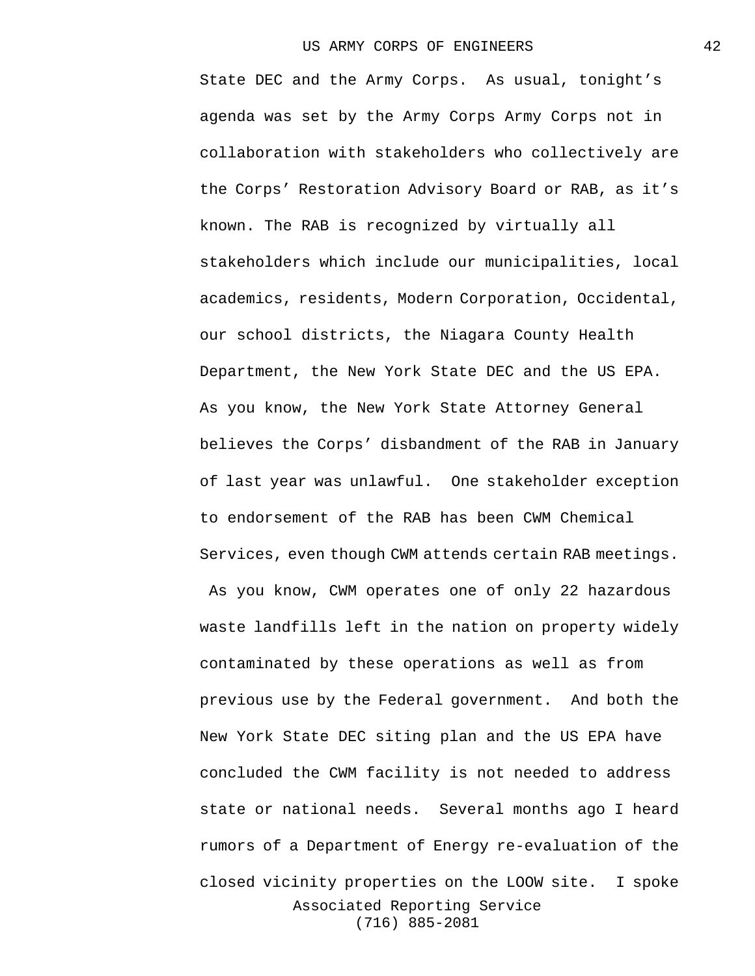Associated Reporting Service (716) 885-2081 State DEC and the Army Corps. As usual, tonight's agenda was set by the Army Corps Army Corps not in collaboration with stakeholders who collectively are the Corps' Restoration Advisory Board or RAB, as it's known. The RAB is recognized by virtually all stakeholders which include our municipalities, local academics, residents, Modern Corporation, Occidental, our school districts, the Niagara County Health Department, the New York State DEC and the US EPA. As you know, the New York State Attorney General believes the Corps' disbandment of the RAB in January of last year was unlawful. One stakeholder exception to endorsement of the RAB has been CWM Chemical Services, even though CWM attends certain RAB meetings. As you know, CWM operates one of only 22 hazardous waste landfills left in the nation on property widely contaminated by these operations as well as from previous use by the Federal government. And both the New York State DEC siting plan and the US EPA have concluded the CWM facility is not needed to address state or national needs. Several months ago I heard rumors of a Department of Energy re-evaluation of the closed vicinity properties on the LOOW site. I spoke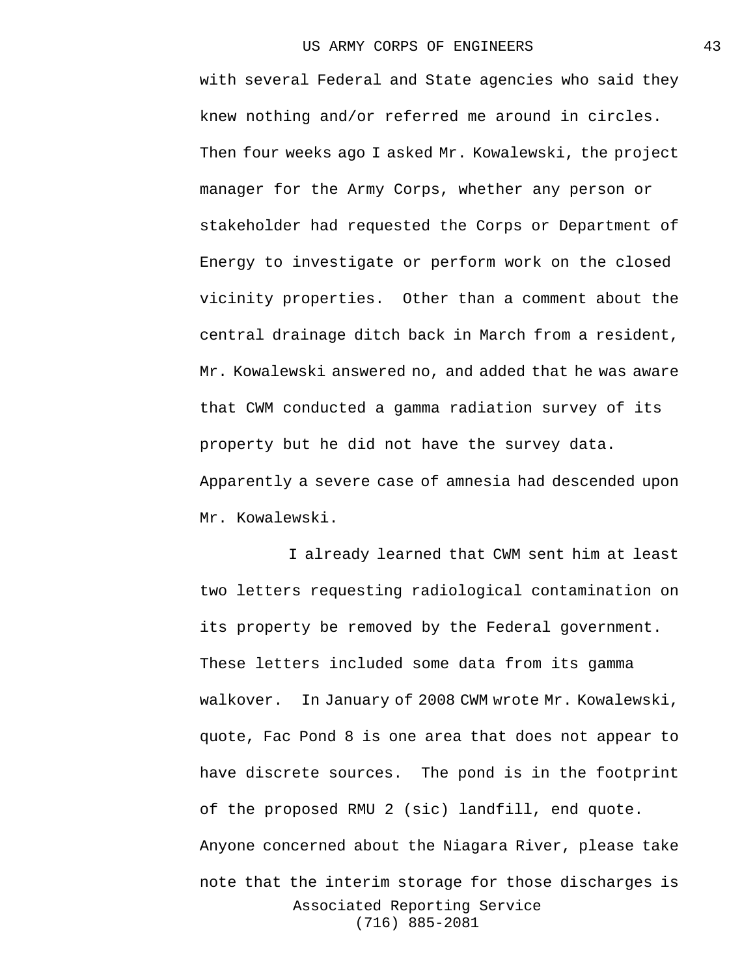with several Federal and State agencies who said they knew nothing and/or referred me around in circles. Then four weeks ago I asked Mr. Kowalewski, the project manager for the Army Corps, whether any person or stakeholder had requested the Corps or Department of Energy to investigate or perform work on the closed vicinity properties. Other than a comment about the central drainage ditch back in March from a resident, Mr. Kowalewski answered no, and added that he was aware that CWM conducted a gamma radiation survey of its property but he did not have the survey data. Apparently a severe case of amnesia had descended upon Mr. Kowalewski.

Associated Reporting Service (716) 885-2081 I already learned that CWM sent him at least two letters requesting radiological contamination on its property be removed by the Federal government. These letters included some data from its gamma walkover. In January of 2008 CWM wrote Mr. Kowalewski, quote, Fac Pond 8 is one area that does not appear to have discrete sources. The pond is in the footprint of the proposed RMU 2 (sic) landfill, end quote. Anyone concerned about the Niagara River, please take note that the interim storage for those discharges is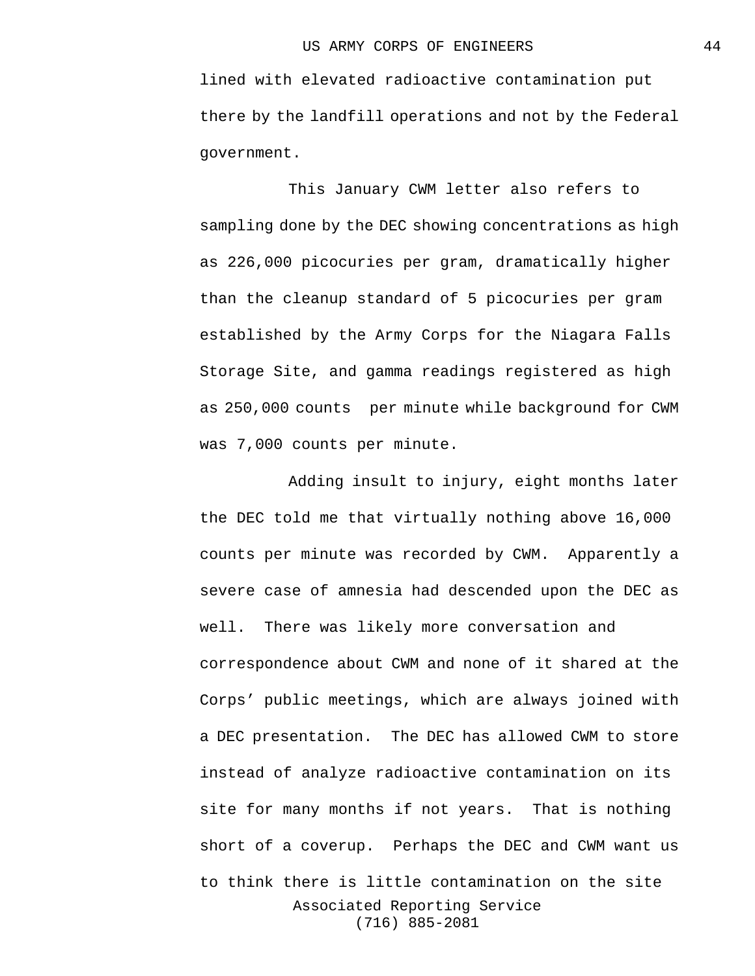lined with elevated radioactive contamination put there by the landfill operations and not by the Federal government.

This January CWM letter also refers to sampling done by the DEC showing concentrations as high as 226,000 picocuries per gram, dramatically higher than the cleanup standard of 5 picocuries per gram established by the Army Corps for the Niagara Falls Storage Site, and gamma readings registered as high as 250,000 counts per minute while background for CWM was 7,000 counts per minute.

Associated Reporting Service (716) 885-2081 Adding insult to injury, eight months later the DEC told me that virtually nothing above 16,000 counts per minute was recorded by CWM. Apparently a severe case of amnesia had descended upon the DEC as well. There was likely more conversation and correspondence about CWM and none of it shared at the Corps' public meetings, which are always joined with a DEC presentation. The DEC has allowed CWM to store instead of analyze radioactive contamination on its site for many months if not years. That is nothing short of a coverup. Perhaps the DEC and CWM want us to think there is little contamination on the site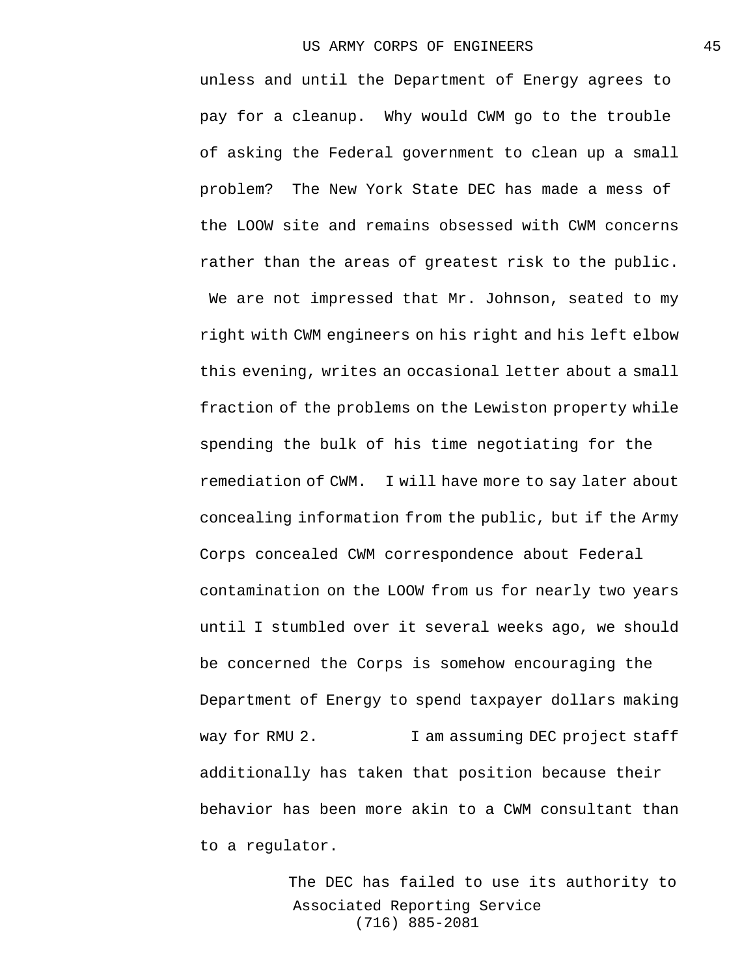unless and until the Department of Energy agrees to pay for a cleanup. Why would CWM go to the trouble of asking the Federal government to clean up a small problem? The New York State DEC has made a mess of the LOOW site and remains obsessed with CWM concerns rather than the areas of greatest risk to the public. We are not impressed that Mr. Johnson, seated to my right with CWM engineers on his right and his left elbow this evening, writes an occasional letter about a small fraction of the problems on the Lewiston property while spending the bulk of his time negotiating for the remediation of CWM. I will have more to say later about concealing information from the public, but if the Army Corps concealed CWM correspondence about Federal contamination on the LOOW from us for nearly two years until I stumbled over it several weeks ago, we should be concerned the Corps is somehow encouraging the Department of Energy to spend taxpayer dollars making way for RMU 2. I am assuming DEC project staff additionally has taken that position because their behavior has been more akin to a CWM consultant than to a regulator.

> Associated Reporting Service (716) 885-2081 The DEC has failed to use its authority to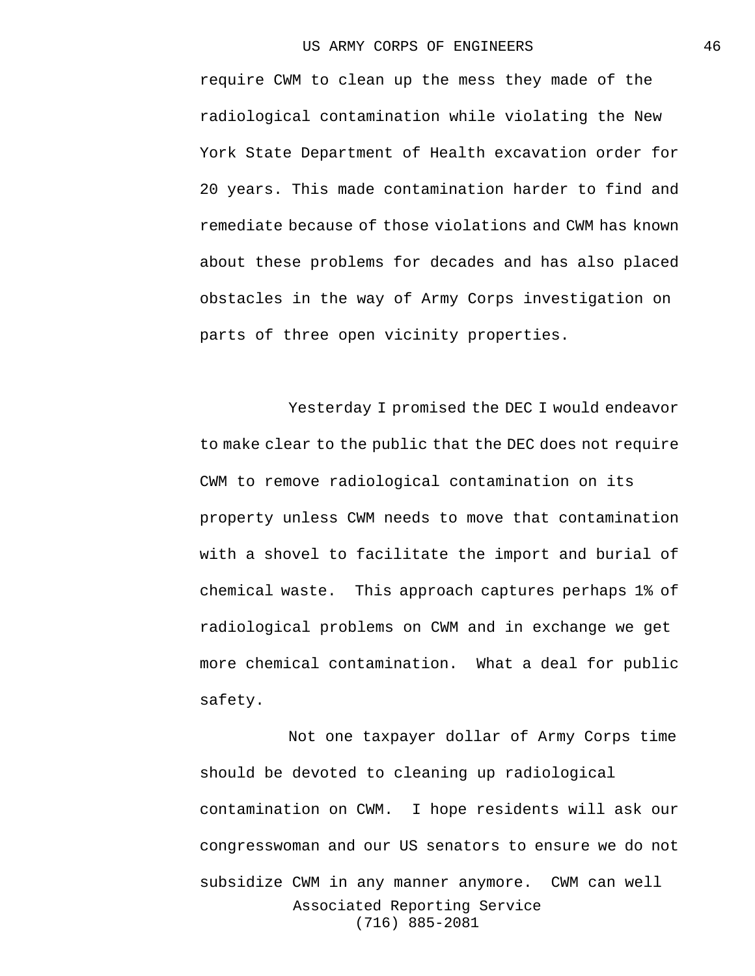require CWM to clean up the mess they made of the radiological contamination while violating the New York State Department of Health excavation order for 20 years. This made contamination harder to find and remediate because of those violations and CWM has known about these problems for decades and has also placed obstacles in the way of Army Corps investigation on parts of three open vicinity properties.

Yesterday I promised the DEC I would endeavor to make clear to the public that the DEC does not require CWM to remove radiological contamination on its property unless CWM needs to move that contamination with a shovel to facilitate the import and burial of chemical waste. This approach captures perhaps 1% of radiological problems on CWM and in exchange we get more chemical contamination. What a deal for public safety.

Associated Reporting Service (716) 885-2081 Not one taxpayer dollar of Army Corps time should be devoted to cleaning up radiological contamination on CWM. I hope residents will ask our congresswoman and our US senators to ensure we do not subsidize CWM in any manner anymore. CWM can well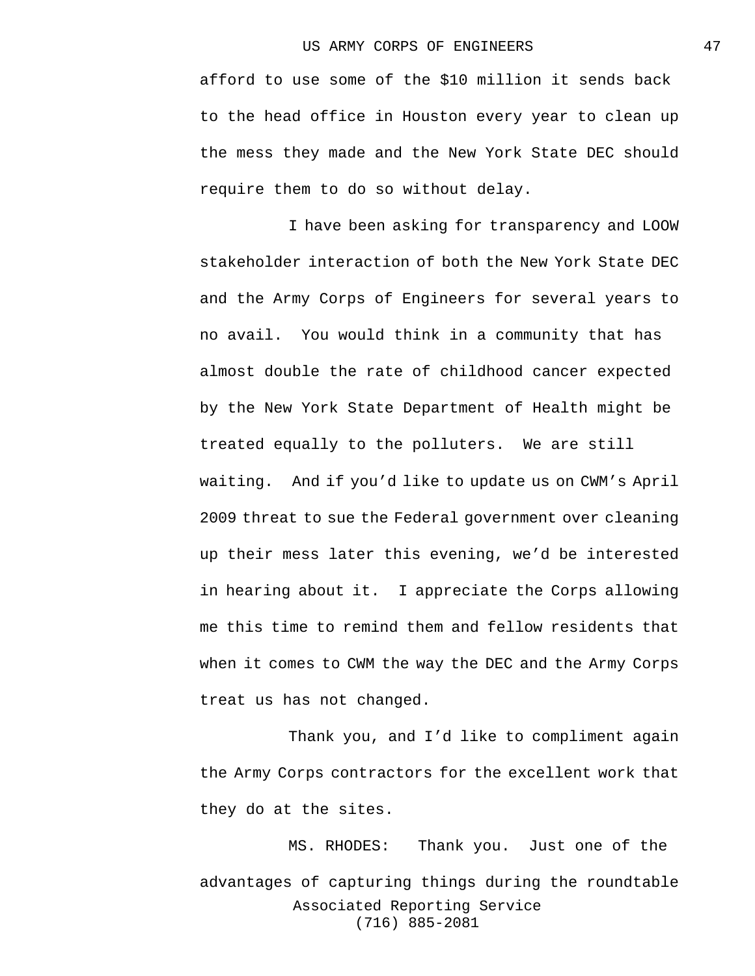afford to use some of the \$10 million it sends back to the head office in Houston every year to clean up the mess they made and the New York State DEC should require them to do so without delay.

I have been asking for transparency and LOOW stakeholder interaction of both the New York State DEC and the Army Corps of Engineers for several years to no avail. You would think in a community that has almost double the rate of childhood cancer expected by the New York State Department of Health might be treated equally to the polluters. We are still waiting. And if you'd like to update us on CWM's April 2009 threat to sue the Federal government over cleaning up their mess later this evening, we'd be interested in hearing about it. I appreciate the Corps allowing me this time to remind them and fellow residents that when it comes to CWM the way the DEC and the Army Corps treat us has not changed.

Thank you, and I'd like to compliment again the Army Corps contractors for the excellent work that they do at the sites.

Associated Reporting Service (716) 885-2081 MS. RHODES: Thank you. Just one of the advantages of capturing things during the roundtable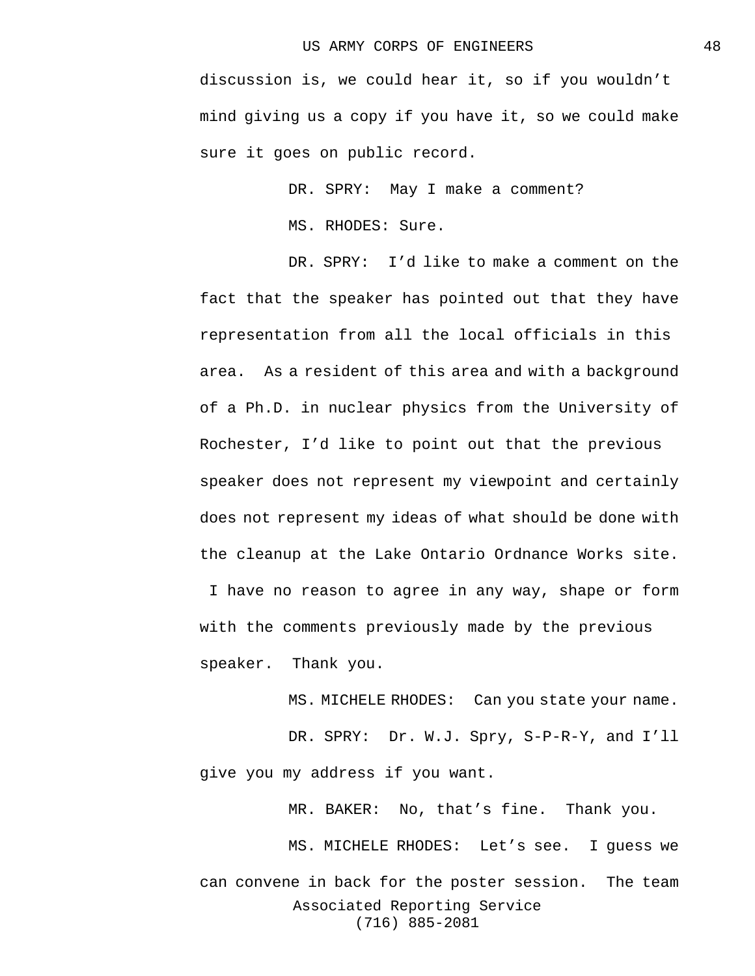discussion is, we could hear it, so if you wouldn't mind giving us a copy if you have it, so we could make sure it goes on public record.

DR. SPRY: May I make a comment?

MS. RHODES: Sure.

DR. SPRY: I'd like to make a comment on the fact that the speaker has pointed out that they have representation from all the local officials in this area. As a resident of this area and with a background of a Ph.D. in nuclear physics from the University of Rochester, I'd like to point out that the previous speaker does not represent my viewpoint and certainly does not represent my ideas of what should be done with the cleanup at the Lake Ontario Ordnance Works site. I have no reason to agree in any way, shape or form with the comments previously made by the previous speaker. Thank you.

MS. MICHELE RHODES: Can you state your name.

DR. SPRY: Dr. W.J. Spry, S-P-R-Y, and I'll give you my address if you want.

MR. BAKER: No, that's fine. Thank you.

Associated Reporting Service (716) 885-2081 MS. MICHELE RHODES: Let's see. I guess we can convene in back for the poster session. The team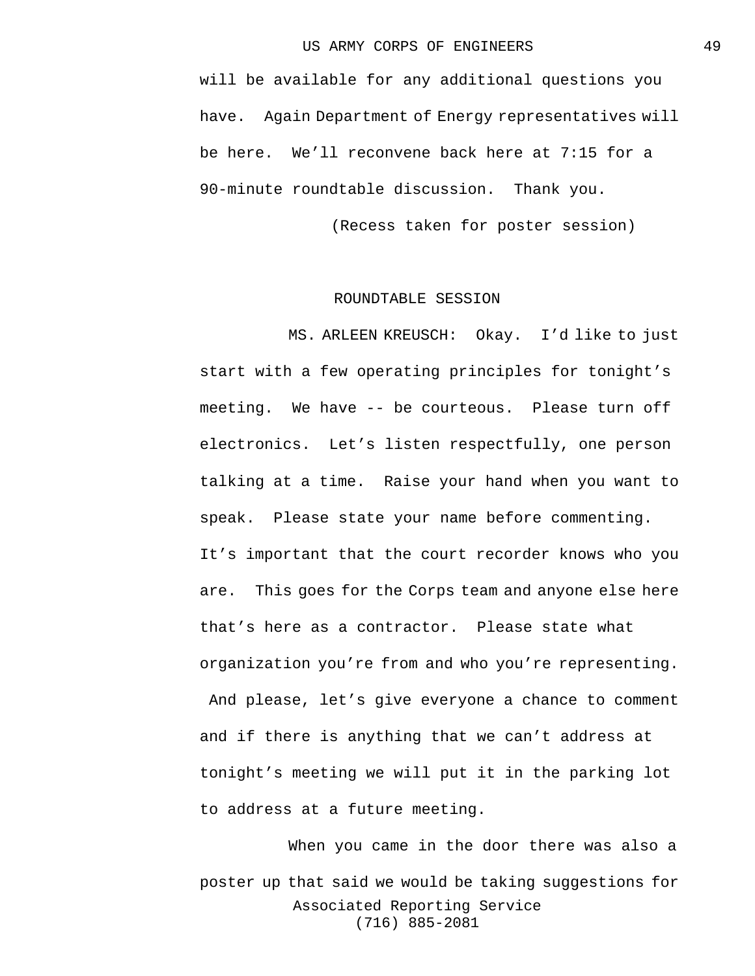will be available for any additional questions you have. Again Department of Energy representatives will be here. We'll reconvene back here at 7:15 for a 90-minute roundtable discussion. Thank you.

(Recess taken for poster session)

## ROUNDTABLE SESSION

MS. ARLEEN KREUSCH: Okay. I'd like to just start with a few operating principles for tonight's meeting. We have -- be courteous. Please turn off electronics. Let's listen respectfully, one person talking at a time. Raise your hand when you want to speak. Please state your name before commenting. It's important that the court recorder knows who you are. This goes for the Corps team and anyone else here that's here as a contractor. Please state what organization you're from and who you're representing.

And please, let's give everyone a chance to comment and if there is anything that we can't address at tonight's meeting we will put it in the parking lot to address at a future meeting.

Associated Reporting Service (716) 885-2081 When you came in the door there was also a poster up that said we would be taking suggestions for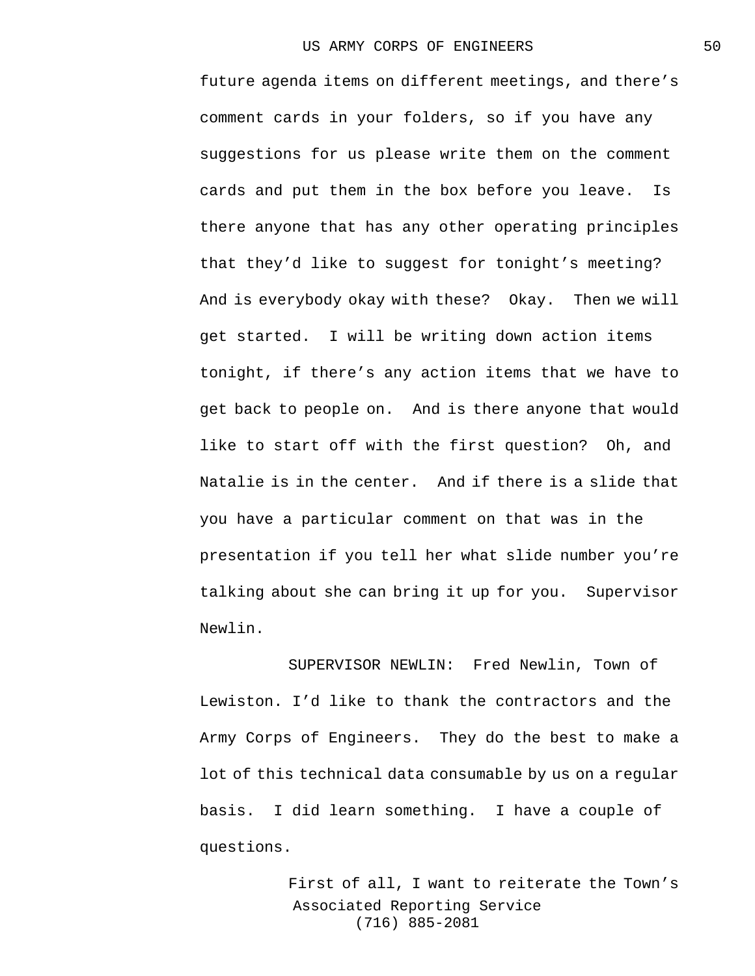future agenda items on different meetings, and there's comment cards in your folders, so if you have any suggestions for us please write them on the comment cards and put them in the box before you leave. Is there anyone that has any other operating principles that they'd like to suggest for tonight's meeting? And is everybody okay with these? Okay. Then we will get started. I will be writing down action items tonight, if there's any action items that we have to get back to people on. And is there anyone that would like to start off with the first question? Oh, and Natalie is in the center. And if there is a slide that you have a particular comment on that was in the presentation if you tell her what slide number you're talking about she can bring it up for you. Supervisor Newlin.

SUPERVISOR NEWLIN: Fred Newlin, Town of Lewiston. I'd like to thank the contractors and the Army Corps of Engineers. They do the best to make a lot of this technical data consumable by us on a regular basis. I did learn something. I have a couple of questions.

> Associated Reporting Service (716) 885-2081 First of all, I want to reiterate the Town's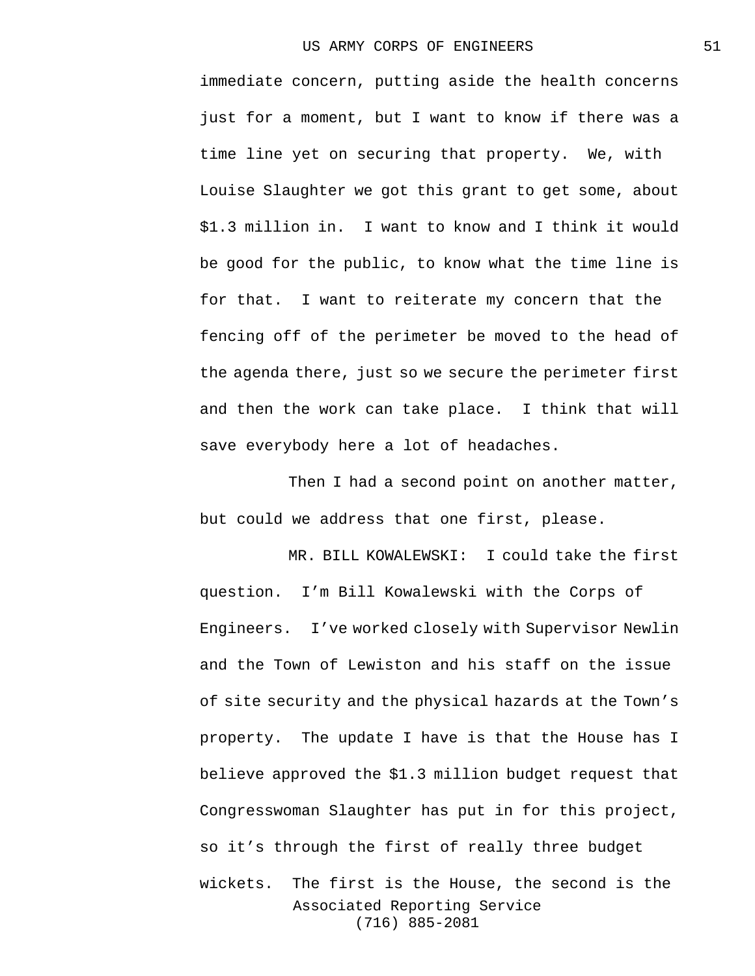immediate concern, putting aside the health concerns just for a moment, but I want to know if there was a time line yet on securing that property. We, with Louise Slaughter we got this grant to get some, about \$1.3 million in. I want to know and I think it would be good for the public, to know what the time line is for that. I want to reiterate my concern that the fencing off of the perimeter be moved to the head of the agenda there, just so we secure the perimeter first and then the work can take place. I think that will save everybody here a lot of headaches.

Then I had a second point on another matter, but could we address that one first, please.

Associated Reporting Service (716) 885-2081 MR. BILL KOWALEWSKI: I could take the first question. I'm Bill Kowalewski with the Corps of Engineers. I've worked closely with Supervisor Newlin and the Town of Lewiston and his staff on the issue of site security and the physical hazards at the Town's property. The update I have is that the House has I believe approved the \$1.3 million budget request that Congresswoman Slaughter has put in for this project, so it's through the first of really three budget wickets. The first is the House, the second is the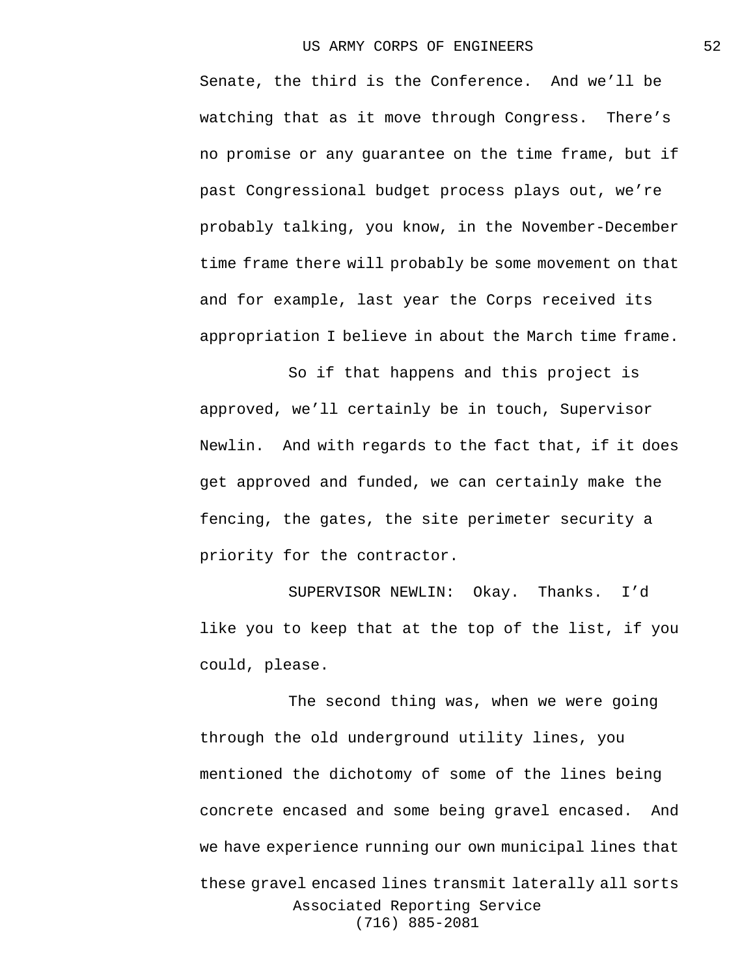Senate, the third is the Conference. And we'll be watching that as it move through Congress. There's no promise or any guarantee on the time frame, but if past Congressional budget process plays out, we're probably talking, you know, in the November-December time frame there will probably be some movement on that and for example, last year the Corps received its appropriation I believe in about the March time frame.

So if that happens and this project is approved, we'll certainly be in touch, Supervisor Newlin. And with regards to the fact that, if it does get approved and funded, we can certainly make the fencing, the gates, the site perimeter security a priority for the contractor.

SUPERVISOR NEWLIN: Okay. Thanks. I'd like you to keep that at the top of the list, if you could, please.

Associated Reporting Service (716) 885-2081 The second thing was, when we were going through the old underground utility lines, you mentioned the dichotomy of some of the lines being concrete encased and some being gravel encased. And we have experience running our own municipal lines that these gravel encased lines transmit laterally all sorts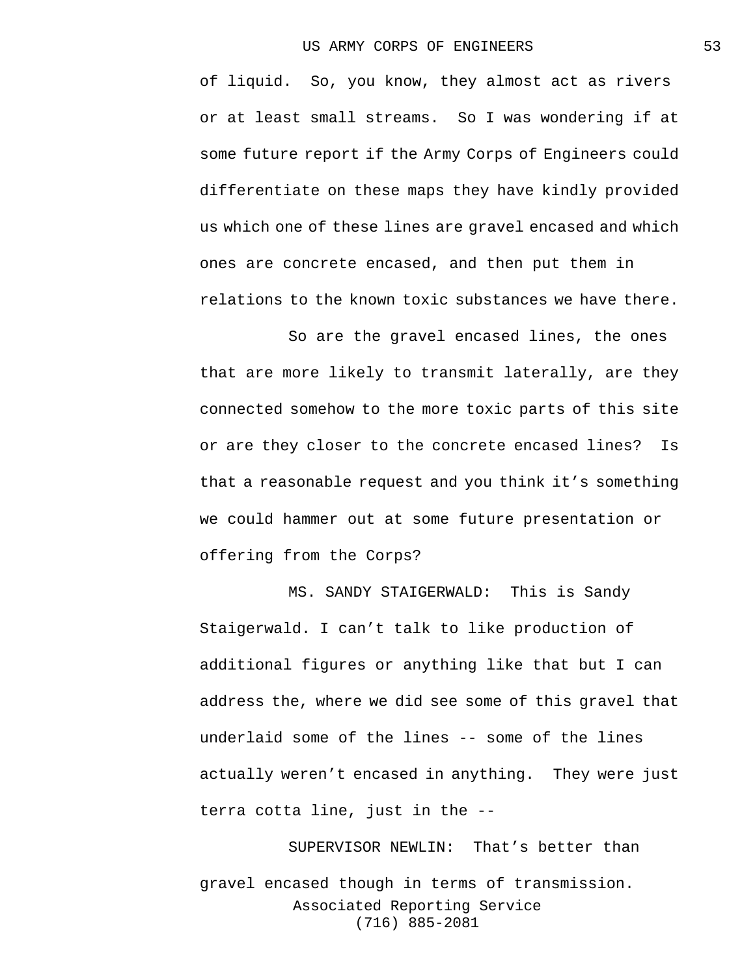of liquid. So, you know, they almost act as rivers or at least small streams. So I was wondering if at some future report if the Army Corps of Engineers could differentiate on these maps they have kindly provided us which one of these lines are gravel encased and which ones are concrete encased, and then put them in relations to the known toxic substances we have there.

So are the gravel encased lines, the ones that are more likely to transmit laterally, are they connected somehow to the more toxic parts of this site or are they closer to the concrete encased lines? Is that a reasonable request and you think it's something we could hammer out at some future presentation or offering from the Corps?

MS. SANDY STAIGERWALD: This is Sandy Staigerwald. I can't talk to like production of additional figures or anything like that but I can address the, where we did see some of this gravel that underlaid some of the lines -- some of the lines actually weren't encased in anything. They were just terra cotta line, just in the --

Associated Reporting Service (716) 885-2081 SUPERVISOR NEWLIN: That's better than gravel encased though in terms of transmission.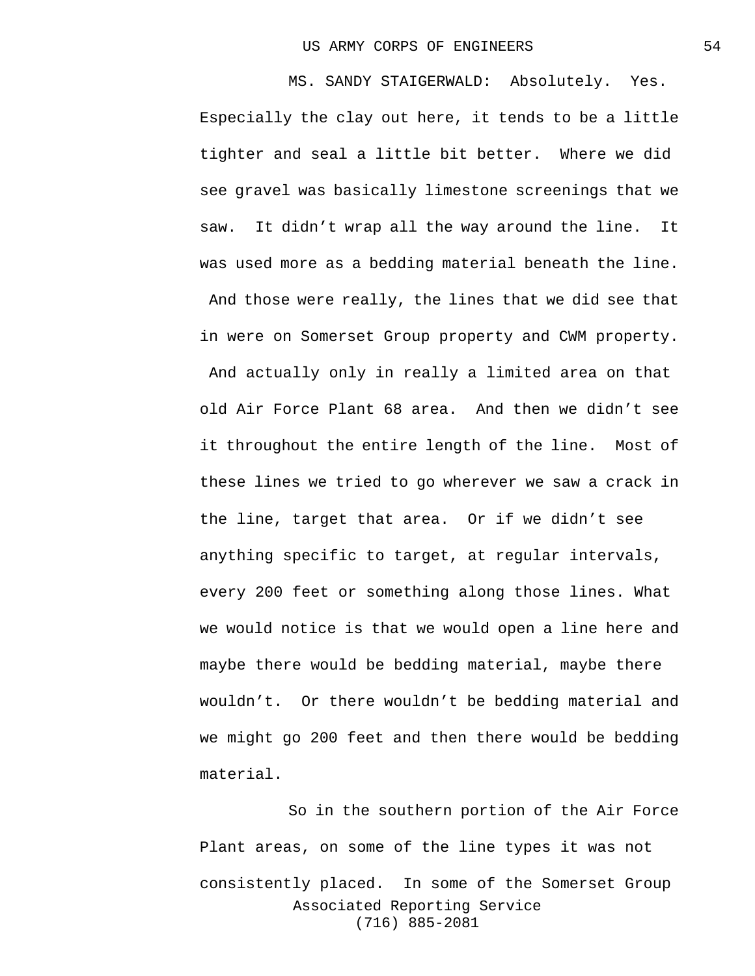MS. SANDY STAIGERWALD: Absolutely. Yes. Especially the clay out here, it tends to be a little tighter and seal a little bit better. Where we did see gravel was basically limestone screenings that we saw. It didn't wrap all the way around the line. It was used more as a bedding material beneath the line. And those were really, the lines that we did see that in were on Somerset Group property and CWM property. And actually only in really a limited area on that old Air Force Plant 68 area. And then we didn't see it throughout the entire length of the line. Most of these lines we tried to go wherever we saw a crack in the line, target that area. Or if we didn't see anything specific to target, at regular intervals, every 200 feet or something along those lines. What we would notice is that we would open a line here and maybe there would be bedding material, maybe there wouldn't. Or there wouldn't be bedding material and we might go 200 feet and then there would be bedding material.

Associated Reporting Service (716) 885-2081 So in the southern portion of the Air Force Plant areas, on some of the line types it was not consistently placed. In some of the Somerset Group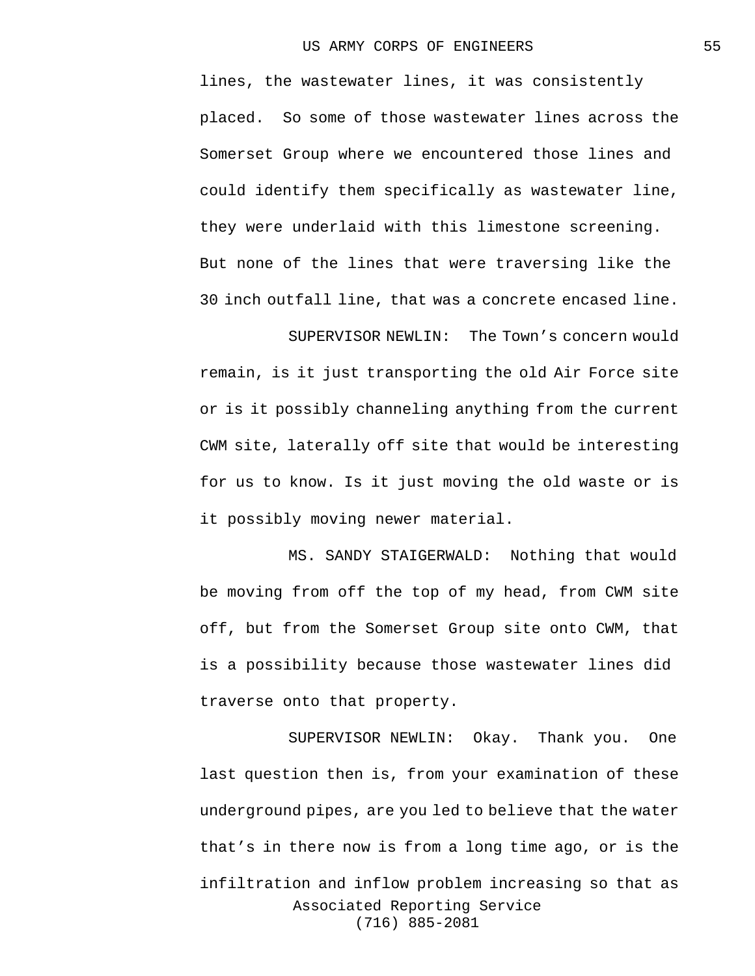lines, the wastewater lines, it was consistently placed. So some of those wastewater lines across the Somerset Group where we encountered those lines and could identify them specifically as wastewater line, they were underlaid with this limestone screening. But none of the lines that were traversing like the 30 inch outfall line, that was a concrete encased line.

SUPERVISOR NEWLIN: The Town's concern would remain, is it just transporting the old Air Force site or is it possibly channeling anything from the current CWM site, laterally off site that would be interesting for us to know. Is it just moving the old waste or is it possibly moving newer material.

MS. SANDY STAIGERWALD: Nothing that would be moving from off the top of my head, from CWM site off, but from the Somerset Group site onto CWM, that is a possibility because those wastewater lines did traverse onto that property.

Associated Reporting Service (716) 885-2081 SUPERVISOR NEWLIN: Okay. Thank you. One last question then is, from your examination of these underground pipes, are you led to believe that the water that's in there now is from a long time ago, or is the infiltration and inflow problem increasing so that as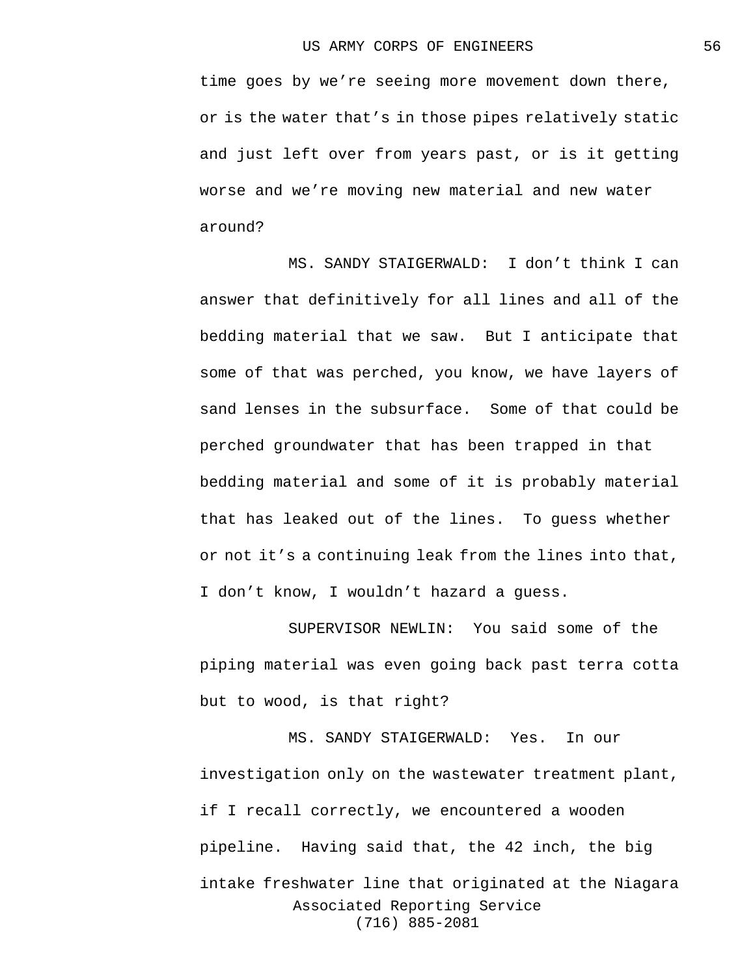time goes by we're seeing more movement down there, or is the water that's in those pipes relatively static and just left over from years past, or is it getting worse and we're moving new material and new water around?

MS. SANDY STAIGERWALD: I don't think I can answer that definitively for all lines and all of the bedding material that we saw. But I anticipate that some of that was perched, you know, we have layers of sand lenses in the subsurface. Some of that could be perched groundwater that has been trapped in that bedding material and some of it is probably material that has leaked out of the lines. To guess whether or not it's a continuing leak from the lines into that, I don't know, I wouldn't hazard a guess.

SUPERVISOR NEWLIN: You said some of the piping material was even going back past terra cotta but to wood, is that right?

Associated Reporting Service (716) 885-2081 MS. SANDY STAIGERWALD: Yes. In our investigation only on the wastewater treatment plant, if I recall correctly, we encountered a wooden pipeline. Having said that, the 42 inch, the big intake freshwater line that originated at the Niagara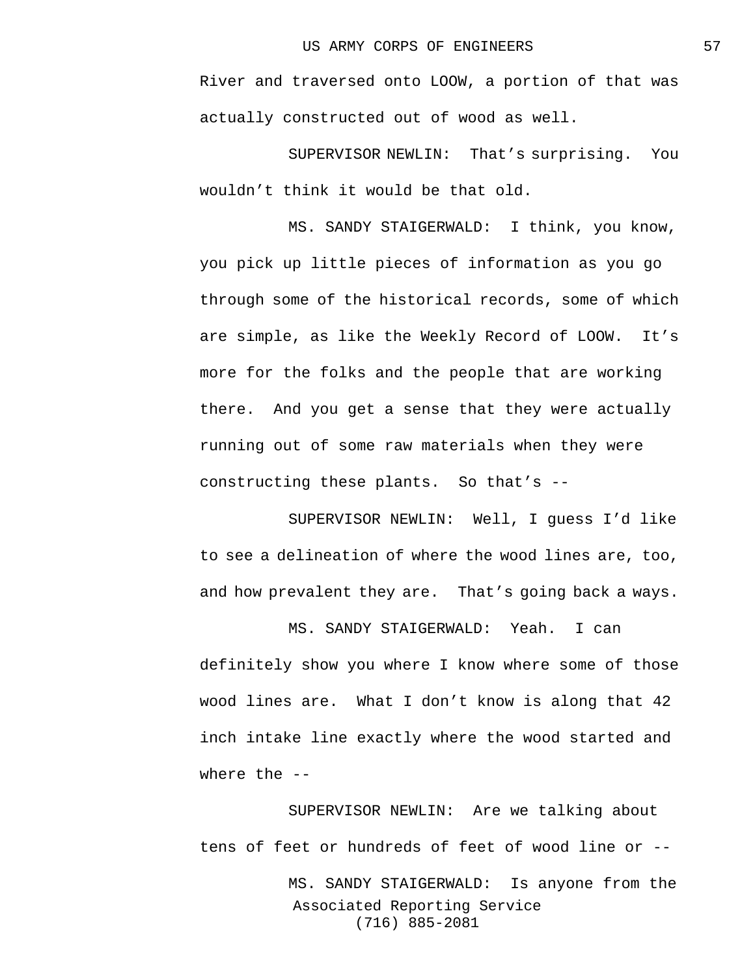River and traversed onto LOOW, a portion of that was actually constructed out of wood as well.

SUPERVISOR NEWLIN: That's surprising. You wouldn't think it would be that old.

MS. SANDY STAIGERWALD: I think, you know, you pick up little pieces of information as you go through some of the historical records, some of which are simple, as like the Weekly Record of LOOW. It's more for the folks and the people that are working there. And you get a sense that they were actually running out of some raw materials when they were constructing these plants. So that's --

SUPERVISOR NEWLIN: Well, I guess I'd like to see a delineation of where the wood lines are, too, and how prevalent they are. That's going back a ways.

MS. SANDY STAIGERWALD: Yeah. I can definitely show you where I know where some of those wood lines are. What I don't know is along that 42 inch intake line exactly where the wood started and where the --

Associated Reporting Service (716) 885-2081 SUPERVISOR NEWLIN: Are we talking about tens of feet or hundreds of feet of wood line or -- MS. SANDY STAIGERWALD: Is anyone from the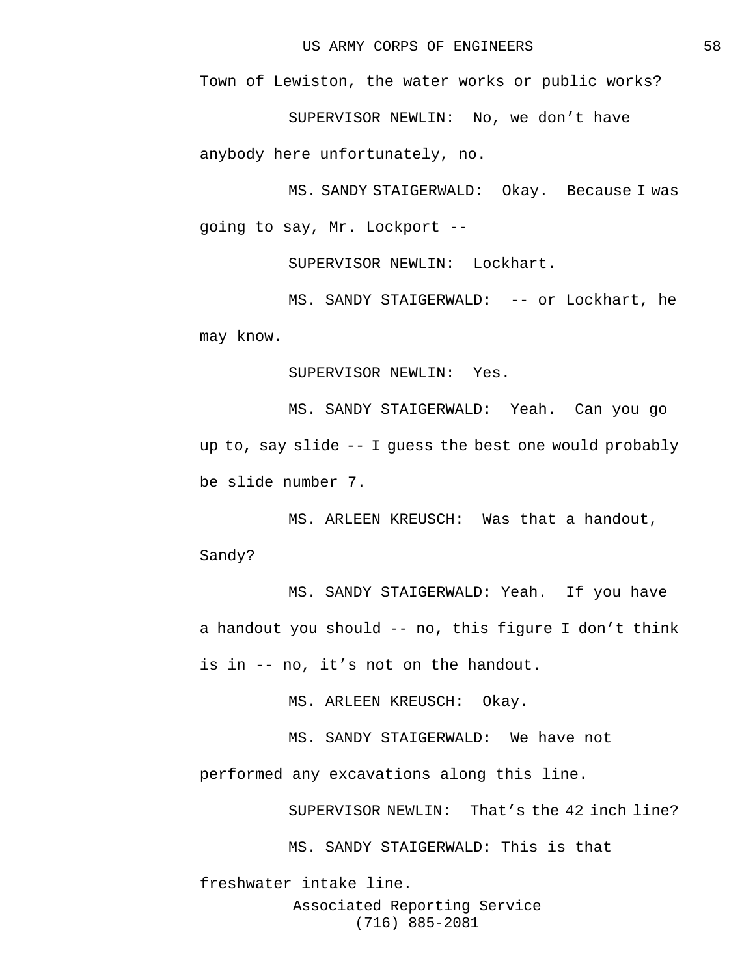Town of Lewiston, the water works or public works?

SUPERVISOR NEWLIN: No, we don't have

anybody here unfortunately, no.

MS. SANDY STAIGERWALD: Okay. Because I was going to say, Mr. Lockport --

SUPERVISOR NEWLIN: Lockhart.

MS. SANDY STAIGERWALD: -- or Lockhart, he may know.

SUPERVISOR NEWLIN: Yes.

MS. SANDY STAIGERWALD: Yeah. Can you go up to, say slide -- I guess the best one would probably be slide number 7.

MS. ARLEEN KREUSCH: Was that a handout, Sandy?

MS. SANDY STAIGERWALD: Yeah. If you have a handout you should -- no, this figure I don't think is in -- no, it's not on the handout.

MS. ARLEEN KREUSCH: Okay.

MS. SANDY STAIGERWALD: We have not performed any excavations along this line.

SUPERVISOR NEWLIN: That's the 42 inch line?

MS. SANDY STAIGERWALD: This is that

Associated Reporting Service (716) 885-2081 freshwater intake line.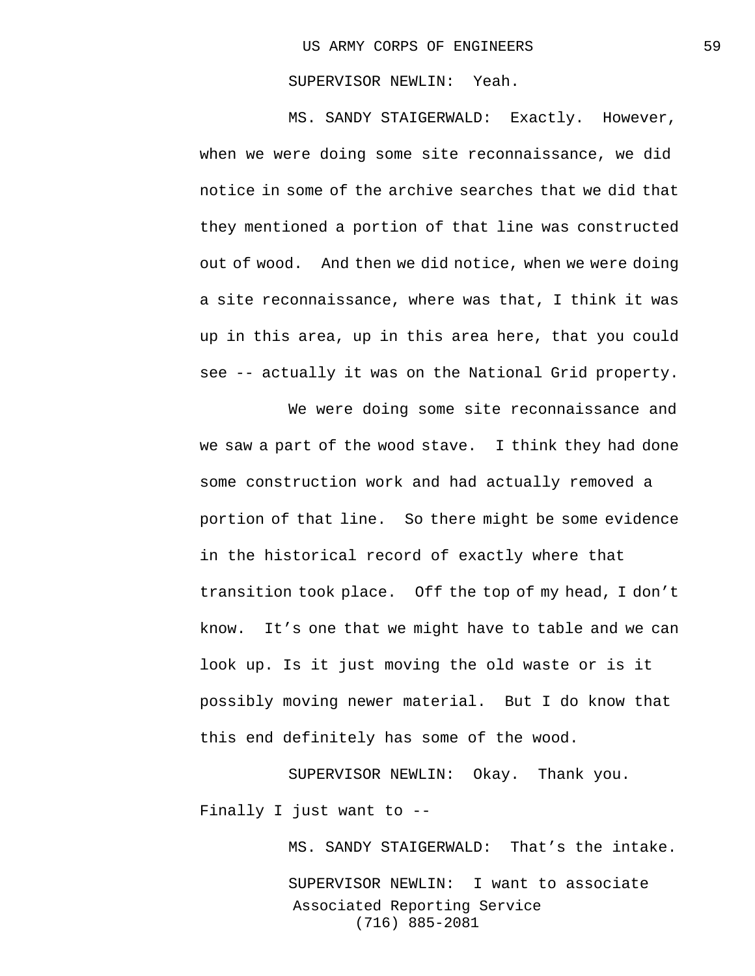## SUPERVISOR NEWLIN: Yeah.

MS. SANDY STAIGERWALD: Exactly. However, when we were doing some site reconnaissance, we did notice in some of the archive searches that we did that they mentioned a portion of that line was constructed out of wood. And then we did notice, when we were doing a site reconnaissance, where was that, I think it was up in this area, up in this area here, that you could see -- actually it was on the National Grid property.

We were doing some site reconnaissance and we saw a part of the wood stave. I think they had done some construction work and had actually removed a portion of that line. So there might be some evidence in the historical record of exactly where that transition took place. Off the top of my head, I don't know. It's one that we might have to table and we can look up. Is it just moving the old waste or is it possibly moving newer material. But I do know that this end definitely has some of the wood.

SUPERVISOR NEWLIN: Okay. Thank you. Finally I just want to --

> Associated Reporting Service (716) 885-2081 MS. SANDY STAIGERWALD: That's the intake. SUPERVISOR NEWLIN: I want to associate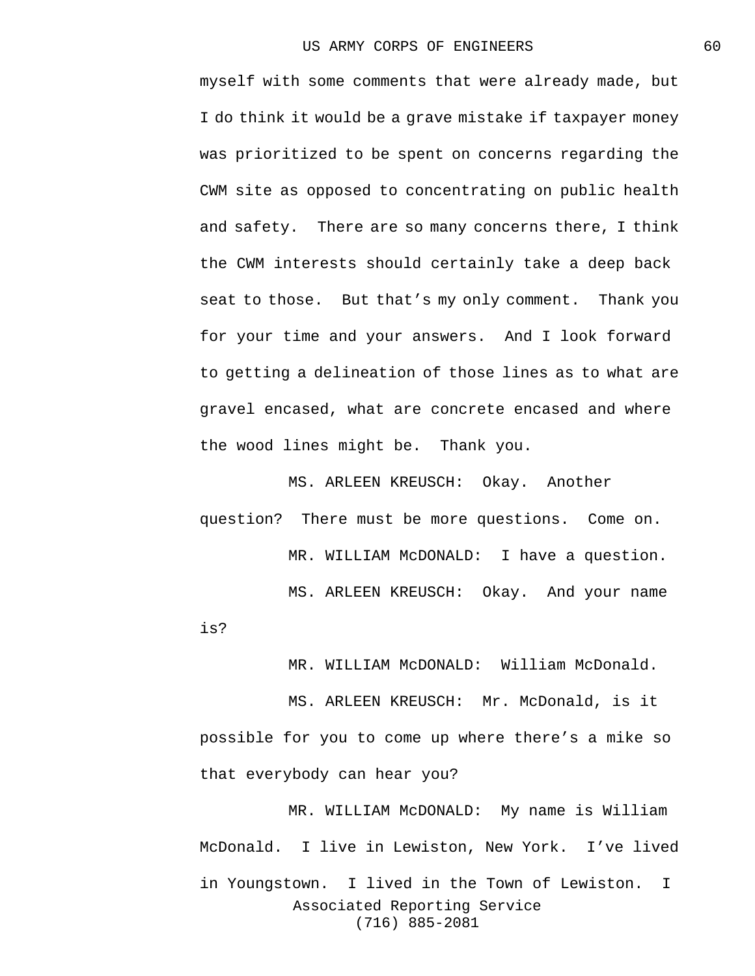myself with some comments that were already made, but I do think it would be a grave mistake if taxpayer money was prioritized to be spent on concerns regarding the CWM site as opposed to concentrating on public health and safety. There are so many concerns there, I think the CWM interests should certainly take a deep back seat to those. But that's my only comment. Thank you for your time and your answers. And I look forward to getting a delineation of those lines as to what are gravel encased, what are concrete encased and where the wood lines might be. Thank you.

MS. ARLEEN KREUSCH: Okay. Another question? There must be more questions. Come on. MR. WILLIAM McDONALD: I have a question. MS. ARLEEN KREUSCH: Okay. And your name

is?

MR. WILLIAM McDONALD: William McDonald.

MS. ARLEEN KREUSCH: Mr. McDonald, is it possible for you to come up where there's a mike so that everybody can hear you?

Associated Reporting Service (716) 885-2081 MR. WILLIAM McDONALD: My name is William McDonald. I live in Lewiston, New York. I've lived in Youngstown. I lived in the Town of Lewiston. I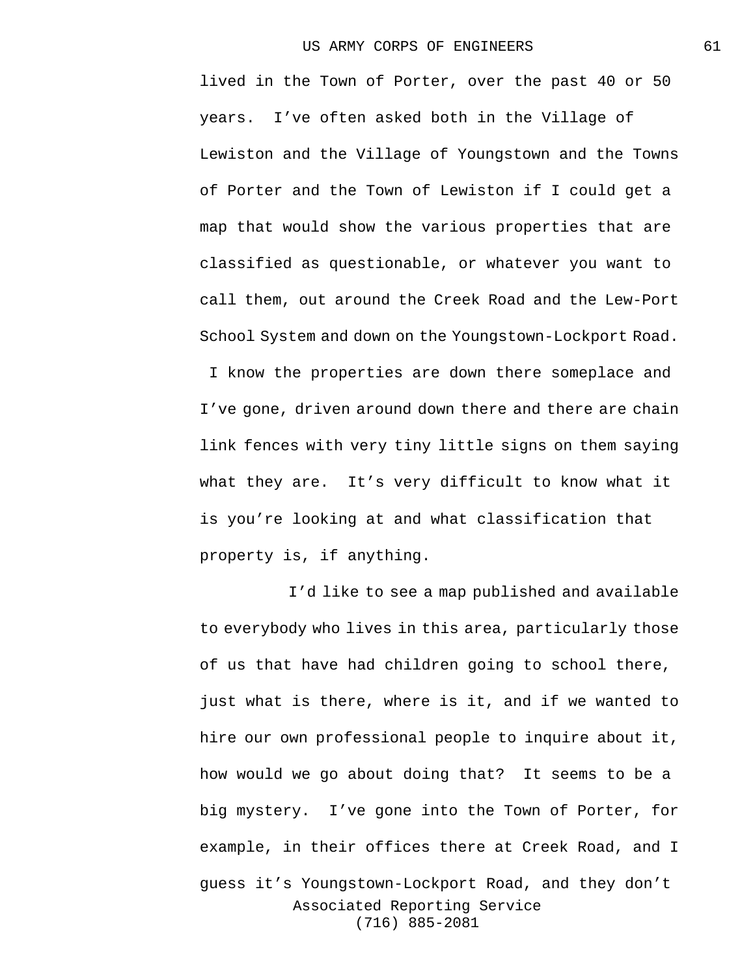lived in the Town of Porter, over the past 40 or 50 years. I've often asked both in the Village of Lewiston and the Village of Youngstown and the Towns of Porter and the Town of Lewiston if I could get a map that would show the various properties that are classified as questionable, or whatever you want to call them, out around the Creek Road and the Lew-Port School System and down on the Youngstown-Lockport Road.

I know the properties are down there someplace and I've gone, driven around down there and there are chain link fences with very tiny little signs on them saying what they are. It's very difficult to know what it is you're looking at and what classification that property is, if anything.

Associated Reporting Service (716) 885-2081 I'd like to see a map published and available to everybody who lives in this area, particularly those of us that have had children going to school there, just what is there, where is it, and if we wanted to hire our own professional people to inquire about it, how would we go about doing that? It seems to be a big mystery. I've gone into the Town of Porter, for example, in their offices there at Creek Road, and I guess it's Youngstown-Lockport Road, and they don't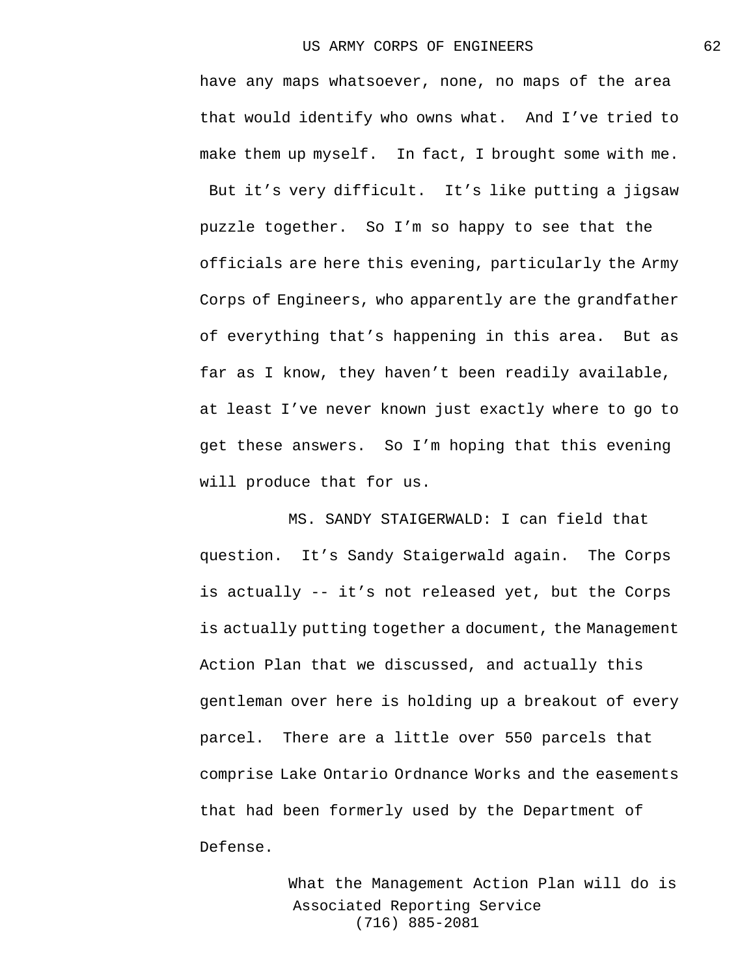have any maps whatsoever, none, no maps of the area that would identify who owns what. And I've tried to make them up myself. In fact, I brought some with me. But it's very difficult. It's like putting a jigsaw puzzle together. So I'm so happy to see that the officials are here this evening, particularly the Army Corps of Engineers, who apparently are the grandfather of everything that's happening in this area. But as far as I know, they haven't been readily available, at least I've never known just exactly where to go to get these answers. So I'm hoping that this evening will produce that for us.

MS. SANDY STAIGERWALD: I can field that question. It's Sandy Staigerwald again. The Corps is actually -- it's not released yet, but the Corps is actually putting together a document, the Management Action Plan that we discussed, and actually this gentleman over here is holding up a breakout of every parcel. There are a little over 550 parcels that comprise Lake Ontario Ordnance Works and the easements that had been formerly used by the Department of Defense.

> Associated Reporting Service (716) 885-2081 What the Management Action Plan will do is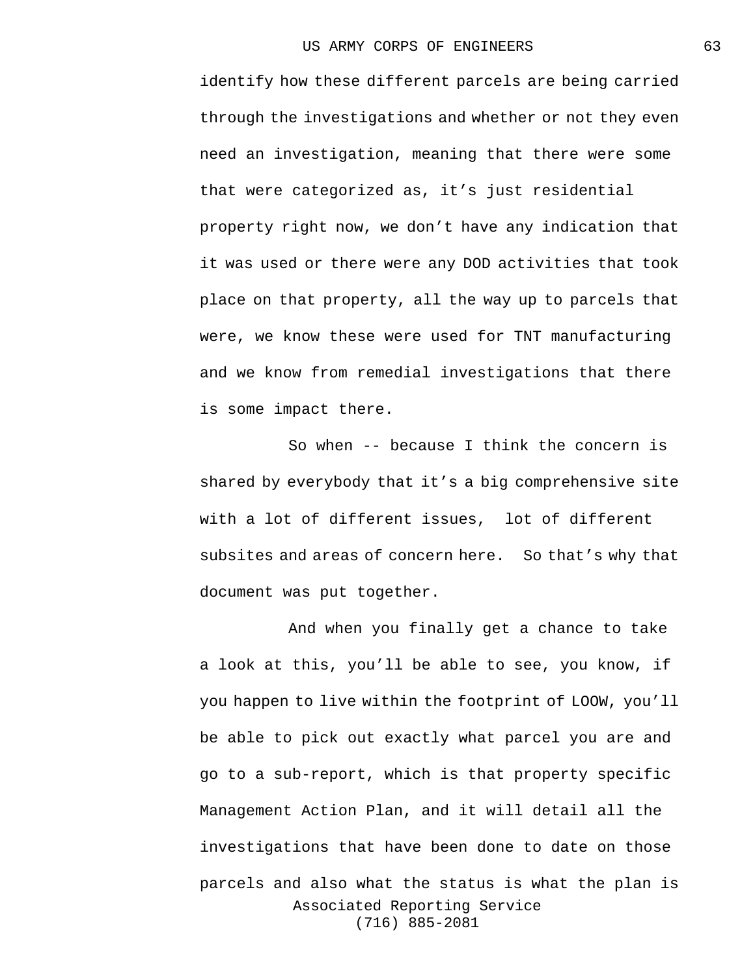identify how these different parcels are being carried through the investigations and whether or not they even need an investigation, meaning that there were some that were categorized as, it's just residential property right now, we don't have any indication that it was used or there were any DOD activities that took place on that property, all the way up to parcels that were, we know these were used for TNT manufacturing and we know from remedial investigations that there is some impact there.

So when -- because I think the concern is shared by everybody that it's a big comprehensive site with a lot of different issues, lot of different subsites and areas of concern here. So that's why that document was put together.

Associated Reporting Service (716) 885-2081 And when you finally get a chance to take a look at this, you'll be able to see, you know, if you happen to live within the footprint of LOOW, you'll be able to pick out exactly what parcel you are and go to a sub-report, which is that property specific Management Action Plan, and it will detail all the investigations that have been done to date on those parcels and also what the status is what the plan is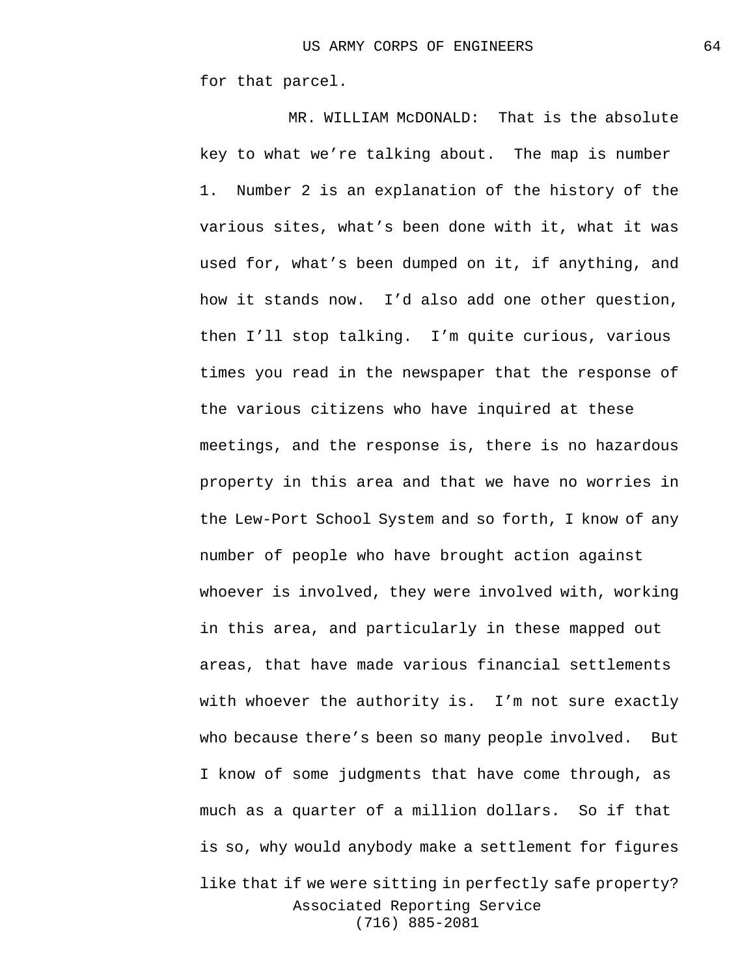for that parcel.

Associated Reporting Service (716) 885-2081 MR. WILLIAM McDONALD: That is the absolute key to what we're talking about. The map is number 1. Number 2 is an explanation of the history of the various sites, what's been done with it, what it was used for, what's been dumped on it, if anything, and how it stands now. I'd also add one other question, then I'll stop talking. I'm quite curious, various times you read in the newspaper that the response of the various citizens who have inquired at these meetings, and the response is, there is no hazardous property in this area and that we have no worries in the Lew-Port School System and so forth, I know of any number of people who have brought action against whoever is involved, they were involved with, working in this area, and particularly in these mapped out areas, that have made various financial settlements with whoever the authority is. I'm not sure exactly who because there's been so many people involved. But I know of some judgments that have come through, as much as a quarter of a million dollars. So if that is so, why would anybody make a settlement for figures like that if we were sitting in perfectly safe property?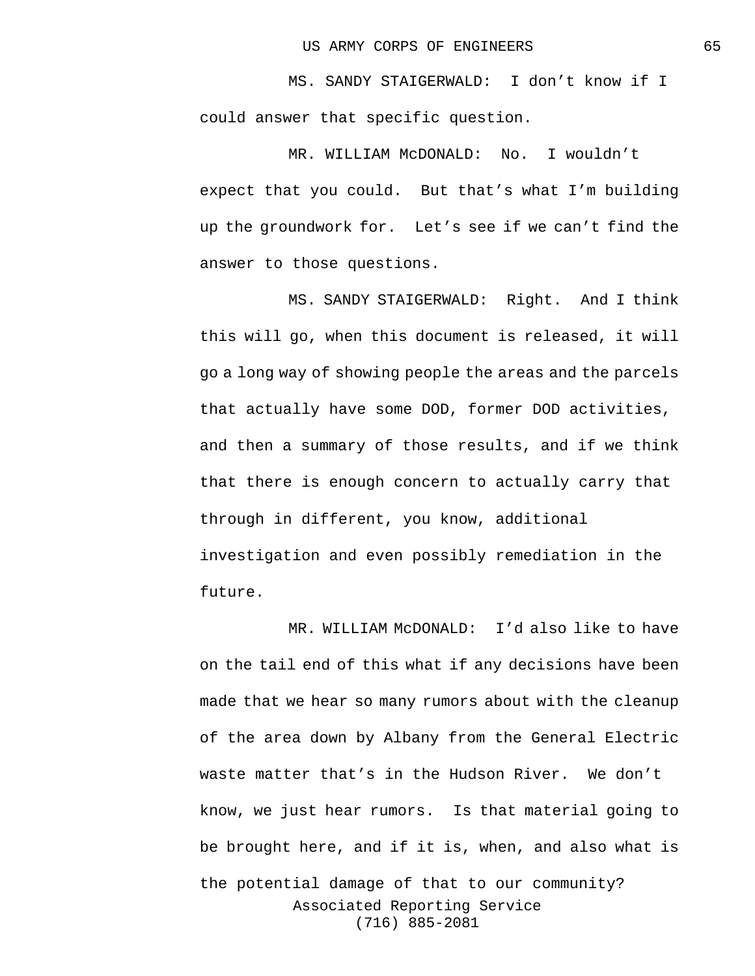MS. SANDY STAIGERWALD: I don't know if I could answer that specific question.

MR. WILLIAM McDONALD: No. I wouldn't expect that you could. But that's what I'm building up the groundwork for. Let's see if we can't find the answer to those questions.

MS. SANDY STAIGERWALD: Right. And I think this will go, when this document is released, it will go a long way of showing people the areas and the parcels that actually have some DOD, former DOD activities, and then a summary of those results, and if we think that there is enough concern to actually carry that through in different, you know, additional investigation and even possibly remediation in the future.

Associated Reporting Service (716) 885-2081 MR. WILLIAM McDONALD: I'd also like to have on the tail end of this what if any decisions have been made that we hear so many rumors about with the cleanup of the area down by Albany from the General Electric waste matter that's in the Hudson River. We don't know, we just hear rumors. Is that material going to be brought here, and if it is, when, and also what is the potential damage of that to our community?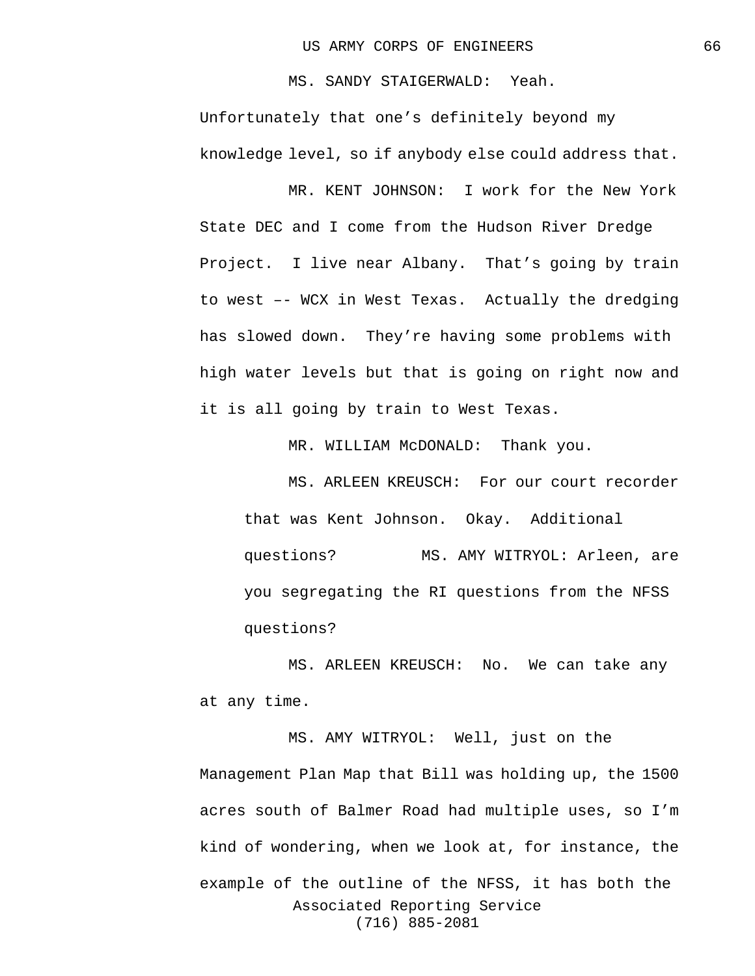MS. SANDY STAIGERWALD: Yeah. Unfortunately that one's definitely beyond my knowledge level, so if anybody else could address that.

MR. KENT JOHNSON: I work for the New York State DEC and I come from the Hudson River Dredge Project. I live near Albany. That's going by train to west –- WCX in West Texas. Actually the dredging has slowed down. They're having some problems with high water levels but that is going on right now and it is all going by train to West Texas.

MR. WILLIAM McDONALD: Thank you.

MS. ARLEEN KREUSCH: For our court recorder that was Kent Johnson. Okay. Additional questions? MS. AMY WITRYOL: Arleen, are you segregating the RI questions from the NFSS questions?

MS. ARLEEN KREUSCH: No. We can take any at any time.

Associated Reporting Service (716) 885-2081 MS. AMY WITRYOL: Well, just on the Management Plan Map that Bill was holding up, the 1500 acres south of Balmer Road had multiple uses, so I'm kind of wondering, when we look at, for instance, the example of the outline of the NFSS, it has both the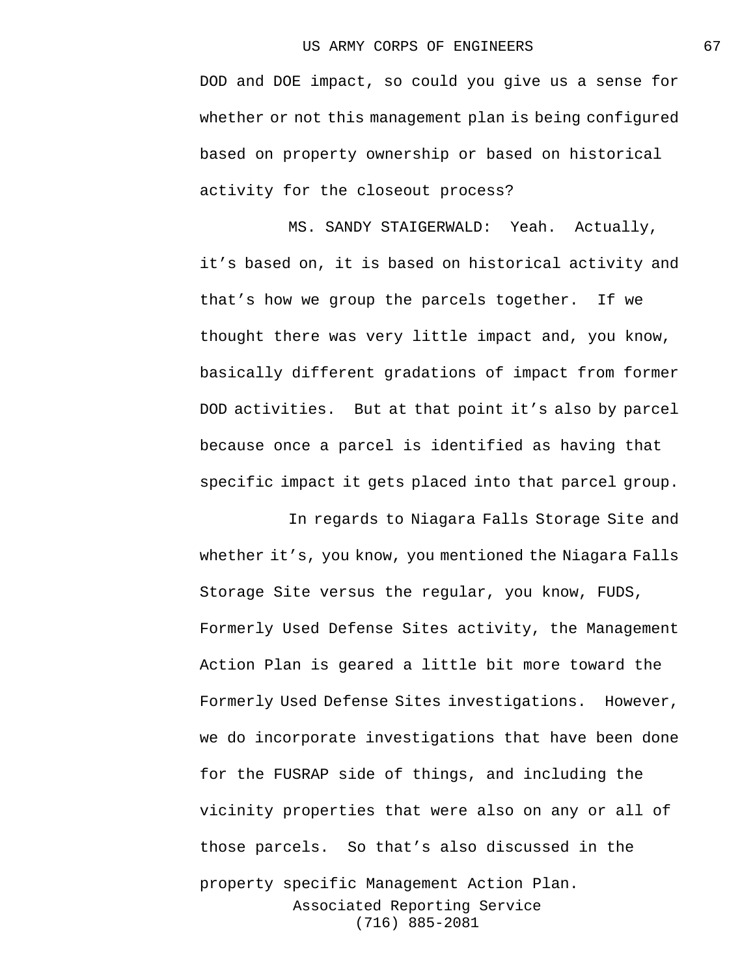DOD and DOE impact, so could you give us a sense for whether or not this management plan is being configured based on property ownership or based on historical activity for the closeout process?

MS. SANDY STAIGERWALD: Yeah. Actually, it's based on, it is based on historical activity and that's how we group the parcels together. If we thought there was very little impact and, you know, basically different gradations of impact from former DOD activities. But at that point it's also by parcel because once a parcel is identified as having that specific impact it gets placed into that parcel group.

Associated Reporting Service (716) 885-2081 In regards to Niagara Falls Storage Site and whether it's, you know, you mentioned the Niagara Falls Storage Site versus the regular, you know, FUDS, Formerly Used Defense Sites activity, the Management Action Plan is geared a little bit more toward the Formerly Used Defense Sites investigations. However, we do incorporate investigations that have been done for the FUSRAP side of things, and including the vicinity properties that were also on any or all of those parcels. So that's also discussed in the property specific Management Action Plan.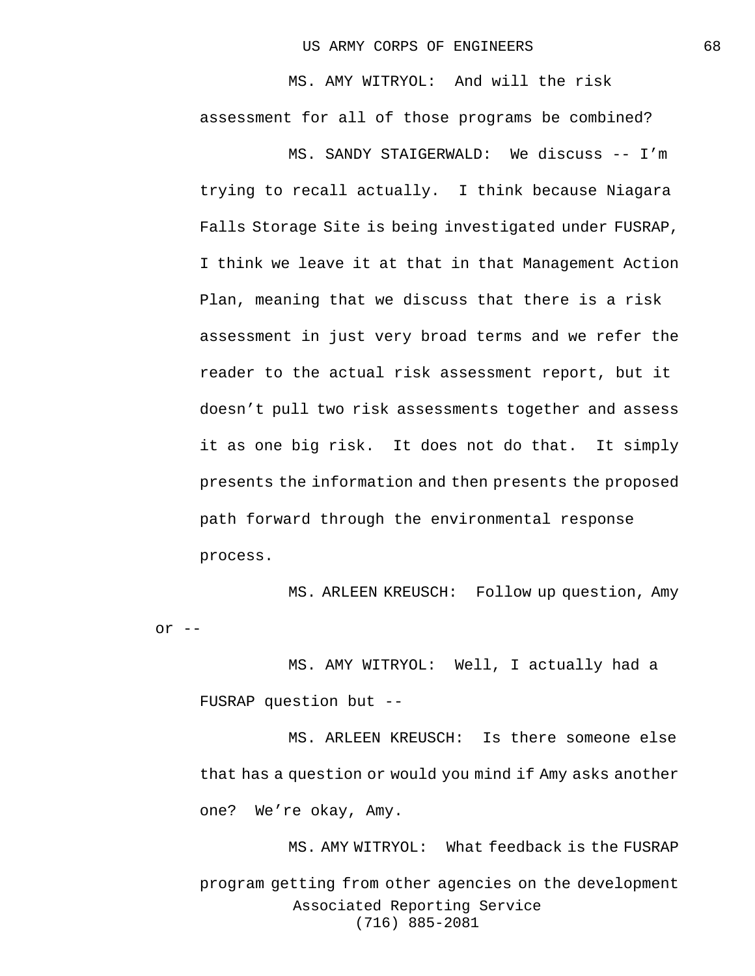MS. AMY WITRYOL: And will the risk assessment for all of those programs be combined?

MS. SANDY STAIGERWALD: We discuss -- I'm trying to recall actually. I think because Niagara Falls Storage Site is being investigated under FUSRAP, I think we leave it at that in that Management Action Plan, meaning that we discuss that there is a risk assessment in just very broad terms and we refer the reader to the actual risk assessment report, but it doesn't pull two risk assessments together and assess it as one big risk. It does not do that. It simply presents the information and then presents the proposed path forward through the environmental response process.

MS. ARLEEN KREUSCH: Follow up question, Amy or  $--$ 

MS. AMY WITRYOL: Well, I actually had a FUSRAP question but --

MS. ARLEEN KREUSCH: Is there someone else that has a question or would you mind if Amy asks another one? We're okay, Amy.

Associated Reporting Service (716) 885-2081 MS. AMY WITRYOL: What feedback is the FUSRAP program getting from other agencies on the development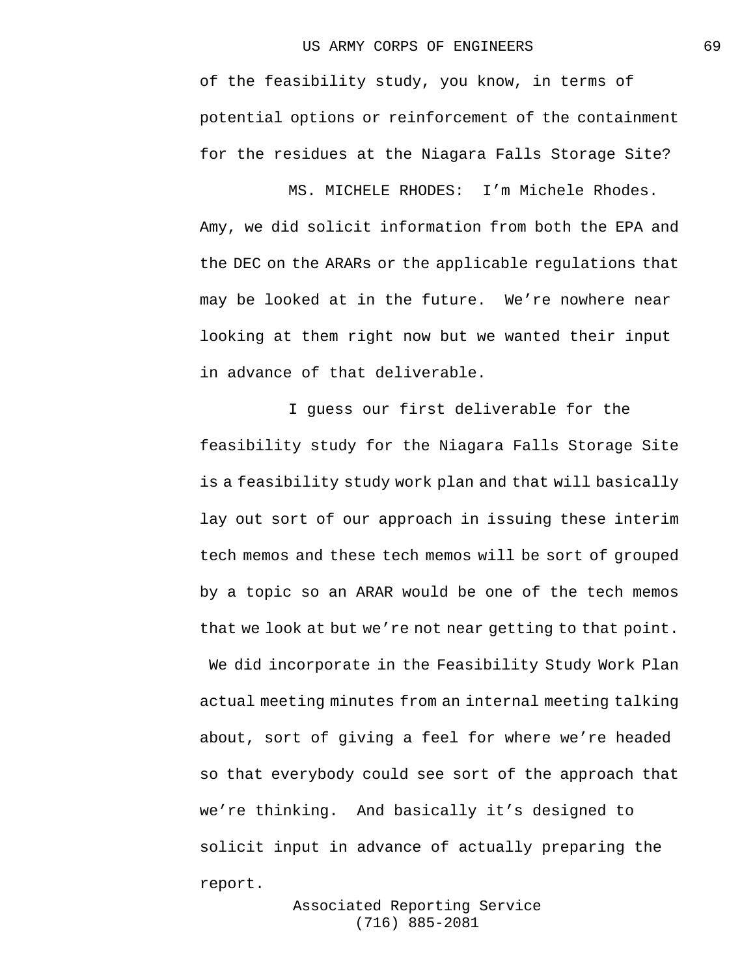of the feasibility study, you know, in terms of potential options or reinforcement of the containment for the residues at the Niagara Falls Storage Site?

MS. MICHELE RHODES: I'm Michele Rhodes. Amy, we did solicit information from both the EPA and the DEC on the ARARs or the applicable regulations that may be looked at in the future. We're nowhere near looking at them right now but we wanted their input in advance of that deliverable.

I guess our first deliverable for the feasibility study for the Niagara Falls Storage Site is a feasibility study work plan and that will basically lay out sort of our approach in issuing these interim tech memos and these tech memos will be sort of grouped by a topic so an ARAR would be one of the tech memos that we look at but we're not near getting to that point.

We did incorporate in the Feasibility Study Work Plan actual meeting minutes from an internal meeting talking about, sort of giving a feel for where we're headed so that everybody could see sort of the approach that we're thinking. And basically it's designed to solicit input in advance of actually preparing the report.

> Associated Reporting Service (716) 885-2081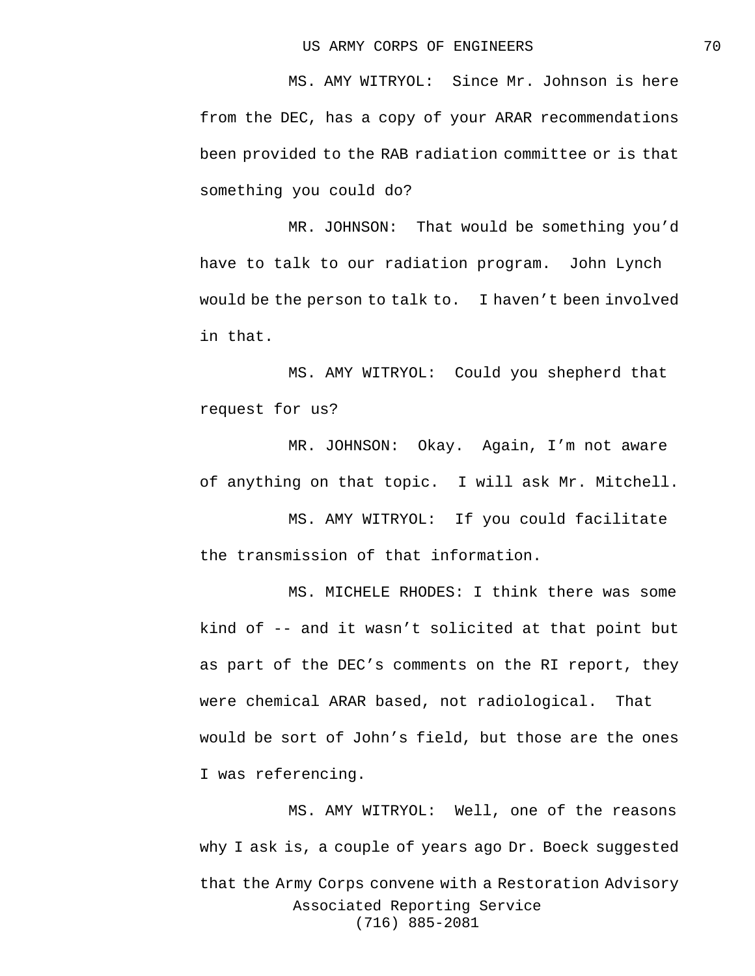MS. AMY WITRYOL: Since Mr. Johnson is here from the DEC, has a copy of your ARAR recommendations been provided to the RAB radiation committee or is that something you could do?

MR. JOHNSON: That would be something you'd have to talk to our radiation program. John Lynch would be the person to talk to. I haven't been involved in that.

MS. AMY WITRYOL: Could you shepherd that request for us?

MR. JOHNSON: Okay. Again, I'm not aware of anything on that topic. I will ask Mr. Mitchell.

MS. AMY WITRYOL: If you could facilitate the transmission of that information.

MS. MICHELE RHODES: I think there was some kind of -- and it wasn't solicited at that point but as part of the DEC's comments on the RI report, they were chemical ARAR based, not radiological. That would be sort of John's field, but those are the ones I was referencing.

Associated Reporting Service (716) 885-2081 MS. AMY WITRYOL: Well, one of the reasons why I ask is, a couple of years ago Dr. Boeck suggested that the Army Corps convene with a Restoration Advisory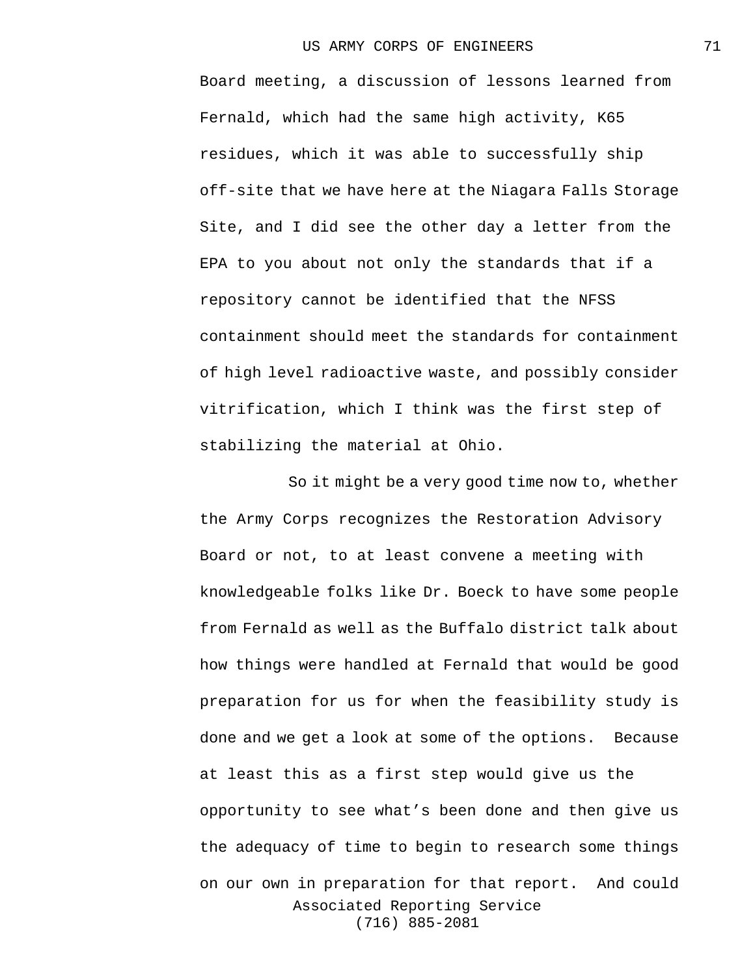Board meeting, a discussion of lessons learned from Fernald, which had the same high activity, K65 residues, which it was able to successfully ship off-site that we have here at the Niagara Falls Storage Site, and I did see the other day a letter from the EPA to you about not only the standards that if a repository cannot be identified that the NFSS containment should meet the standards for containment of high level radioactive waste, and possibly consider vitrification, which I think was the first step of stabilizing the material at Ohio.

Associated Reporting Service (716) 885-2081 So it might be a very good time now to, whether the Army Corps recognizes the Restoration Advisory Board or not, to at least convene a meeting with knowledgeable folks like Dr. Boeck to have some people from Fernald as well as the Buffalo district talk about how things were handled at Fernald that would be good preparation for us for when the feasibility study is done and we get a look at some of the options. Because at least this as a first step would give us the opportunity to see what's been done and then give us the adequacy of time to begin to research some things on our own in preparation for that report. And could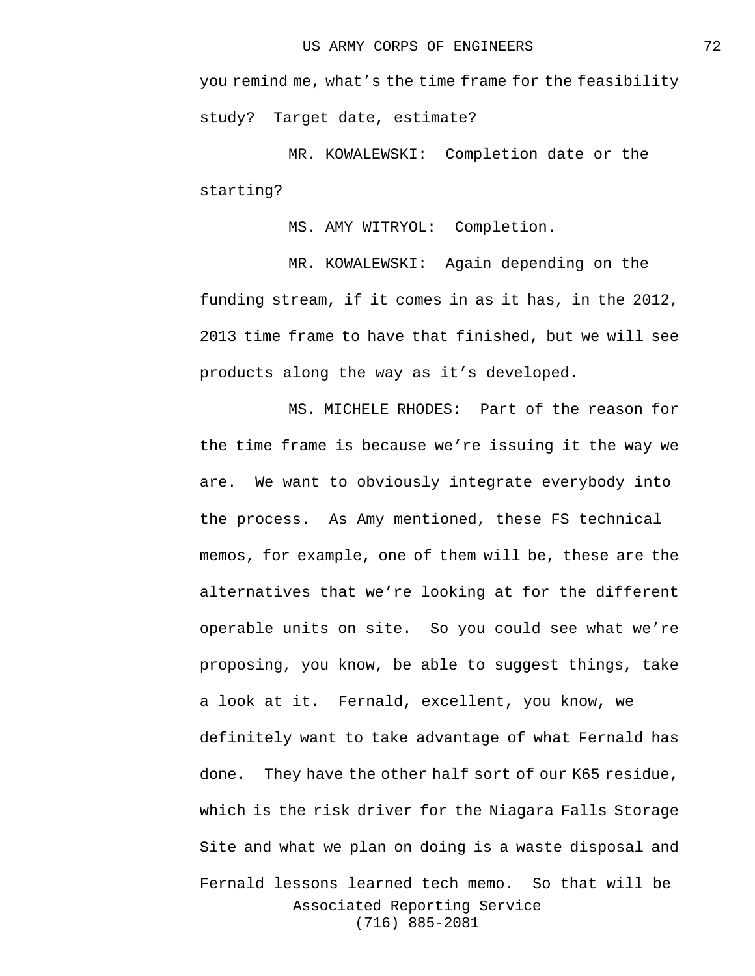you remind me, what's the time frame for the feasibility study? Target date, estimate?

MR. KOWALEWSKI: Completion date or the starting?

MS. AMY WITRYOL: Completion.

MR. KOWALEWSKI: Again depending on the funding stream, if it comes in as it has, in the 2012, 2013 time frame to have that finished, but we will see products along the way as it's developed.

Associated Reporting Service (716) 885-2081 MS. MICHELE RHODES: Part of the reason for the time frame is because we're issuing it the way we are. We want to obviously integrate everybody into the process. As Amy mentioned, these FS technical memos, for example, one of them will be, these are the alternatives that we're looking at for the different operable units on site. So you could see what we're proposing, you know, be able to suggest things, take a look at it. Fernald, excellent, you know, we definitely want to take advantage of what Fernald has done. They have the other half sort of our K65 residue, which is the risk driver for the Niagara Falls Storage Site and what we plan on doing is a waste disposal and Fernald lessons learned tech memo. So that will be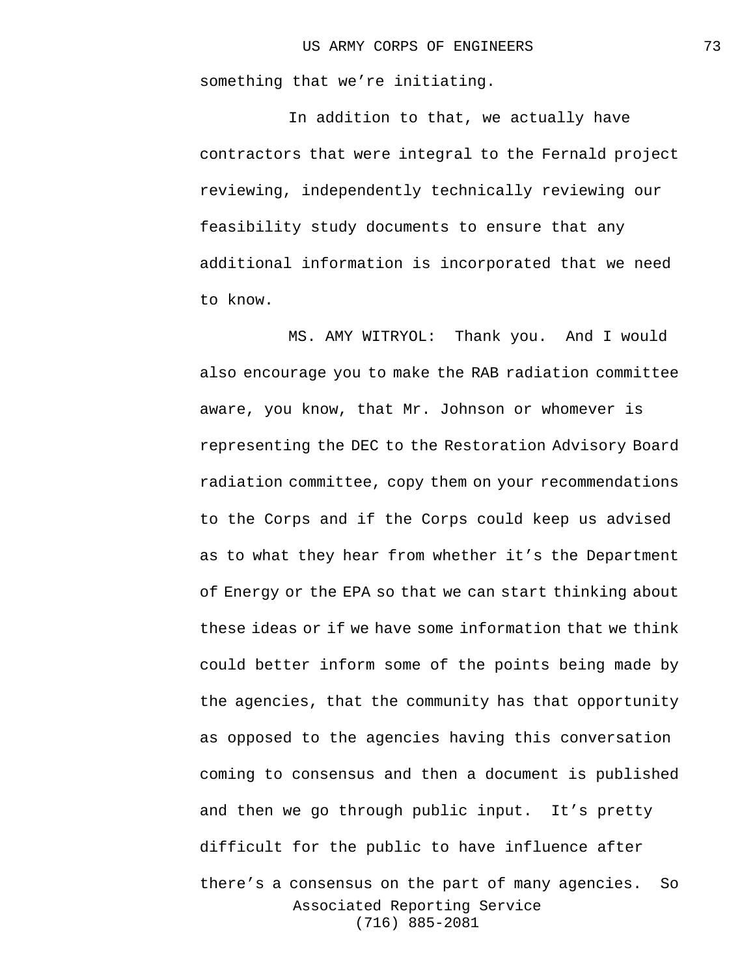something that we're initiating.

In addition to that, we actually have contractors that were integral to the Fernald project reviewing, independently technically reviewing our feasibility study documents to ensure that any additional information is incorporated that we need to know.

Associated Reporting Service (716) 885-2081 MS. AMY WITRYOL: Thank you. And I would also encourage you to make the RAB radiation committee aware, you know, that Mr. Johnson or whomever is representing the DEC to the Restoration Advisory Board radiation committee, copy them on your recommendations to the Corps and if the Corps could keep us advised as to what they hear from whether it's the Department of Energy or the EPA so that we can start thinking about these ideas or if we have some information that we think could better inform some of the points being made by the agencies, that the community has that opportunity as opposed to the agencies having this conversation coming to consensus and then a document is published and then we go through public input. It's pretty difficult for the public to have influence after there's a consensus on the part of many agencies. So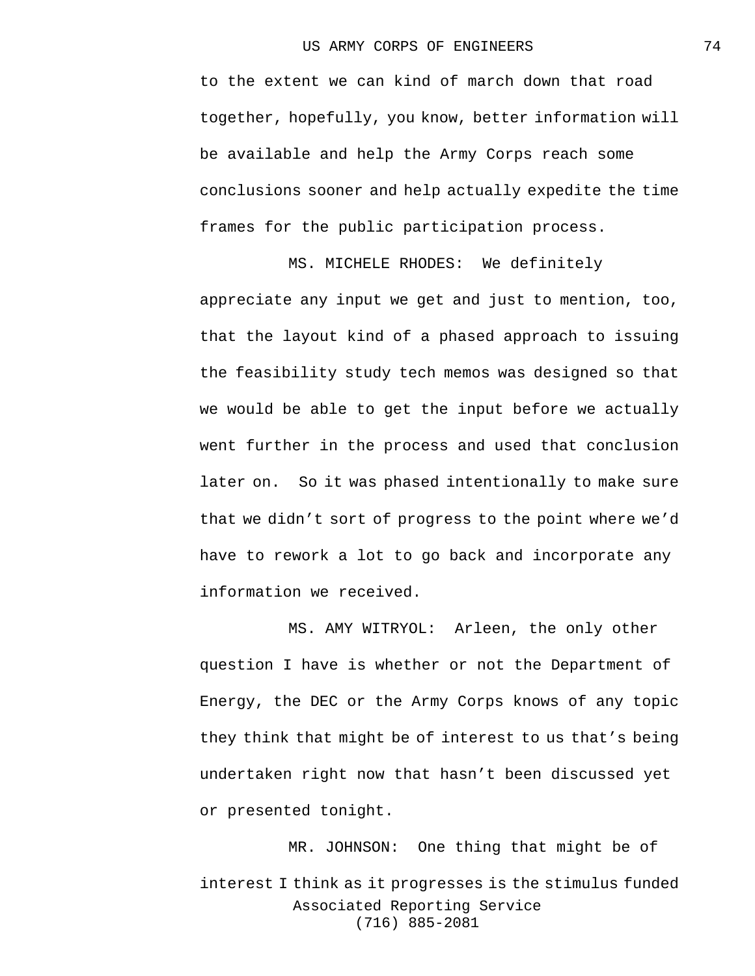to the extent we can kind of march down that road together, hopefully, you know, better information will be available and help the Army Corps reach some conclusions sooner and help actually expedite the time frames for the public participation process.

MS. MICHELE RHODES: We definitely appreciate any input we get and just to mention, too, that the layout kind of a phased approach to issuing the feasibility study tech memos was designed so that we would be able to get the input before we actually went further in the process and used that conclusion later on. So it was phased intentionally to make sure that we didn't sort of progress to the point where we'd have to rework a lot to go back and incorporate any information we received.

MS. AMY WITRYOL: Arleen, the only other question I have is whether or not the Department of Energy, the DEC or the Army Corps knows of any topic they think that might be of interest to us that's being undertaken right now that hasn't been discussed yet or presented tonight.

Associated Reporting Service (716) 885-2081 MR. JOHNSON: One thing that might be of interest I think as it progresses is the stimulus funded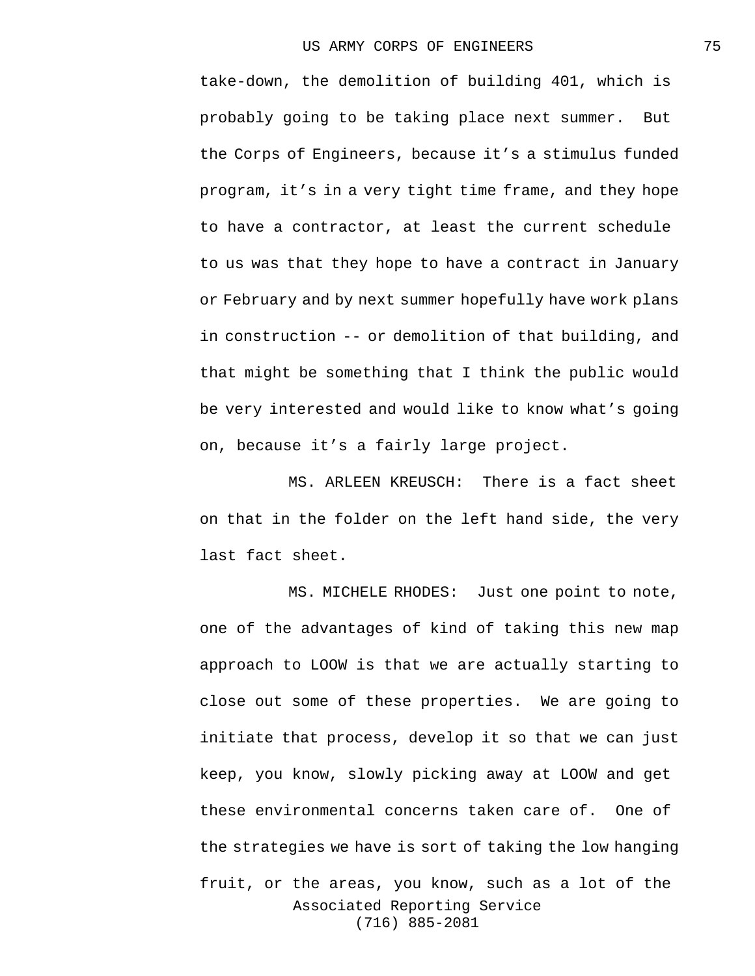take-down, the demolition of building 401, which is probably going to be taking place next summer. But the Corps of Engineers, because it's a stimulus funded program, it's in a very tight time frame, and they hope to have a contractor, at least the current schedule to us was that they hope to have a contract in January or February and by next summer hopefully have work plans in construction -- or demolition of that building, and that might be something that I think the public would be very interested and would like to know what's going on, because it's a fairly large project.

MS. ARLEEN KREUSCH: There is a fact sheet on that in the folder on the left hand side, the very last fact sheet.

Associated Reporting Service (716) 885-2081 MS. MICHELE RHODES: Just one point to note, one of the advantages of kind of taking this new map approach to LOOW is that we are actually starting to close out some of these properties. We are going to initiate that process, develop it so that we can just keep, you know, slowly picking away at LOOW and get these environmental concerns taken care of. One of the strategies we have is sort of taking the low hanging fruit, or the areas, you know, such as a lot of the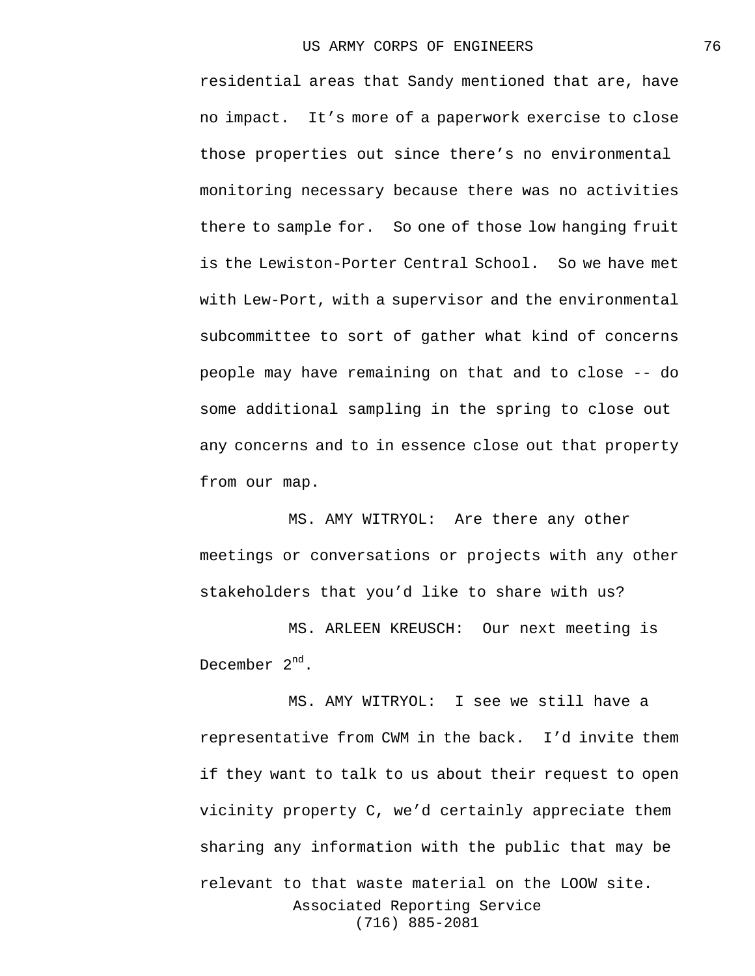residential areas that Sandy mentioned that are, have no impact. It's more of a paperwork exercise to close those properties out since there's no environmental monitoring necessary because there was no activities there to sample for. So one of those low hanging fruit is the Lewiston-Porter Central School. So we have met with Lew-Port, with a supervisor and the environmental subcommittee to sort of gather what kind of concerns people may have remaining on that and to close -- do some additional sampling in the spring to close out any concerns and to in essence close out that property from our map.

MS. AMY WITRYOL: Are there any other meetings or conversations or projects with any other stakeholders that you'd like to share with us?

MS. ARLEEN KREUSCH: Our next meeting is December  $2^{nd}$ .

Associated Reporting Service (716) 885-2081 MS. AMY WITRYOL: I see we still have a representative from CWM in the back. I'd invite them if they want to talk to us about their request to open vicinity property C, we'd certainly appreciate them sharing any information with the public that may be relevant to that waste material on the LOOW site.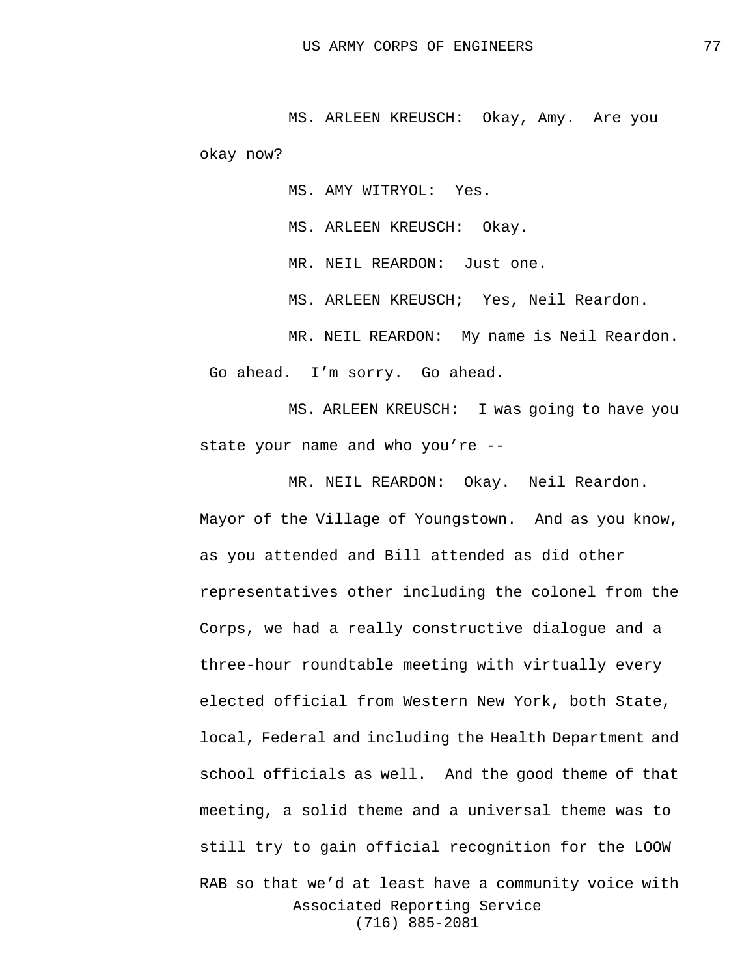MS. ARLEEN KREUSCH: Okay, Amy. Are you okay now?

MS. AMY WITRYOL: Yes.

MS. ARLEEN KREUSCH: Okay.

MR. NEIL REARDON: Just one.

MS. ARLEEN KREUSCH; Yes, Neil Reardon.

MR. NEIL REARDON: My name is Neil Reardon. Go ahead. I'm sorry. Go ahead.

MS. ARLEEN KREUSCH: I was going to have you state your name and who you're --

Associated Reporting Service (716) 885-2081 MR. NEIL REARDON: Okay. Neil Reardon. Mayor of the Village of Youngstown. And as you know, as you attended and Bill attended as did other representatives other including the colonel from the Corps, we had a really constructive dialogue and a three-hour roundtable meeting with virtually every elected official from Western New York, both State, local, Federal and including the Health Department and school officials as well. And the good theme of that meeting, a solid theme and a universal theme was to still try to gain official recognition for the LOOW RAB so that we'd at least have a community voice with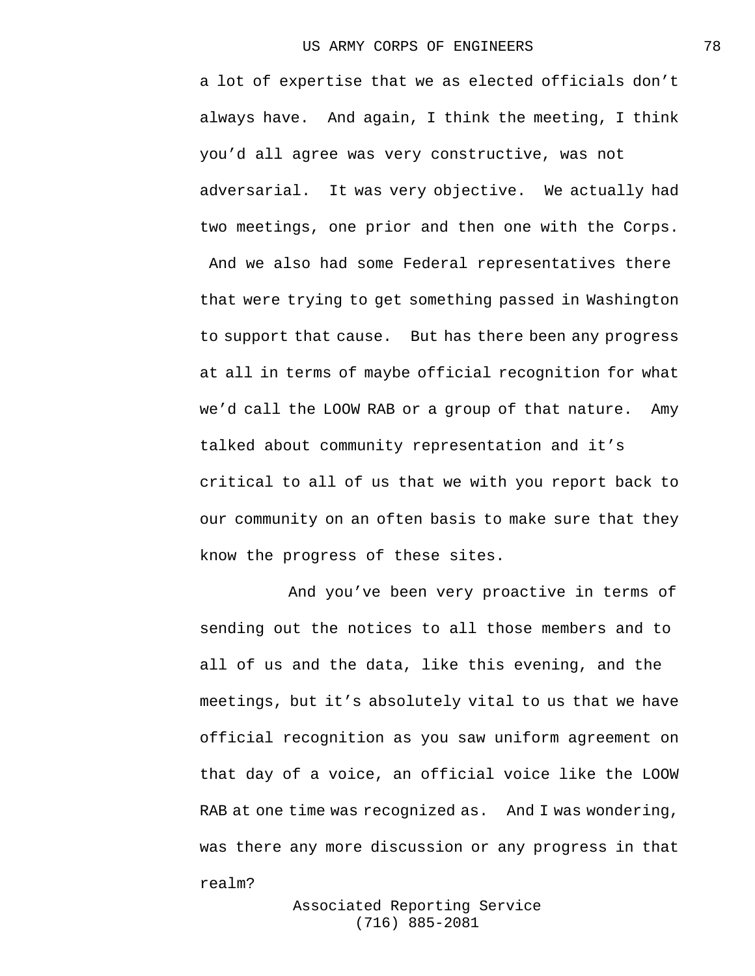a lot of expertise that we as elected officials don't always have. And again, I think the meeting, I think you'd all agree was very constructive, was not adversarial. It was very objective. We actually had two meetings, one prior and then one with the Corps. And we also had some Federal representatives there that were trying to get something passed in Washington to support that cause. But has there been any progress at all in terms of maybe official recognition for what we'd call the LOOW RAB or a group of that nature. Amy talked about community representation and it's critical to all of us that we with you report back to our community on an often basis to make sure that they know the progress of these sites.

And you've been very proactive in terms of sending out the notices to all those members and to all of us and the data, like this evening, and the meetings, but it's absolutely vital to us that we have official recognition as you saw uniform agreement on that day of a voice, an official voice like the LOOW RAB at one time was recognized as. And I was wondering, was there any more discussion or any progress in that realm?

> Associated Reporting Service (716) 885-2081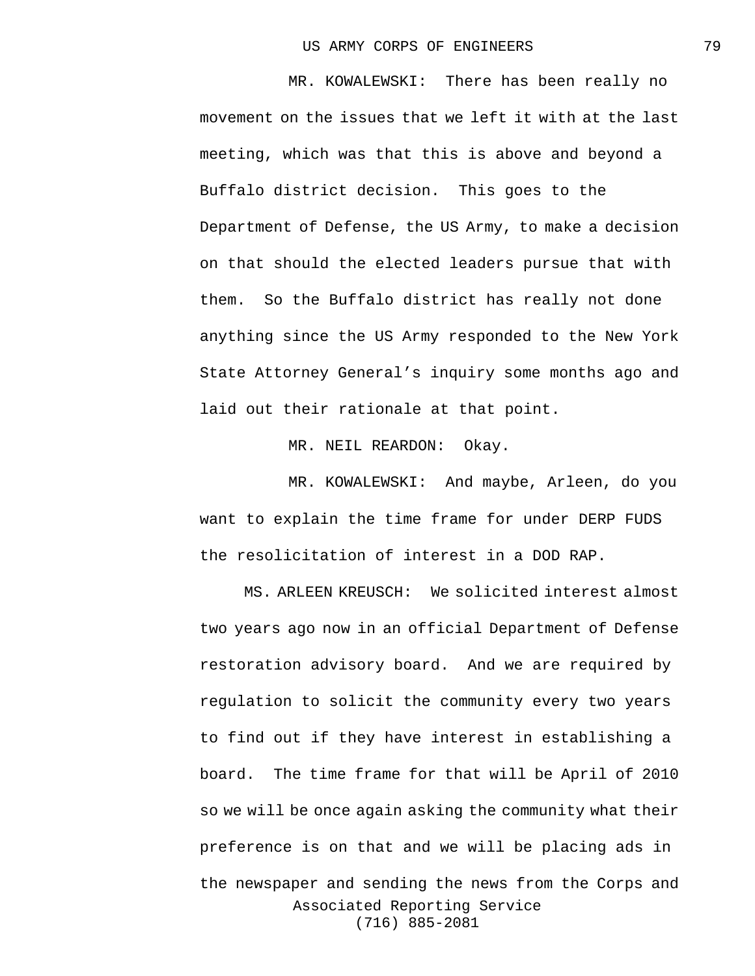MR. KOWALEWSKI: There has been really no movement on the issues that we left it with at the last meeting, which was that this is above and beyond a Buffalo district decision. This goes to the Department of Defense, the US Army, to make a decision on that should the elected leaders pursue that with them. So the Buffalo district has really not done anything since the US Army responded to the New York State Attorney General's inquiry some months ago and laid out their rationale at that point.

MR. NEIL REARDON: Okay.

MR. KOWALEWSKI: And maybe, Arleen, do you want to explain the time frame for under DERP FUDS the resolicitation of interest in a DOD RAP.

Associated Reporting Service (716) 885-2081 MS. ARLEEN KREUSCH: We solicited interest almost two years ago now in an official Department of Defense restoration advisory board. And we are required by regulation to solicit the community every two years to find out if they have interest in establishing a board. The time frame for that will be April of 2010 so we will be once again asking the community what their preference is on that and we will be placing ads in the newspaper and sending the news from the Corps and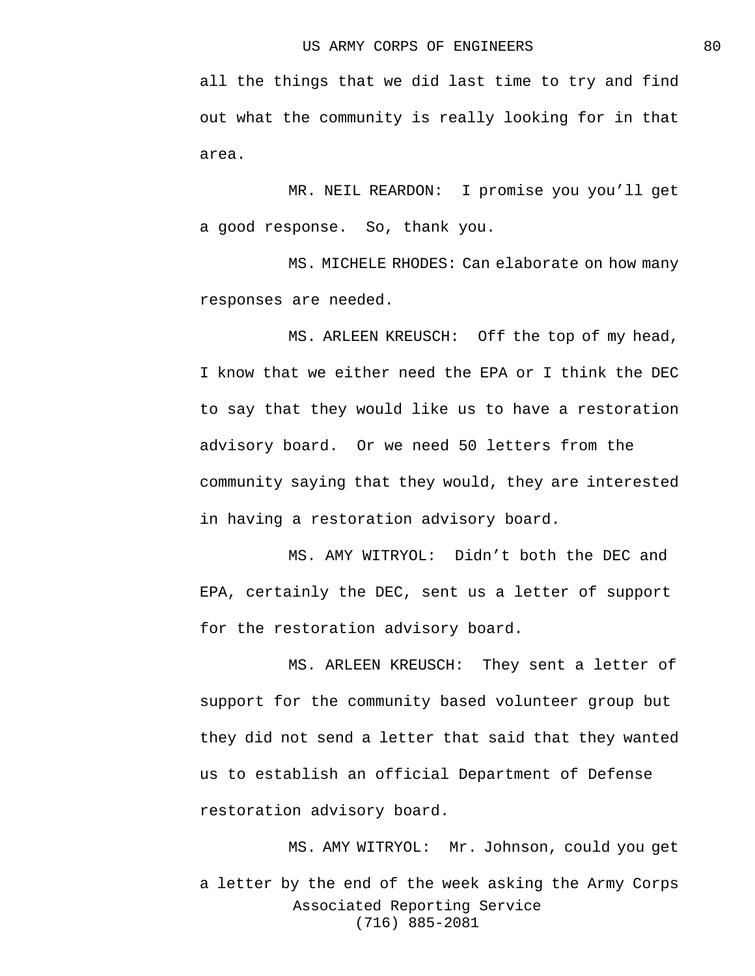all the things that we did last time to try and find out what the community is really looking for in that area.

MR. NEIL REARDON: I promise you you'll get a good response. So, thank you.

MS. MICHELE RHODES: Can elaborate on how many responses are needed.

MS. ARLEEN KREUSCH: Off the top of my head, I know that we either need the EPA or I think the DEC to say that they would like us to have a restoration advisory board. Or we need 50 letters from the community saying that they would, they are interested in having a restoration advisory board.

MS. AMY WITRYOL: Didn't both the DEC and EPA, certainly the DEC, sent us a letter of support for the restoration advisory board.

MS. ARLEEN KREUSCH: They sent a letter of support for the community based volunteer group but they did not send a letter that said that they wanted us to establish an official Department of Defense restoration advisory board.

Associated Reporting Service (716) 885-2081 MS. AMY WITRYOL: Mr. Johnson, could you get a letter by the end of the week asking the Army Corps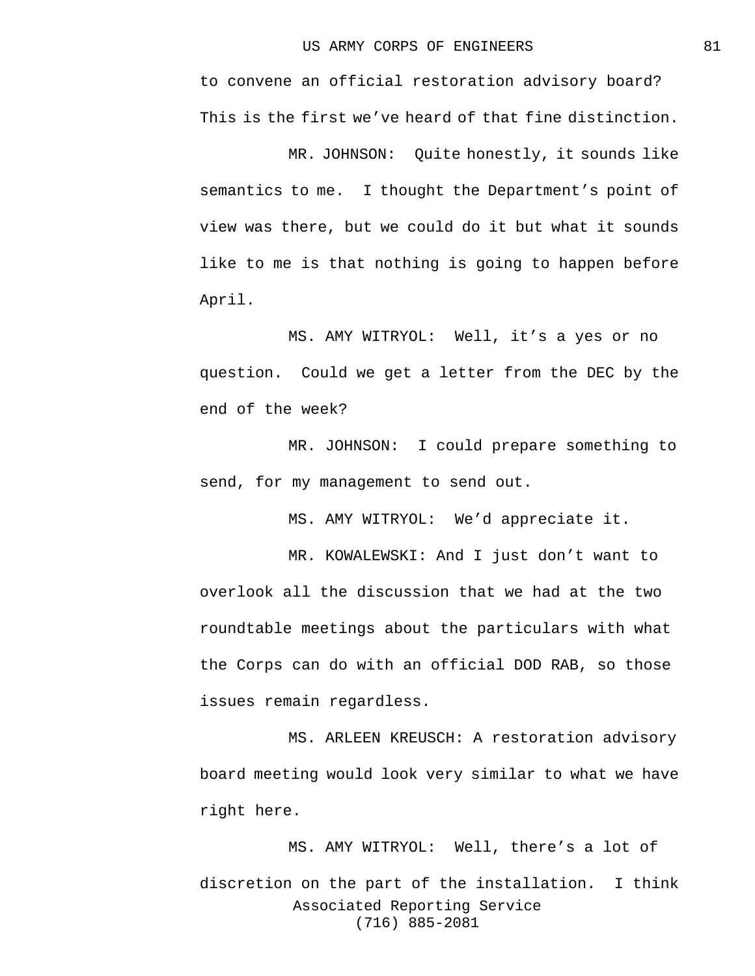to convene an official restoration advisory board? This is the first we've heard of that fine distinction.

MR. JOHNSON: Quite honestly, it sounds like semantics to me. I thought the Department's point of view was there, but we could do it but what it sounds like to me is that nothing is going to happen before April.

MS. AMY WITRYOL: Well, it's a yes or no question. Could we get a letter from the DEC by the end of the week?

MR. JOHNSON: I could prepare something to send, for my management to send out.

MS. AMY WITRYOL: We'd appreciate it.

MR. KOWALEWSKI: And I just don't want to overlook all the discussion that we had at the two roundtable meetings about the particulars with what the Corps can do with an official DOD RAB, so those issues remain regardless.

MS. ARLEEN KREUSCH: A restoration advisory board meeting would look very similar to what we have right here.

Associated Reporting Service (716) 885-2081 MS. AMY WITRYOL: Well, there's a lot of discretion on the part of the installation. I think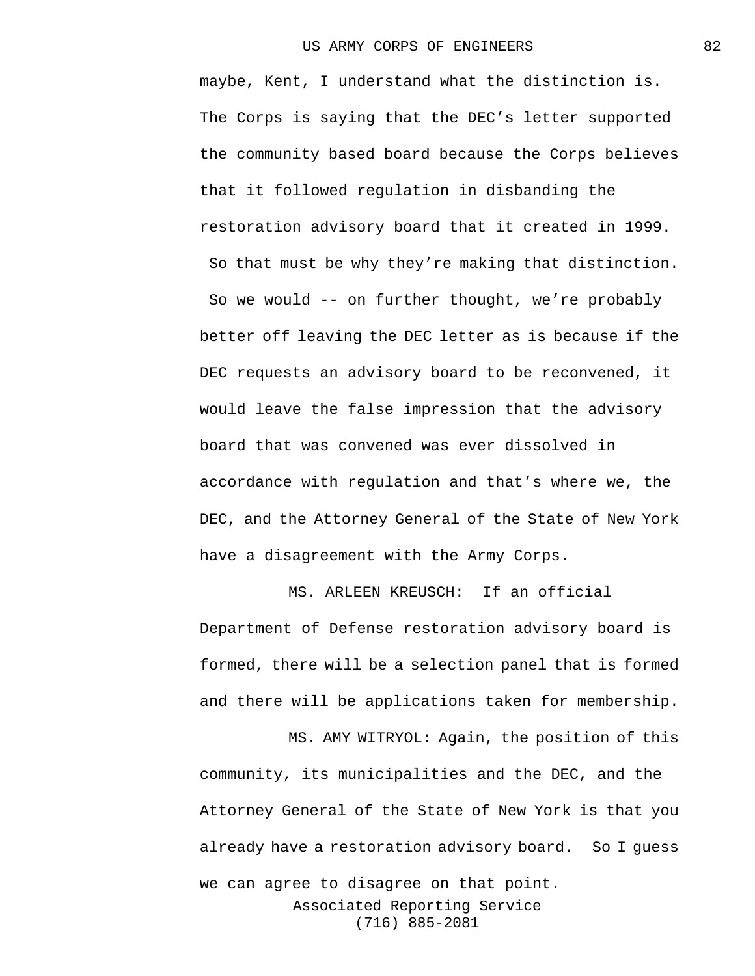maybe, Kent, I understand what the distinction is. The Corps is saying that the DEC's letter supported the community based board because the Corps believes that it followed regulation in disbanding the restoration advisory board that it created in 1999. So that must be why they're making that distinction. So we would -- on further thought, we're probably better off leaving the DEC letter as is because if the DEC requests an advisory board to be reconvened, it would leave the false impression that the advisory board that was convened was ever dissolved in accordance with regulation and that's where we, the DEC, and the Attorney General of the State of New York have a disagreement with the Army Corps.

MS. ARLEEN KREUSCH: If an official Department of Defense restoration advisory board is formed, there will be a selection panel that is formed and there will be applications taken for membership.

Associated Reporting Service (716) 885-2081 MS. AMY WITRYOL: Again, the position of this community, its municipalities and the DEC, and the Attorney General of the State of New York is that you already have a restoration advisory board. So I guess we can agree to disagree on that point.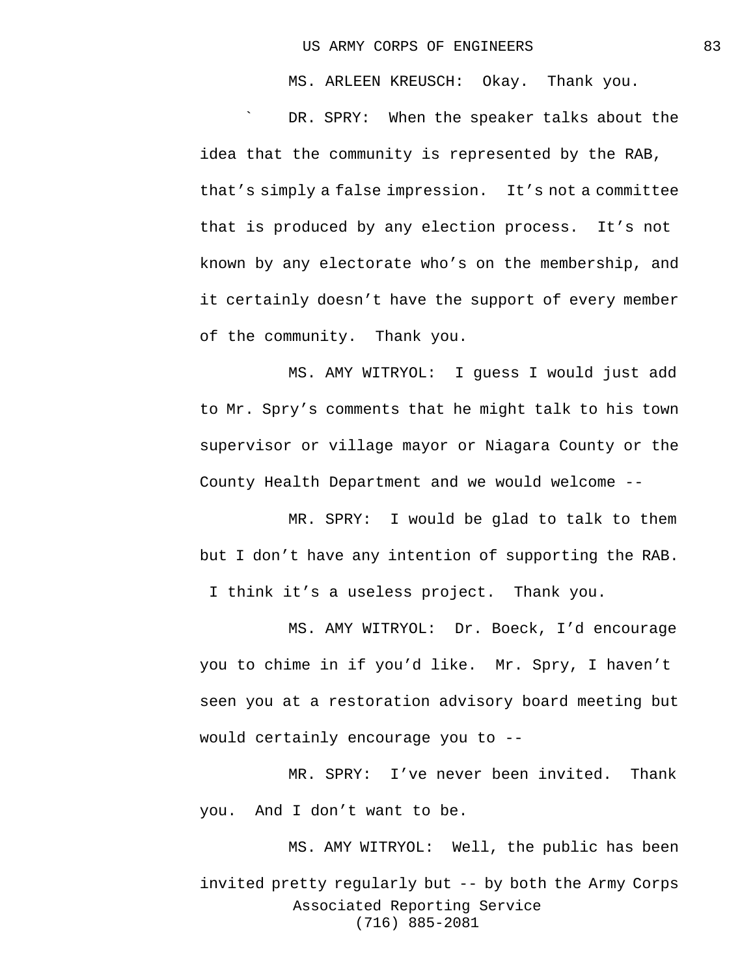MS. ARLEEN KREUSCH: Okay. Thank you.

DR. SPRY: When the speaker talks about the idea that the community is represented by the RAB, that's simply a false impression. It's not a committee that is produced by any election process. It's not known by any electorate who's on the membership, and it certainly doesn't have the support of every member of the community. Thank you.

MS. AMY WITRYOL: I guess I would just add to Mr. Spry's comments that he might talk to his town supervisor or village mayor or Niagara County or the County Health Department and we would welcome --

MR. SPRY: I would be glad to talk to them but I don't have any intention of supporting the RAB. I think it's a useless project. Thank you.

MS. AMY WITRYOL: Dr. Boeck, I'd encourage you to chime in if you'd like. Mr. Spry, I haven't seen you at a restoration advisory board meeting but would certainly encourage you to --

MR. SPRY: I've never been invited. Thank you. And I don't want to be.

Associated Reporting Service (716) 885-2081 MS. AMY WITRYOL: Well, the public has been invited pretty regularly but -- by both the Army Corps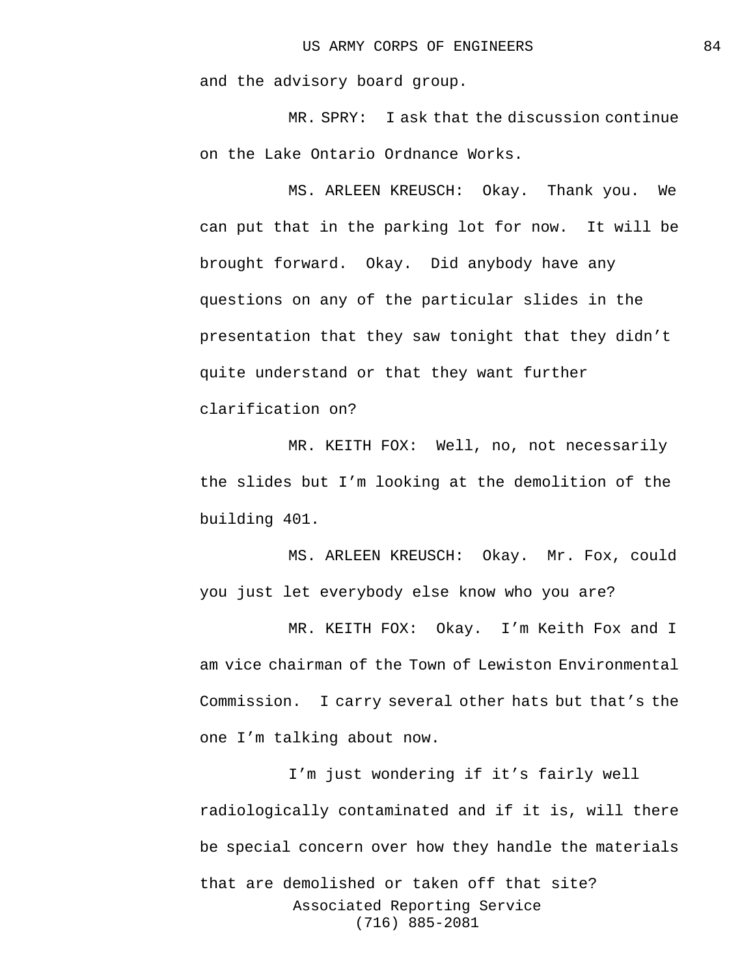and the advisory board group.

MR. SPRY: I ask that the discussion continue on the Lake Ontario Ordnance Works.

MS. ARLEEN KREUSCH: Okay. Thank you. We can put that in the parking lot for now. It will be brought forward. Okay. Did anybody have any questions on any of the particular slides in the presentation that they saw tonight that they didn't quite understand or that they want further clarification on?

MR. KEITH FOX: Well, no, not necessarily the slides but I'm looking at the demolition of the building 401.

MS. ARLEEN KREUSCH: Okay. Mr. Fox, could you just let everybody else know who you are?

MR. KEITH FOX: Okay. I'm Keith Fox and I am vice chairman of the Town of Lewiston Environmental Commission. I carry several other hats but that's the one I'm talking about now.

Associated Reporting Service (716) 885-2081 I'm just wondering if it's fairly well radiologically contaminated and if it is, will there be special concern over how they handle the materials that are demolished or taken off that site?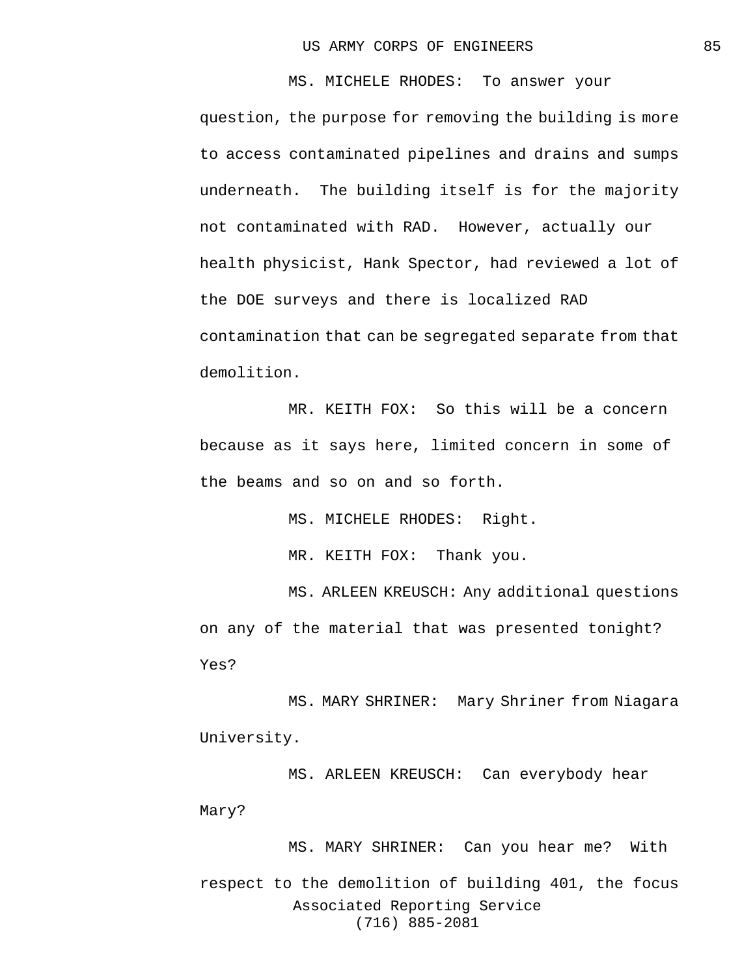MS. MICHELE RHODES: To answer your question, the purpose for removing the building is more to access contaminated pipelines and drains and sumps underneath. The building itself is for the majority not contaminated with RAD. However, actually our health physicist, Hank Spector, had reviewed a lot of the DOE surveys and there is localized RAD contamination that can be segregated separate from that demolition.

MR. KEITH FOX: So this will be a concern because as it says here, limited concern in some of the beams and so on and so forth.

MS. MICHELE RHODES: Right.

MR. KEITH FOX: Thank you.

MS. ARLEEN KREUSCH: Any additional questions on any of the material that was presented tonight? Yes?

MS. MARY SHRINER: Mary Shriner from Niagara University.

MS. ARLEEN KREUSCH: Can everybody hear Mary?

Associated Reporting Service (716) 885-2081 MS. MARY SHRINER: Can you hear me? With respect to the demolition of building 401, the focus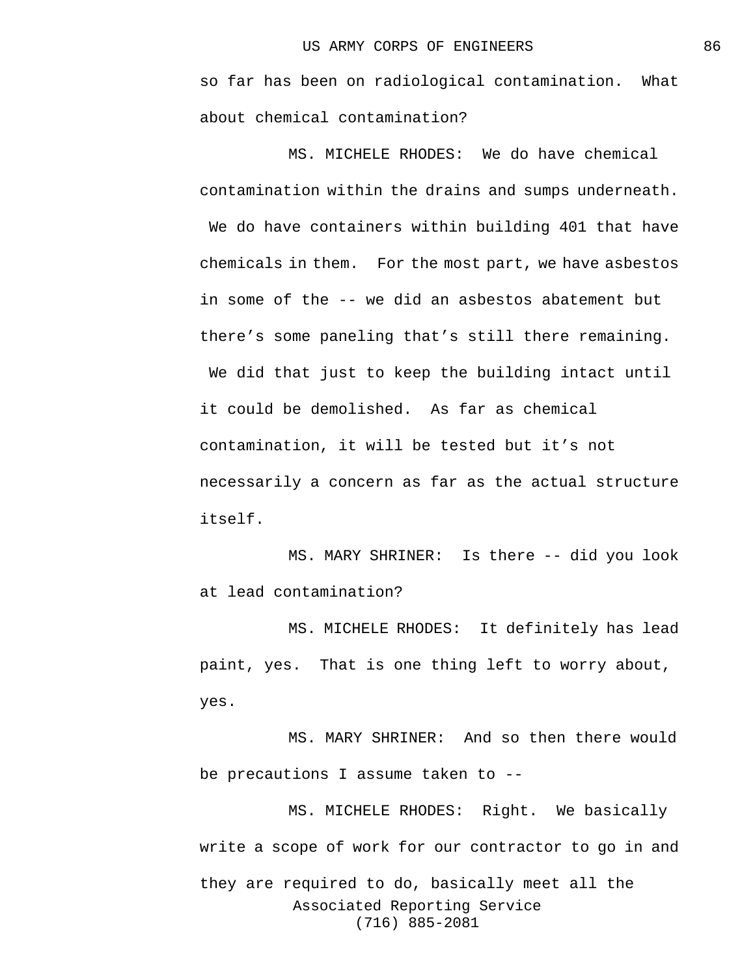so far has been on radiological contamination. What about chemical contamination?

MS. MICHELE RHODES: We do have chemical contamination within the drains and sumps underneath. We do have containers within building 401 that have chemicals in them. For the most part, we have asbestos in some of the -- we did an asbestos abatement but there's some paneling that's still there remaining.

We did that just to keep the building intact until it could be demolished. As far as chemical contamination, it will be tested but it's not necessarily a concern as far as the actual structure itself.

MS. MARY SHRINER: Is there -- did you look at lead contamination?

MS. MICHELE RHODES: It definitely has lead paint, yes. That is one thing left to worry about, yes.

MS. MARY SHRINER: And so then there would be precautions I assume taken to --

Associated Reporting Service (716) 885-2081 MS. MICHELE RHODES: Right. We basically write a scope of work for our contractor to go in and they are required to do, basically meet all the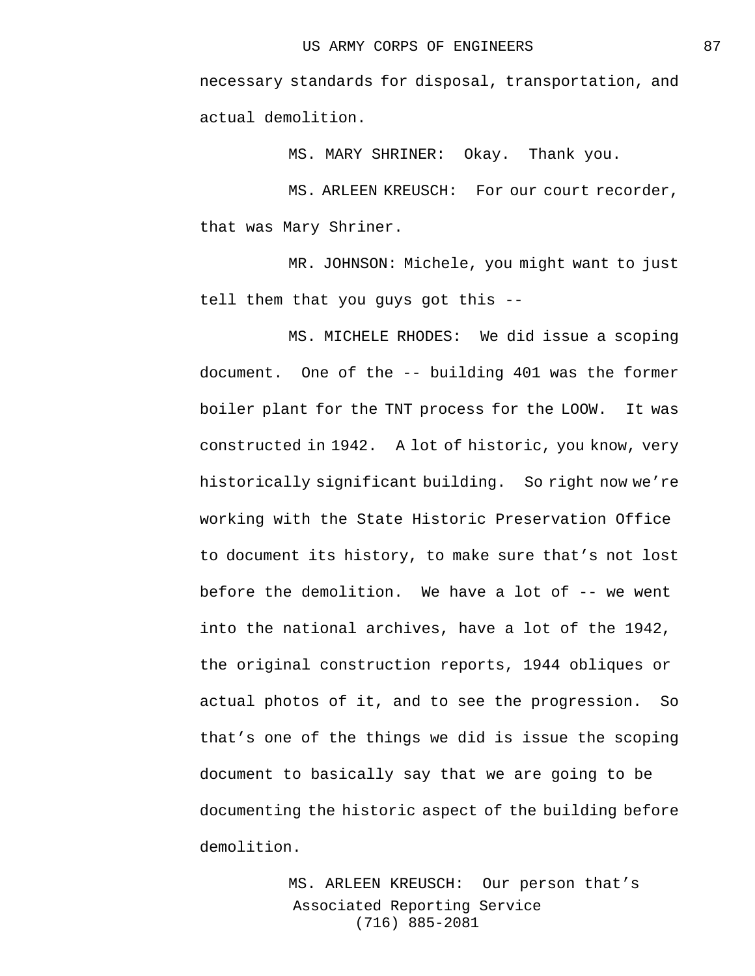necessary standards for disposal, transportation, and actual demolition.

MS. MARY SHRINER: Okay. Thank you.

MS. ARLEEN KREUSCH: For our court recorder, that was Mary Shriner.

MR. JOHNSON: Michele, you might want to just tell them that you guys got this --

MS. MICHELE RHODES: We did issue a scoping document. One of the -- building 401 was the former boiler plant for the TNT process for the LOOW. It was constructed in 1942. A lot of historic, you know, very historically significant building. So right now we're working with the State Historic Preservation Office to document its history, to make sure that's not lost before the demolition. We have a lot of -- we went into the national archives, have a lot of the 1942, the original construction reports, 1944 obliques or actual photos of it, and to see the progression. So that's one of the things we did is issue the scoping document to basically say that we are going to be documenting the historic aspect of the building before demolition.

> Associated Reporting Service (716) 885-2081 MS. ARLEEN KREUSCH: Our person that's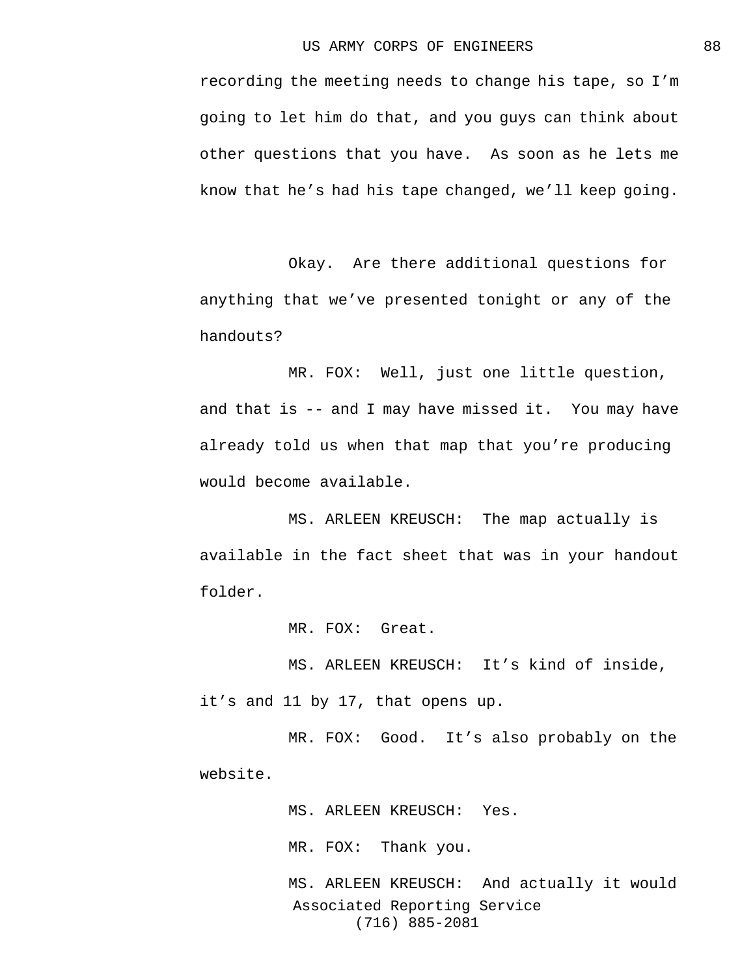recording the meeting needs to change his tape, so I'm going to let him do that, and you guys can think about other questions that you have. As soon as he lets me know that he's had his tape changed, we'll keep going.

Okay. Are there additional questions for anything that we've presented tonight or any of the handouts?

MR. FOX: Well, just one little question, and that is -- and I may have missed it. You may have already told us when that map that you're producing would become available.

MS. ARLEEN KREUSCH: The map actually is available in the fact sheet that was in your handout folder.

MR. FOX: Great.

MS. ARLEEN KREUSCH: It's kind of inside, it's and 11 by 17, that opens up.

MR. FOX: Good. It's also probably on the website.

MS. ARLEEN KREUSCH: Yes.

MR. FOX: Thank you.

Associated Reporting Service (716) 885-2081 MS. ARLEEN KREUSCH: And actually it would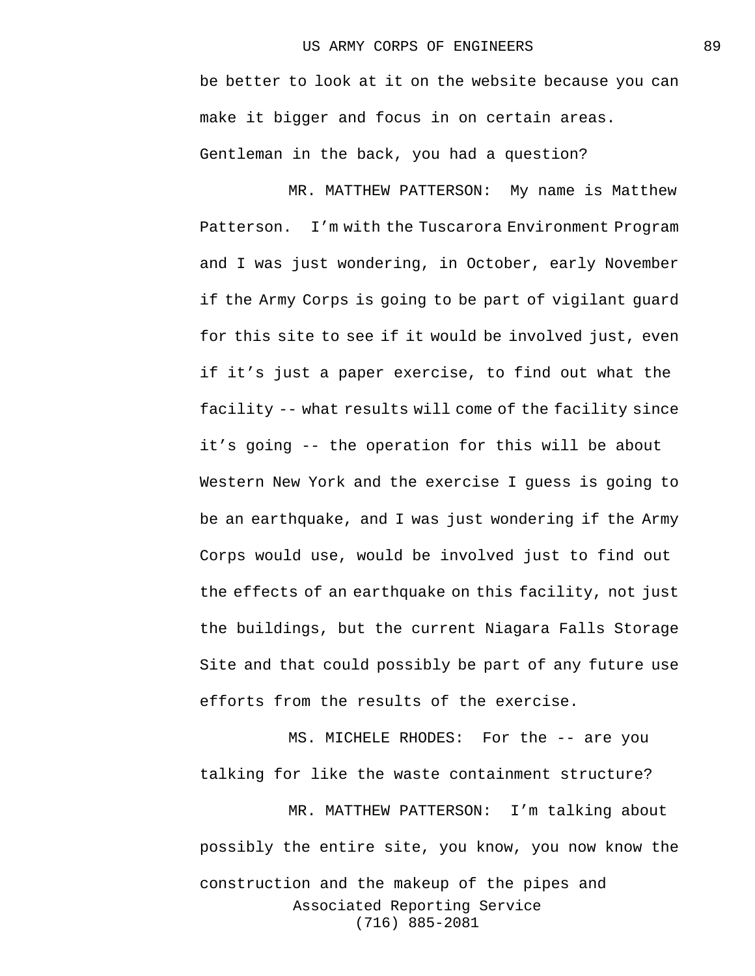be better to look at it on the website because you can make it bigger and focus in on certain areas. Gentleman in the back, you had a question?

MR. MATTHEW PATTERSON: My name is Matthew Patterson. I'm with the Tuscarora Environment Program and I was just wondering, in October, early November if the Army Corps is going to be part of vigilant guard for this site to see if it would be involved just, even if it's just a paper exercise, to find out what the facility -- what results will come of the facility since it's going -- the operation for this will be about Western New York and the exercise I guess is going to be an earthquake, and I was just wondering if the Army Corps would use, would be involved just to find out the effects of an earthquake on this facility, not just the buildings, but the current Niagara Falls Storage Site and that could possibly be part of any future use efforts from the results of the exercise.

MS. MICHELE RHODES: For the -- are you talking for like the waste containment structure?

Associated Reporting Service (716) 885-2081 MR. MATTHEW PATTERSON: I'm talking about possibly the entire site, you know, you now know the construction and the makeup of the pipes and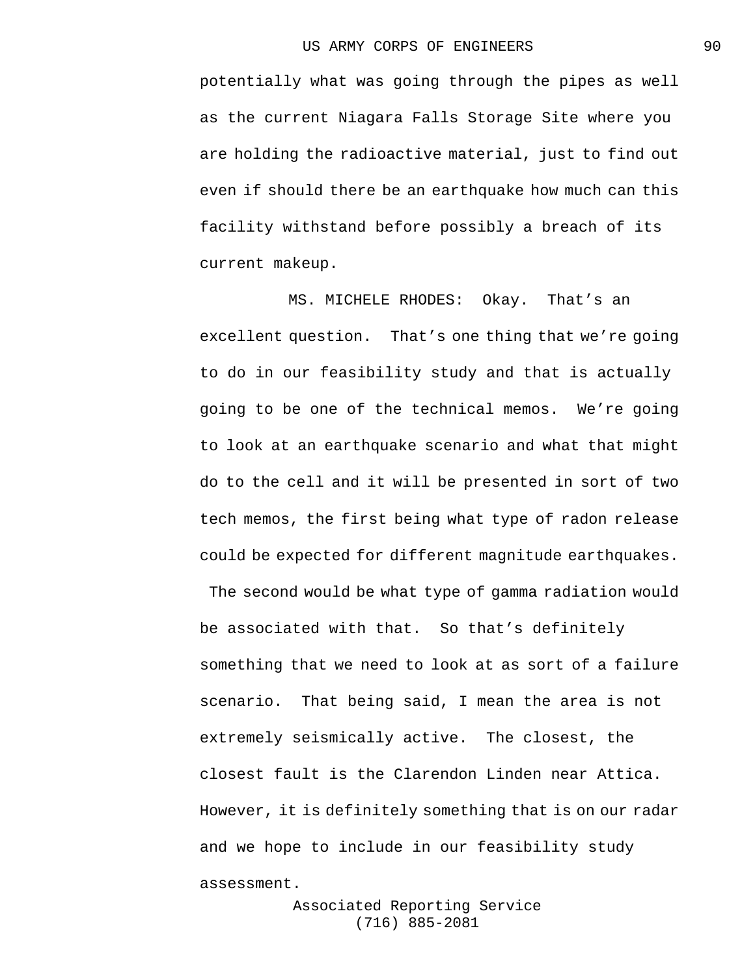potentially what was going through the pipes as well as the current Niagara Falls Storage Site where you are holding the radioactive material, just to find out even if should there be an earthquake how much can this facility withstand before possibly a breach of its current makeup.

MS. MICHELE RHODES: Okay. That's an excellent question. That's one thing that we're going to do in our feasibility study and that is actually going to be one of the technical memos. We're going to look at an earthquake scenario and what that might do to the cell and it will be presented in sort of two tech memos, the first being what type of radon release could be expected for different magnitude earthquakes.

The second would be what type of gamma radiation would be associated with that. So that's definitely something that we need to look at as sort of a failure scenario. That being said, I mean the area is not extremely seismically active. The closest, the closest fault is the Clarendon Linden near Attica. However, it is definitely something that is on our radar and we hope to include in our feasibility study assessment.

> Associated Reporting Service (716) 885-2081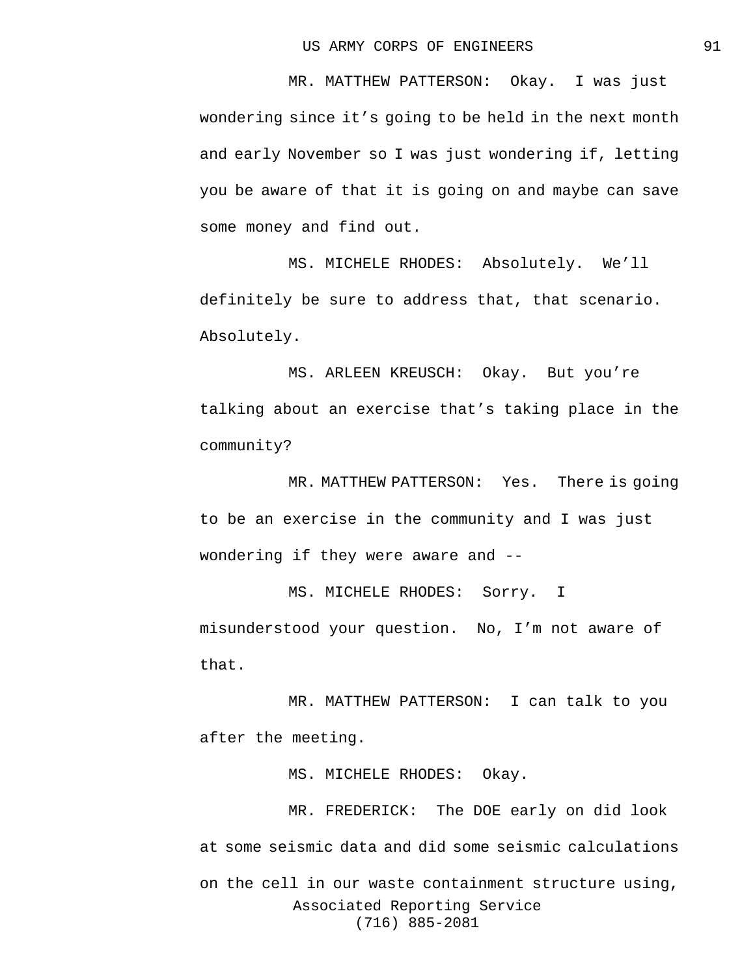MR. MATTHEW PATTERSON: Okay. I was just wondering since it's going to be held in the next month and early November so I was just wondering if, letting you be aware of that it is going on and maybe can save some money and find out.

MS. MICHELE RHODES: Absolutely. We'll definitely be sure to address that, that scenario. Absolutely.

MS. ARLEEN KREUSCH: Okay. But you're talking about an exercise that's taking place in the community?

MR. MATTHEW PATTERSON: Yes. There is going to be an exercise in the community and I was just wondering if they were aware and --

MS. MICHELE RHODES: Sorry. I misunderstood your question. No, I'm not aware of that.

MR. MATTHEW PATTERSON: I can talk to you after the meeting.

MS. MICHELE RHODES: Okay.

Associated Reporting Service (716) 885-2081 MR. FREDERICK: The DOE early on did look at some seismic data and did some seismic calculations on the cell in our waste containment structure using,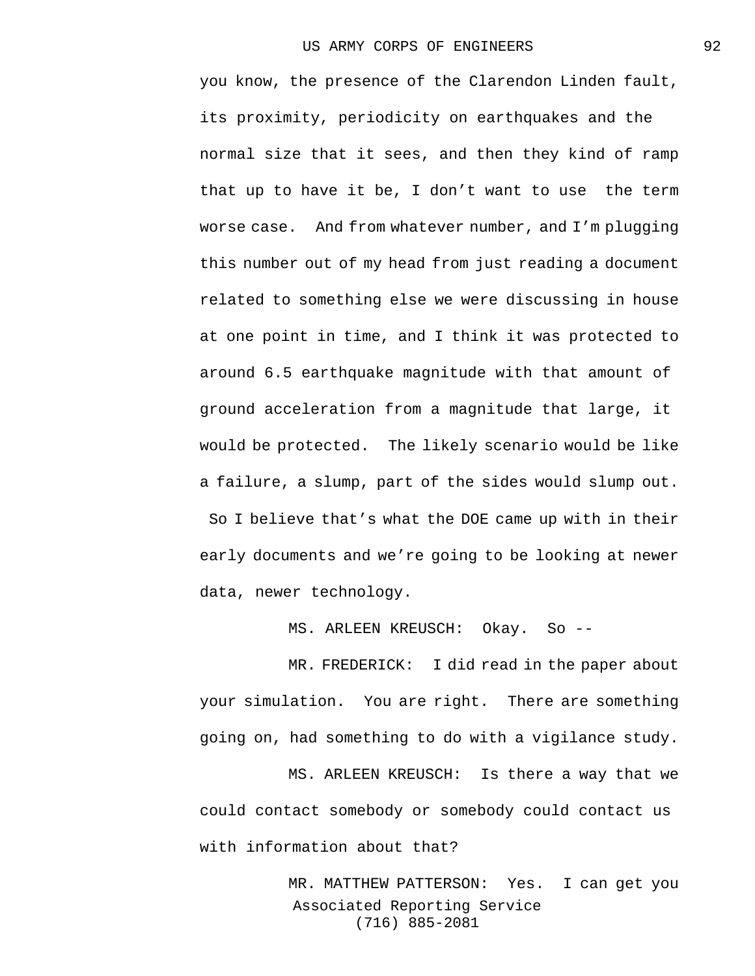you know, the presence of the Clarendon Linden fault, its proximity, periodicity on earthquakes and the normal size that it sees, and then they kind of ramp that up to have it be, I don't want to use the term worse case. And from whatever number, and I'm plugging this number out of my head from just reading a document related to something else we were discussing in house at one point in time, and I think it was protected to around 6.5 earthquake magnitude with that amount of ground acceleration from a magnitude that large, it would be protected. The likely scenario would be like a failure, a slump, part of the sides would slump out. So I believe that's what the DOE came up with in their early documents and we're going to be looking at newer data, newer technology.

MS. ARLEEN KREUSCH: Okay. So --

MR. FREDERICK: I did read in the paper about your simulation. You are right. There are something going on, had something to do with a vigilance study.

MS. ARLEEN KREUSCH: Is there a way that we could contact somebody or somebody could contact us with information about that?

> Associated Reporting Service (716) 885-2081 MR. MATTHEW PATTERSON: Yes. I can get you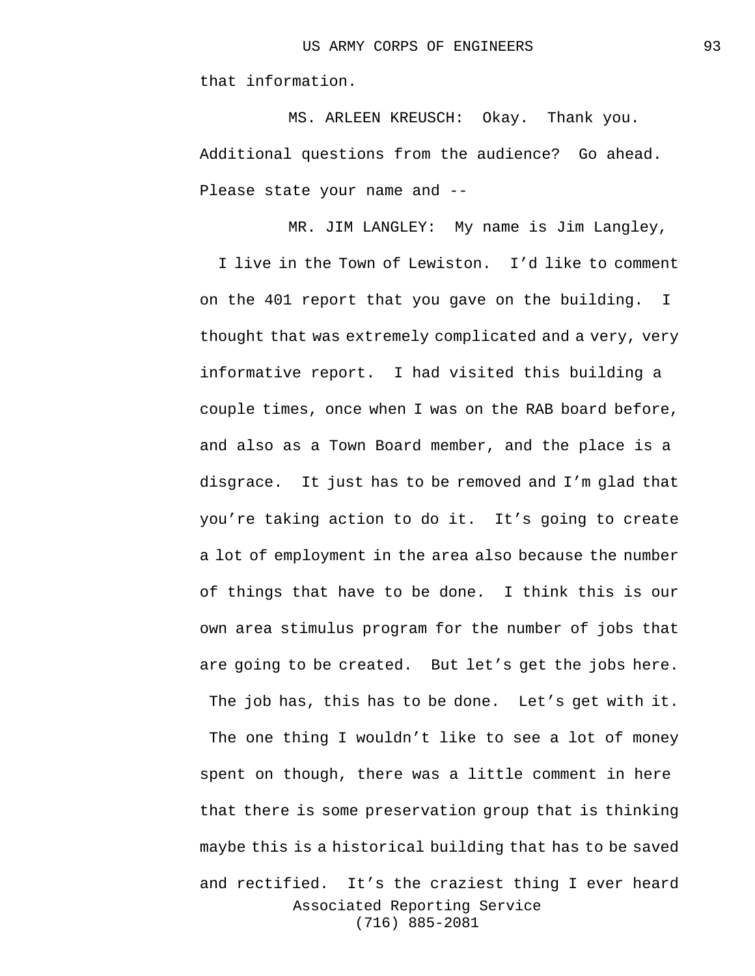that information.

MS. ARLEEN KREUSCH: Okay. Thank you. Additional questions from the audience? Go ahead. Please state your name and --

Associated Reporting Service MR. JIM LANGLEY: My name is Jim Langley, I live in the Town of Lewiston. I'd like to comment on the 401 report that you gave on the building. I thought that was extremely complicated and a very, very informative report. I had visited this building a couple times, once when I was on the RAB board before, and also as a Town Board member, and the place is a disgrace. It just has to be removed and I'm glad that you're taking action to do it. It's going to create a lot of employment in the area also because the number of things that have to be done. I think this is our own area stimulus program for the number of jobs that are going to be created. But let's get the jobs here. The job has, this has to be done. Let's get with it. The one thing I wouldn't like to see a lot of money spent on though, there was a little comment in here that there is some preservation group that is thinking maybe this is a historical building that has to be saved and rectified. It's the craziest thing I ever heard

(716) 885-2081

93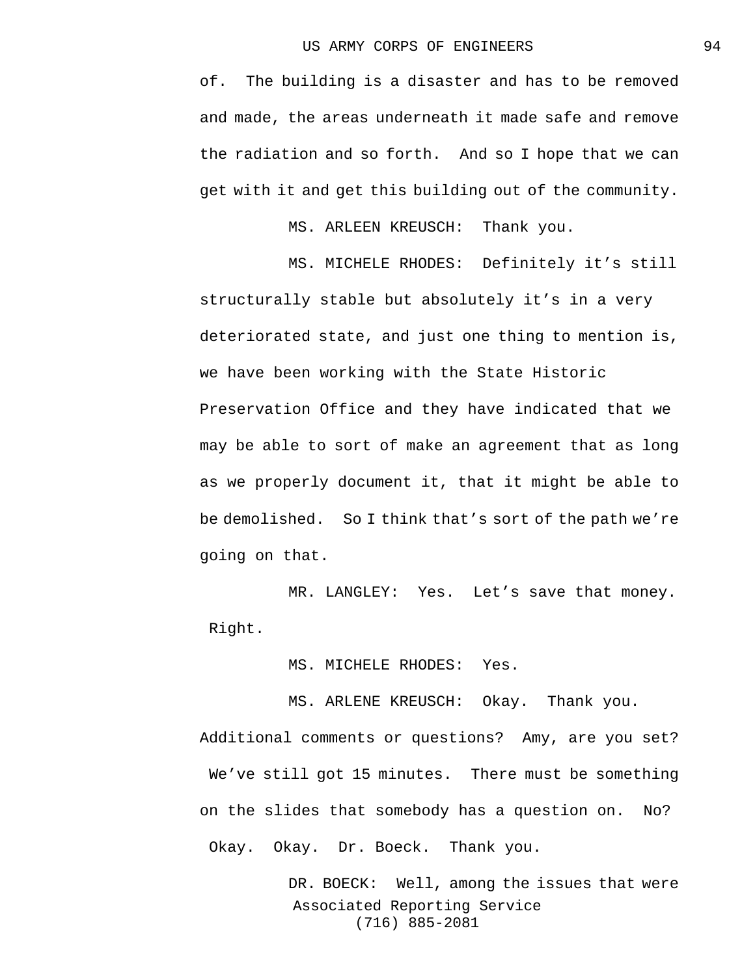of. The building is a disaster and has to be removed and made, the areas underneath it made safe and remove the radiation and so forth. And so I hope that we can get with it and get this building out of the community.

MS. ARLEEN KREUSCH: Thank you.

MS. MICHELE RHODES: Definitely it's still structurally stable but absolutely it's in a very deteriorated state, and just one thing to mention is, we have been working with the State Historic Preservation Office and they have indicated that we may be able to sort of make an agreement that as long as we properly document it, that it might be able to be demolished. So I think that's sort of the path we're going on that.

MR. LANGLEY: Yes. Let's save that money. Right.

MS. MICHELE RHODES: Yes.

MS. ARLENE KREUSCH: Okay. Thank you.

Additional comments or questions? Amy, are you set? We've still got 15 minutes. There must be something on the slides that somebody has a question on. No? Okay. Okay. Dr. Boeck. Thank you.

> Associated Reporting Service (716) 885-2081 DR. BOECK: Well, among the issues that were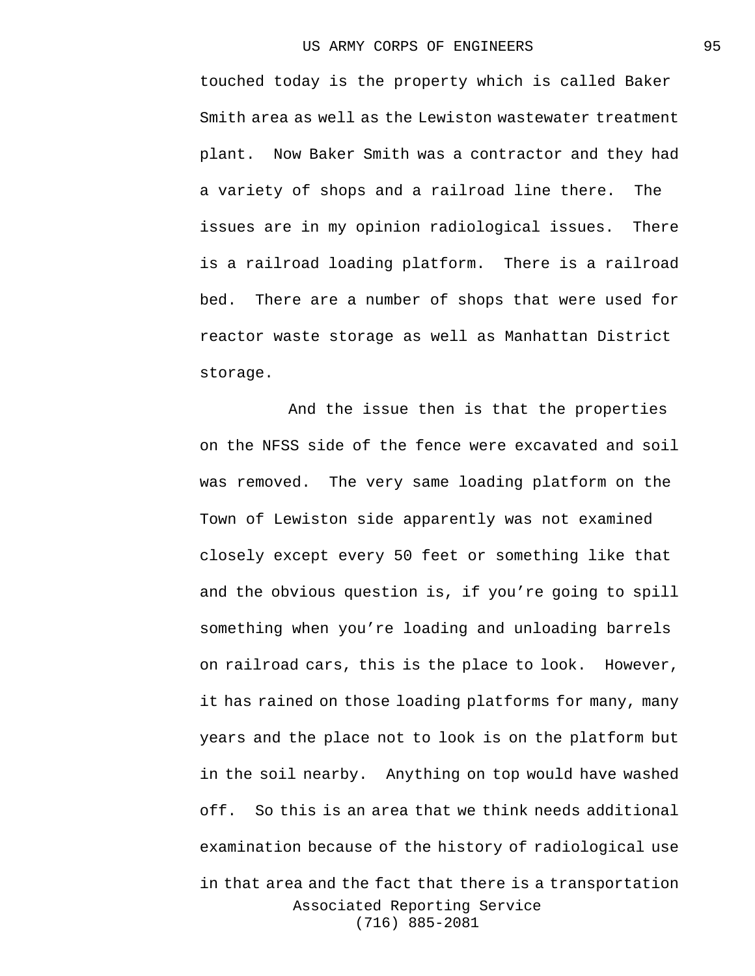touched today is the property which is called Baker Smith area as well as the Lewiston wastewater treatment plant. Now Baker Smith was a contractor and they had a variety of shops and a railroad line there. The issues are in my opinion radiological issues. There is a railroad loading platform. There is a railroad bed. There are a number of shops that were used for reactor waste storage as well as Manhattan District storage.

Associated Reporting Service (716) 885-2081 And the issue then is that the properties on the NFSS side of the fence were excavated and soil was removed. The very same loading platform on the Town of Lewiston side apparently was not examined closely except every 50 feet or something like that and the obvious question is, if you're going to spill something when you're loading and unloading barrels on railroad cars, this is the place to look. However, it has rained on those loading platforms for many, many years and the place not to look is on the platform but in the soil nearby. Anything on top would have washed off. So this is an area that we think needs additional examination because of the history of radiological use in that area and the fact that there is a transportation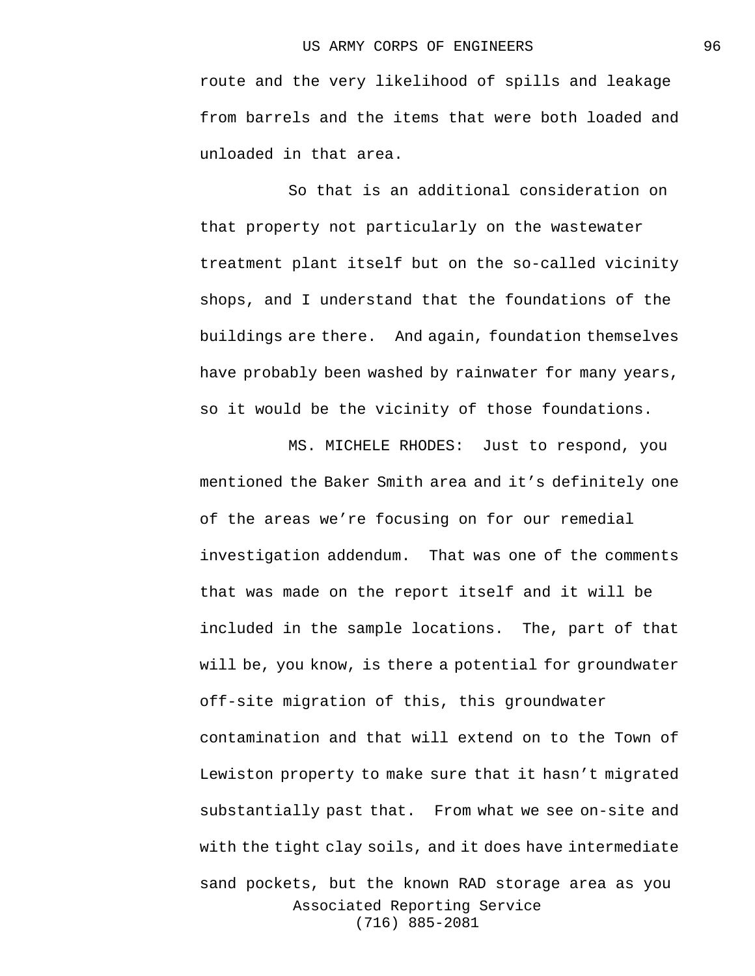route and the very likelihood of spills and leakage from barrels and the items that were both loaded and unloaded in that area.

So that is an additional consideration on that property not particularly on the wastewater treatment plant itself but on the so-called vicinity shops, and I understand that the foundations of the buildings are there. And again, foundation themselves have probably been washed by rainwater for many years, so it would be the vicinity of those foundations.

Associated Reporting Service (716) 885-2081 MS. MICHELE RHODES: Just to respond, you mentioned the Baker Smith area and it's definitely one of the areas we're focusing on for our remedial investigation addendum. That was one of the comments that was made on the report itself and it will be included in the sample locations. The, part of that will be, you know, is there a potential for groundwater off-site migration of this, this groundwater contamination and that will extend on to the Town of Lewiston property to make sure that it hasn't migrated substantially past that. From what we see on-site and with the tight clay soils, and it does have intermediate sand pockets, but the known RAD storage area as you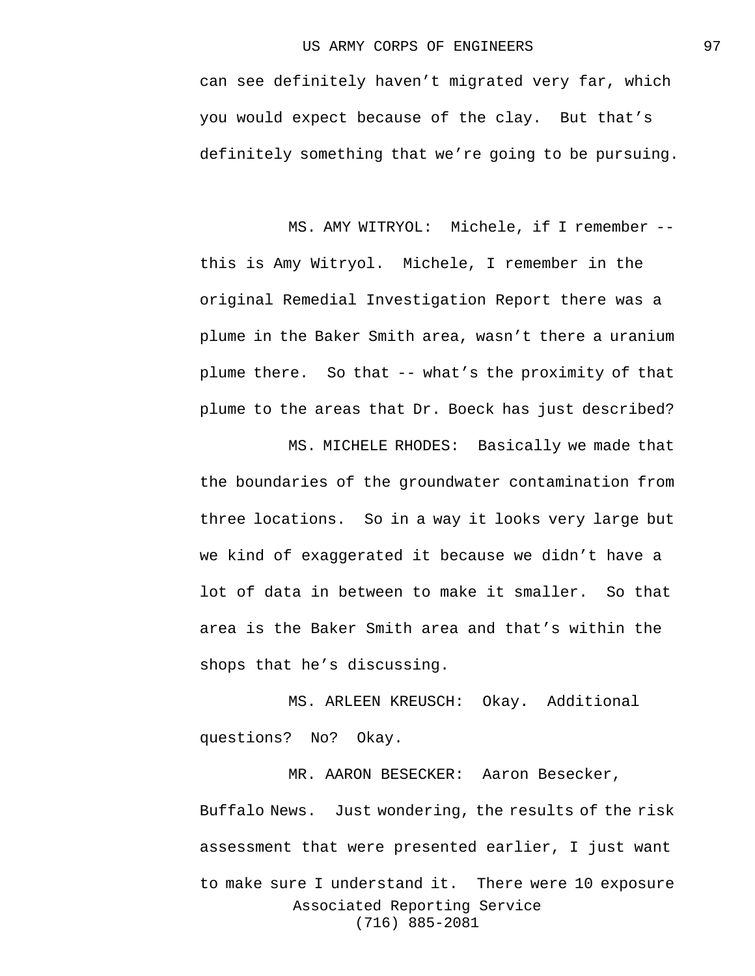can see definitely haven't migrated very far, which you would expect because of the clay. But that's definitely something that we're going to be pursuing.

MS. AMY WITRYOL: Michele, if I remember - this is Amy Witryol. Michele, I remember in the original Remedial Investigation Report there was a plume in the Baker Smith area, wasn't there a uranium plume there. So that -- what's the proximity of that plume to the areas that Dr. Boeck has just described?

MS. MICHELE RHODES: Basically we made that the boundaries of the groundwater contamination from three locations. So in a way it looks very large but we kind of exaggerated it because we didn't have a lot of data in between to make it smaller. So that area is the Baker Smith area and that's within the shops that he's discussing.

MS. ARLEEN KREUSCH: Okay. Additional questions? No? Okay.

Associated Reporting Service (716) 885-2081 MR. AARON BESECKER: Aaron Besecker, Buffalo News. Just wondering, the results of the risk assessment that were presented earlier, I just want to make sure I understand it. There were 10 exposure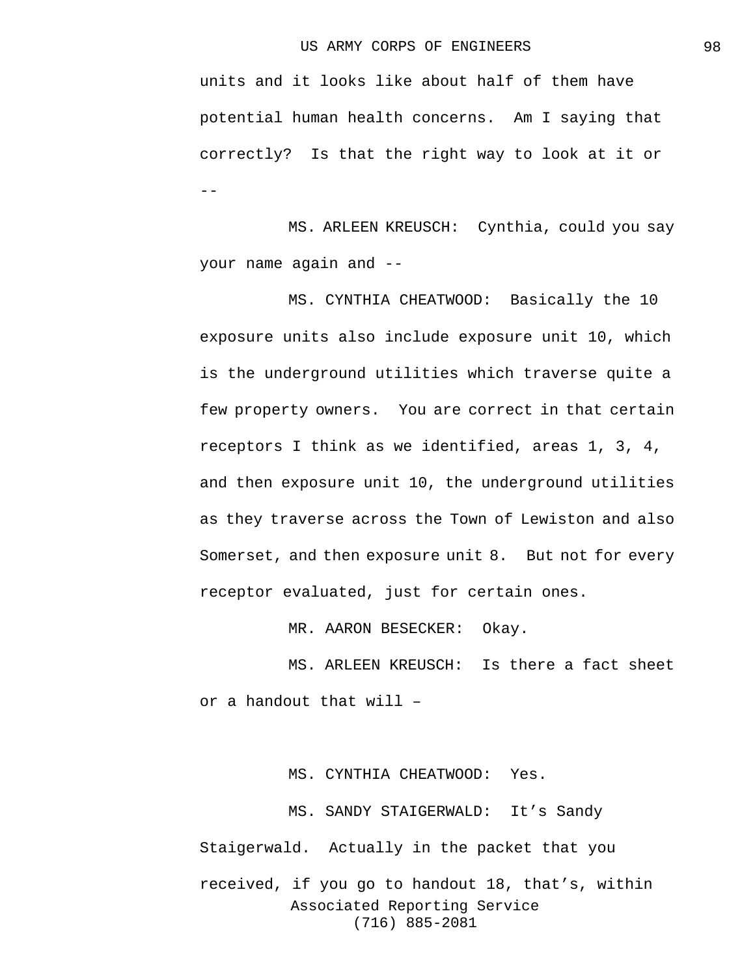units and it looks like about half of them have potential human health concerns. Am I saying that correctly? Is that the right way to look at it or  $-$ 

MS. ARLEEN KREUSCH: Cynthia, could you say your name again and --

MS. CYNTHIA CHEATWOOD: Basically the 10 exposure units also include exposure unit 10, which is the underground utilities which traverse quite a few property owners. You are correct in that certain receptors I think as we identified, areas 1, 3, 4, and then exposure unit 10, the underground utilities as they traverse across the Town of Lewiston and also Somerset, and then exposure unit 8. But not for every receptor evaluated, just for certain ones.

MR. AARON BESECKER: Okay.

MS. ARLEEN KREUSCH: Is there a fact sheet or a handout that will –

Associated Reporting Service (716) 885-2081 MS. CYNTHIA CHEATWOOD: Yes. MS. SANDY STAIGERWALD: It's Sandy Staigerwald. Actually in the packet that you received, if you go to handout 18, that's, within 98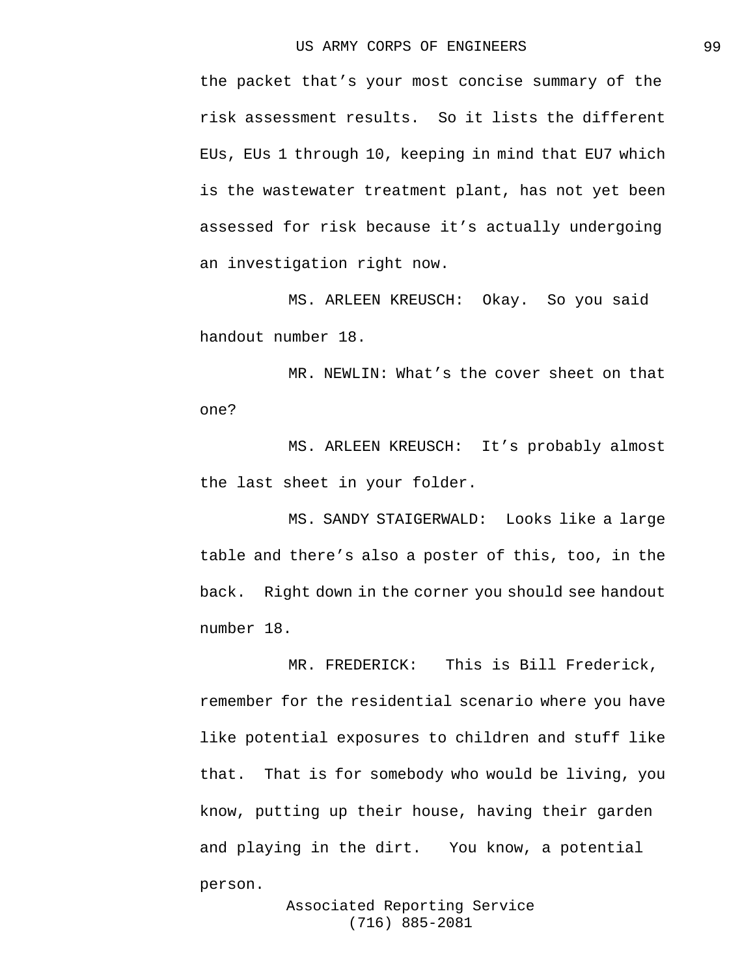the packet that's your most concise summary of the risk assessment results. So it lists the different EUs, EUs 1 through 10, keeping in mind that EU7 which is the wastewater treatment plant, has not yet been assessed for risk because it's actually undergoing an investigation right now.

MS. ARLEEN KREUSCH: Okay. So you said handout number 18.

MR. NEWLIN: What's the cover sheet on that one?

MS. ARLEEN KREUSCH: It's probably almost the last sheet in your folder.

MS. SANDY STAIGERWALD: Looks like a large table and there's also a poster of this, too, in the back. Right down in the corner you should see handout number 18.

MR. FREDERICK: This is Bill Frederick, remember for the residential scenario where you have like potential exposures to children and stuff like that. That is for somebody who would be living, you know, putting up their house, having their garden and playing in the dirt. You know, a potential person.

> Associated Reporting Service (716) 885-2081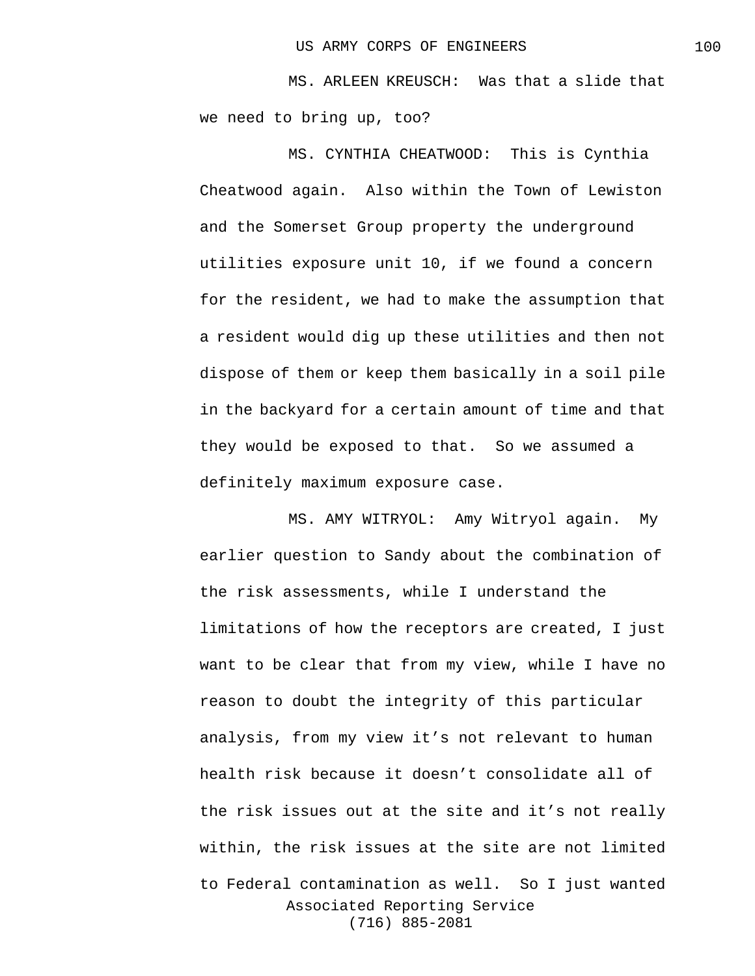MS. ARLEEN KREUSCH: Was that a slide that we need to bring up, too?

MS. CYNTHIA CHEATWOOD: This is Cynthia Cheatwood again. Also within the Town of Lewiston and the Somerset Group property the underground utilities exposure unit 10, if we found a concern for the resident, we had to make the assumption that a resident would dig up these utilities and then not dispose of them or keep them basically in a soil pile in the backyard for a certain amount of time and that they would be exposed to that. So we assumed a definitely maximum exposure case.

Associated Reporting Service (716) 885-2081 MS. AMY WITRYOL: Amy Witryol again. My earlier question to Sandy about the combination of the risk assessments, while I understand the limitations of how the receptors are created, I just want to be clear that from my view, while I have no reason to doubt the integrity of this particular analysis, from my view it's not relevant to human health risk because it doesn't consolidate all of the risk issues out at the site and it's not really within, the risk issues at the site are not limited to Federal contamination as well. So I just wanted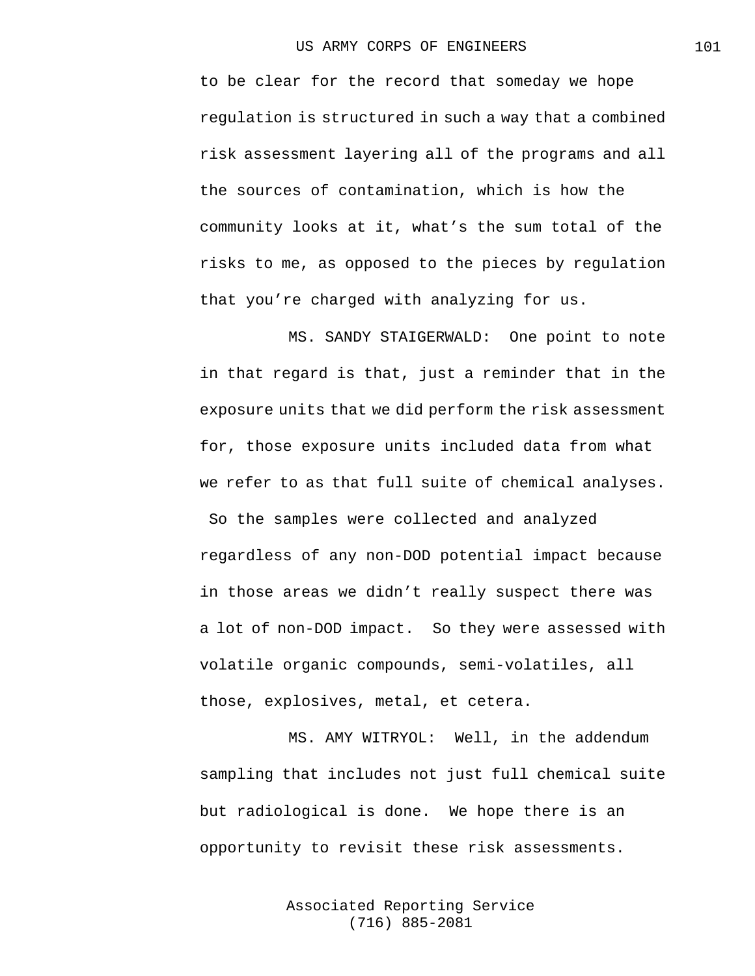to be clear for the record that someday we hope regulation is structured in such a way that a combined risk assessment layering all of the programs and all the sources of contamination, which is how the community looks at it, what's the sum total of the risks to me, as opposed to the pieces by regulation that you're charged with analyzing for us.

MS. SANDY STAIGERWALD: One point to note in that regard is that, just a reminder that in the exposure units that we did perform the risk assessment for, those exposure units included data from what we refer to as that full suite of chemical analyses.

So the samples were collected and analyzed regardless of any non-DOD potential impact because in those areas we didn't really suspect there was a lot of non-DOD impact. So they were assessed with volatile organic compounds, semi-volatiles, all those, explosives, metal, et cetera.

MS. AMY WITRYOL: Well, in the addendum sampling that includes not just full chemical suite but radiological is done. We hope there is an opportunity to revisit these risk assessments.

> Associated Reporting Service (716) 885-2081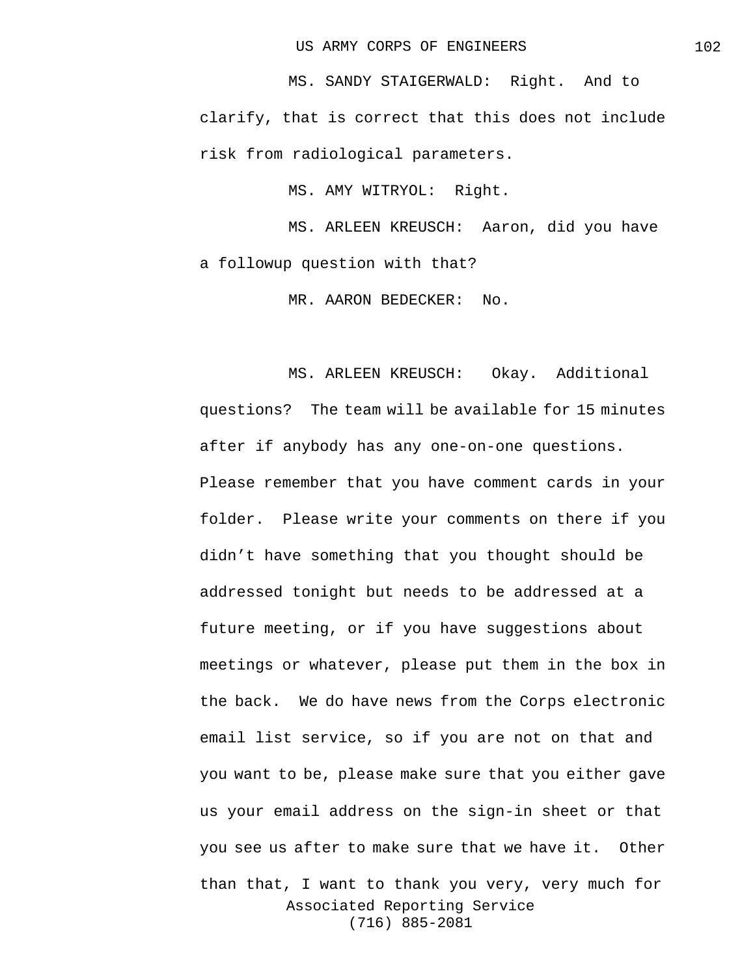MS. SANDY STAIGERWALD: Right. And to clarify, that is correct that this does not include risk from radiological parameters.

MS. AMY WITRYOL: Right.

MS. ARLEEN KREUSCH: Aaron, did you have a followup question with that?

MR. AARON BEDECKER: No.

Associated Reporting Service (716) 885-2081 MS. ARLEEN KREUSCH: Okay. Additional questions? The team will be available for 15 minutes after if anybody has any one-on-one questions. Please remember that you have comment cards in your folder. Please write your comments on there if you didn't have something that you thought should be addressed tonight but needs to be addressed at a future meeting, or if you have suggestions about meetings or whatever, please put them in the box in the back. We do have news from the Corps electronic email list service, so if you are not on that and you want to be, please make sure that you either gave us your email address on the sign-in sheet or that you see us after to make sure that we have it. Other than that, I want to thank you very, very much for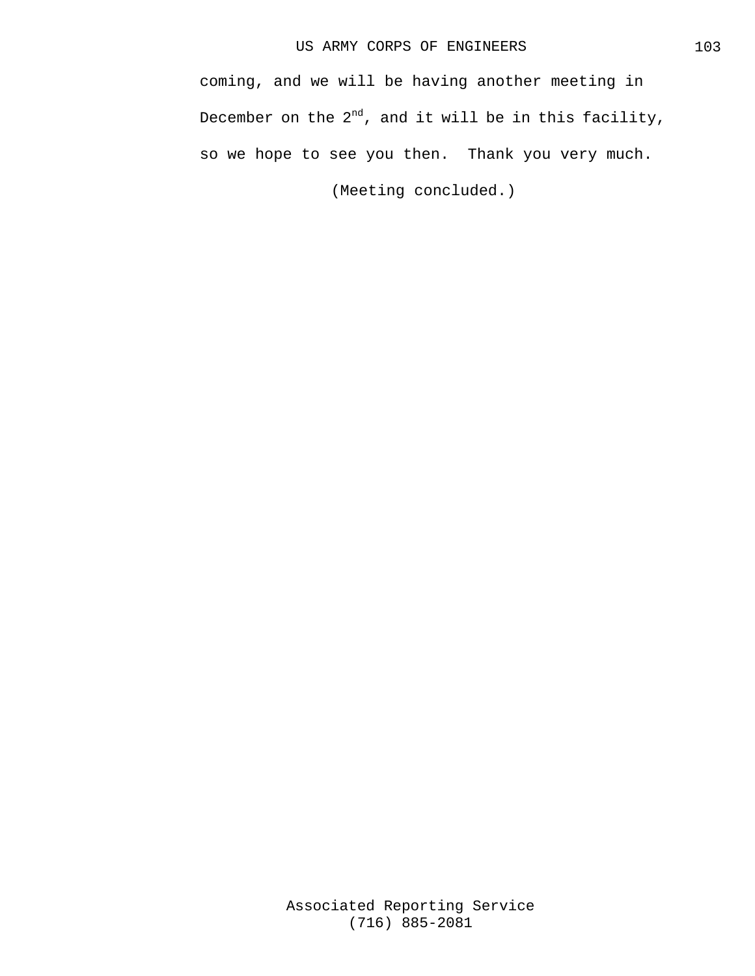coming, and we will be having another meeting in December on the  $2^{nd}$ , and it will be in this facility, so we hope to see you then. Thank you very much.

(Meeting concluded.)